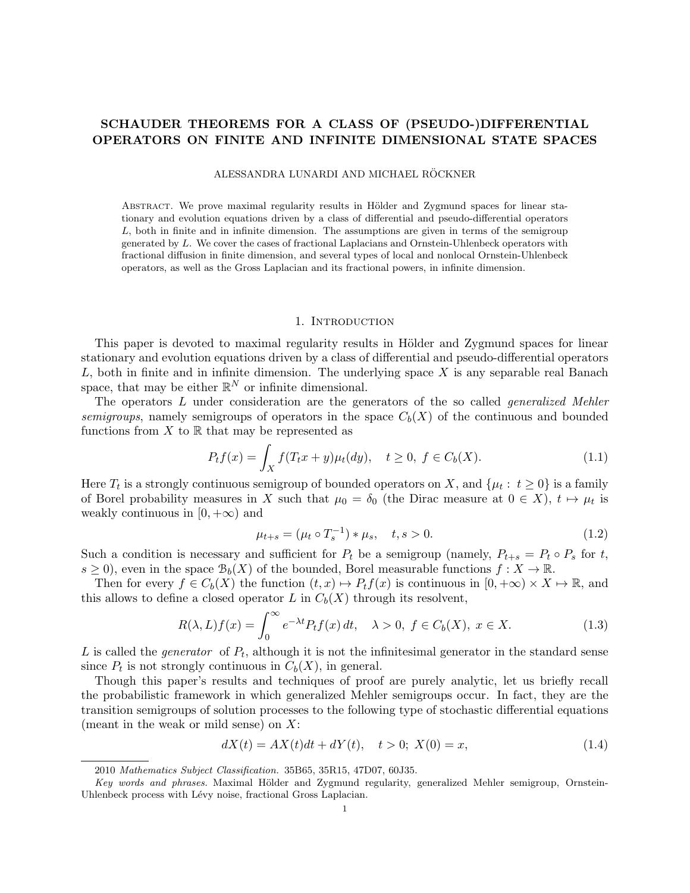# SCHAUDER THEOREMS FOR A CLASS OF (PSEUDO-)DIFFERENTIAL OPERATORS ON FINITE AND INFINITE DIMENSIONAL STATE SPACES

ALESSANDRA LUNARDI AND MICHAEL RÖCKNER

ABSTRACT. We prove maximal regularity results in Hölder and Zygmund spaces for linear stationary and evolution equations driven by a class of differential and pseudo-differential operators  $L$ , both in finite and in infinite dimension. The assumptions are given in terms of the semigroup generated by L. We cover the cases of fractional Laplacians and Ornstein-Uhlenbeck operators with fractional diffusion in finite dimension, and several types of local and nonlocal Ornstein-Uhlenbeck operators, as well as the Gross Laplacian and its fractional powers, in infinite dimension.

#### 1. INTRODUCTION

This paper is devoted to maximal regularity results in Hölder and Zygmund spaces for linear stationary and evolution equations driven by a class of differential and pseudo-differential operators  $L$ , both in finite and in infinite dimension. The underlying space  $X$  is any separable real Banach space, that may be either  $\mathbb{R}^N$  or infinite dimensional.

The operators L under consideration are the generators of the so called *generalized Mehler* semigroups, namely semigroups of operators in the space  $C_b(X)$  of the continuous and bounded functions from  $X$  to  $\mathbb R$  that may be represented as

$$
P_t f(x) = \int_X f(T_t x + y) \mu_t(dy), \quad t \ge 0, \ f \in C_b(X). \tag{1.1}
$$

Here  $T_t$  is a strongly continuous semigroup of bounded operators on X, and  $\{\mu_t: t \ge 0\}$  is a family of Borel probability measures in X such that  $\mu_0 = \delta_0$  (the Dirac measure at  $0 \in X$ ),  $t \mapsto \mu_t$  is weakly continuous in  $[0, +\infty)$  and

$$
\mu_{t+s} = (\mu_t \circ T_s^{-1}) * \mu_s, \quad t, s > 0.
$$
\n(1.2)

Such a condition is necessary and sufficient for  $P_t$  be a semigroup (namely,  $P_{t+s} = P_t \circ P_s$  for t,  $s \geq 0$ , even in the space  $\mathcal{B}_b(X)$  of the bounded, Borel measurable functions  $f: X \to \mathbb{R}$ .

Then for every  $f \in C_b(X)$  the function  $(t, x) \mapsto P_tf(x)$  is continuous in  $[0, +\infty) \times X \mapsto \mathbb{R}$ , and this allows to define a closed operator L in  $C_b(X)$  through its resolvent,

$$
R(\lambda, L)f(x) = \int_0^\infty e^{-\lambda t} P_t f(x) dt, \quad \lambda > 0, \ f \in C_b(X), \ x \in X. \tag{1.3}
$$

L is called the *generator* of  $P_t$ , although it is not the infinitesimal generator in the standard sense since  $P_t$  is not strongly continuous in  $C_b(X)$ , in general.

Though this paper's results and techniques of proof are purely analytic, let us briefly recall the probabilistic framework in which generalized Mehler semigroups occur. In fact, they are the transition semigroups of solution processes to the following type of stochastic differential equations (meant in the weak or mild sense) on  $X$ :

$$
dX(t) = AX(t)dt + dY(t), \quad t > 0; \ X(0) = x,\tag{1.4}
$$

<sup>2010</sup> Mathematics Subject Classification. 35B65, 35R15, 47D07, 60J35.

Key words and phrases. Maximal Hölder and Zygmund regularity, generalized Mehler semigroup, Ornstein-Uhlenbeck process with Lévy noise, fractional Gross Laplacian.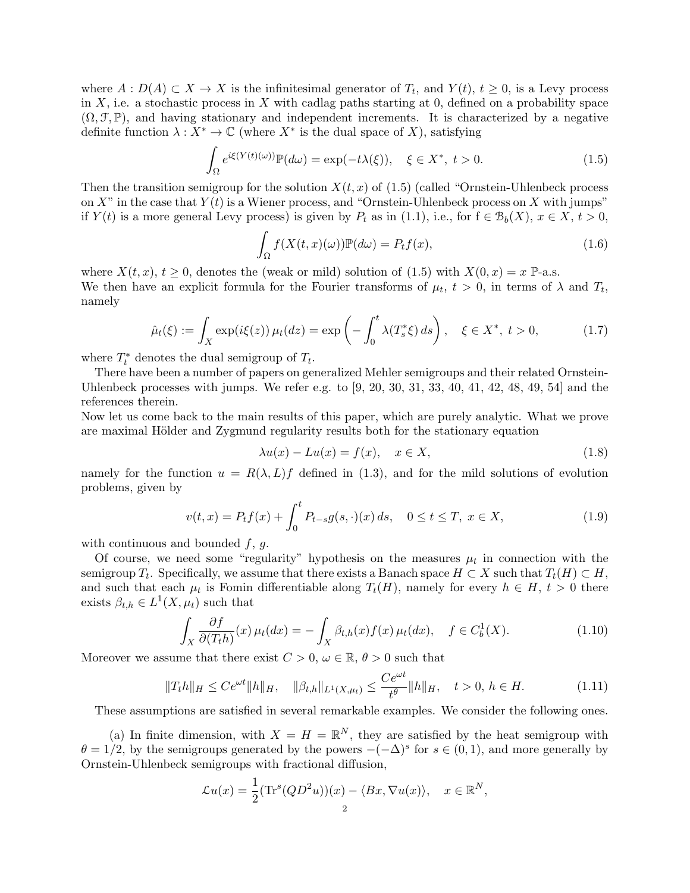where  $A: D(A) \subset X \to X$  is the infinitesimal generator of  $T_t$ , and  $Y(t)$ ,  $t \geq 0$ , is a Levy process in X, i.e. a stochastic process in X with cadlag paths starting at 0, defined on a probability space  $(\Omega, \mathcal{F}, \mathbb{P})$ , and having stationary and independent increments. It is characterized by a negative definite function  $\lambda : X^* \to \mathbb{C}$  (where  $X^*$  is the dual space of X), satisfying

$$
\int_{\Omega} e^{i\xi(Y(t)(\omega))} \mathbb{P}(d\omega) = \exp(-t\lambda(\xi)), \quad \xi \in X^*, \ t > 0.
$$
\n(1.5)

Then the transition semigroup for the solution  $X(t, x)$  of (1.5) (called "Ornstein-Uhlenbeck process on X" in the case that  $Y(t)$  is a Wiener process, and "Ornstein-Uhlenbeck process on X with jumps" if  $Y(t)$  is a more general Levy process) is given by  $P_t$  as in (1.1), i.e., for  $f \in \mathcal{B}_b(X)$ ,  $x \in X$ ,  $t > 0$ ,

$$
\int_{\Omega} f(X(t, x)(\omega)) \mathbb{P}(d\omega) = P_t f(x),\tag{1.6}
$$

where  $X(t, x)$ ,  $t \geq 0$ , denotes the (weak or mild) solution of (1.5) with  $X(0, x) = x \mathbb{P}$ -a.s. We then have an explicit formula for the Fourier transforms of  $\mu_t$ ,  $t > 0$ , in terms of  $\lambda$  and  $T_t$ , namely

$$
\hat{\mu}_t(\xi) := \int_X \exp(i\xi(z)) \, \mu_t(dz) = \exp\left(-\int_0^t \lambda(T_s^*\xi) \, ds\right), \quad \xi \in X^*, \ t > 0,
$$
\n(1.7)

where  $T_t^*$  denotes the dual semigroup of  $T_t$ .

There have been a number of papers on generalized Mehler semigroups and their related Ornstein-Uhlenbeck processes with jumps. We refer e.g. to  $[9, 20, 30, 31, 33, 40, 41, 42, 48, 49, 54]$  and the references therein.

Now let us come back to the main results of this paper, which are purely analytic. What we prove are maximal Hölder and Zygmund regularity results both for the stationary equation

$$
\lambda u(x) - Lu(x) = f(x), \quad x \in X,\tag{1.8}
$$

namely for the function  $u = R(\lambda, L)f$  defined in (1.3), and for the mild solutions of evolution problems, given by

$$
v(t,x) = P_t f(x) + \int_0^t P_{t-s} g(s, \cdot)(x) ds, \quad 0 \le t \le T, \ x \in X,
$$
\n(1.9)

with continuous and bounded  $f, g$ .

Of course, we need some "regularity" hypothesis on the measures  $\mu_t$  in connection with the semigroup  $T_t$ . Specifically, we assume that there exists a Banach space  $H \subset X$  such that  $T_t(H) \subset H$ , and such that each  $\mu_t$  is Fomin differentiable along  $T_t(H)$ , namely for every  $h \in H$ ,  $t > 0$  there exists  $\beta_{t,h} \in L^1(X, \mu_t)$  such that

$$
\int_X \frac{\partial f}{\partial (T_t h)}(x) \,\mu_t(dx) = -\int_X \beta_{t,h}(x) f(x) \,\mu_t(dx), \quad f \in C_b^1(X). \tag{1.10}
$$

Moreover we assume that there exist  $C > 0$ ,  $\omega \in \mathbb{R}$ ,  $\theta > 0$  such that

$$
||T_{t}h||_{H} \le Ce^{\omega t}||h||_{H}, \quad ||\beta_{t,h}||_{L^{1}(X,\mu_{t})} \le \frac{Ce^{\omega t}}{t^{\theta}}||h||_{H}, \quad t > 0, \, h \in H. \tag{1.11}
$$

These assumptions are satisfied in several remarkable examples. We consider the following ones.

(a) In finite dimension, with  $X = H = \mathbb{R}^N$ , they are satisfied by the heat semigroup with  $\theta = 1/2$ , by the semigroups generated by the powers  $-(-\Delta)^s$  for  $s \in (0,1)$ , and more generally by Ornstein-Uhlenbeck semigroups with fractional diffusion,

$$
\mathcal{L}u(x) = \frac{1}{2}(\text{Tr}^s(QD^2u))(x) - \langle Bx, \nabla u(x) \rangle, \quad x \in \mathbb{R}^N,
$$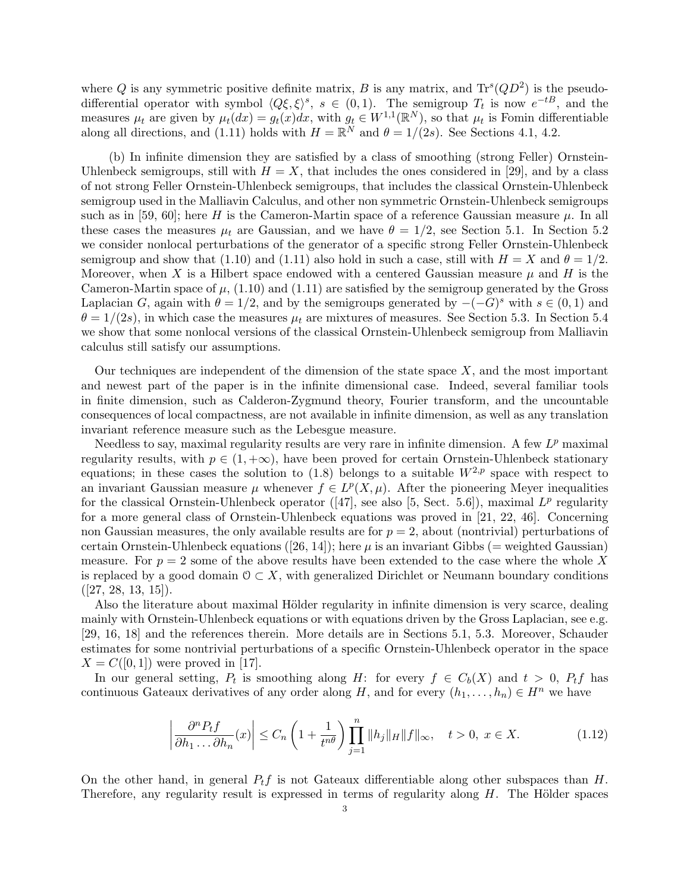where Q is any symmetric positive definite matrix, B is any matrix, and  $\text{Tr}^s(QD^2)$  is the pseudodifferential operator with symbol  $\langle Q\xi, \xi \rangle^s$ ,  $s \in (0, 1)$ . The semigroup  $T_t$  is now  $e^{-tB}$ , and the measures  $\mu_t$  are given by  $\mu_t(dx) = g_t(x)dx$ , with  $g_t \in W^{1,1}(\mathbb{R}^N)$ , so that  $\mu_t$  is Fomin differentiable along all directions, and (1.11) holds with  $H = \mathbb{R}^N$  and  $\theta = 1/(2s)$ . See Sections 4.1, 4.2.

(b) In infinite dimension they are satisfied by a class of smoothing (strong Feller) Ornstein-Uhlenbeck semigroups, still with  $H = X$ , that includes the ones considered in [29], and by a class of not strong Feller Ornstein-Uhlenbeck semigroups, that includes the classical Ornstein-Uhlenbeck semigroup used in the Malliavin Calculus, and other non symmetric Ornstein-Uhlenbeck semigroups such as in [59, 60]; here H is the Cameron-Martin space of a reference Gaussian measure  $\mu$ . In all these cases the measures  $\mu_t$  are Gaussian, and we have  $\theta = 1/2$ , see Section 5.1. In Section 5.2 we consider nonlocal perturbations of the generator of a specific strong Feller Ornstein-Uhlenbeck semigroup and show that (1.10) and (1.11) also hold in such a case, still with  $H = X$  and  $\theta = 1/2$ . Moreover, when X is a Hilbert space endowed with a centered Gaussian measure  $\mu$  and H is the Cameron-Martin space of  $\mu$ , (1.10) and (1.11) are satisfied by the semigroup generated by the Gross Laplacian G, again with  $\theta = 1/2$ , and by the semigroups generated by  $-(-G)^s$  with  $s \in (0,1)$  and  $\theta = 1/(2s)$ , in which case the measures  $\mu_t$  are mixtures of measures. See Section 5.3. In Section 5.4 we show that some nonlocal versions of the classical Ornstein-Uhlenbeck semigroup from Malliavin calculus still satisfy our assumptions.

Our techniques are independent of the dimension of the state space  $X$ , and the most important and newest part of the paper is in the infinite dimensional case. Indeed, several familiar tools in finite dimension, such as Calderon-Zygmund theory, Fourier transform, and the uncountable consequences of local compactness, are not available in infinite dimension, as well as any translation invariant reference measure such as the Lebesgue measure.

Needless to say, maximal regularity results are very rare in infinite dimension. A few  $L^p$  maximal regularity results, with  $p \in (1, +\infty)$ , have been proved for certain Ornstein-Uhlenbeck stationary equations; in these cases the solution to (1.8) belongs to a suitable  $W^{2,p}$  space with respect to an invariant Gaussian measure  $\mu$  whenever  $f \in L^p(X, \mu)$ . After the pioneering Meyer inequalities for the classical Ornstein-Uhlenbeck operator ([47], see also [5, Sect. 5.6]), maximal  $L^p$  regularity for a more general class of Ornstein-Uhlenbeck equations was proved in [21, 22, 46]. Concerning non Gaussian measures, the only available results are for  $p = 2$ , about (nontrivial) perturbations of certain Ornstein-Uhlenbeck equations ([26, 14]); here  $\mu$  is an invariant Gibbs (= weighted Gaussian) measure. For  $p = 2$  some of the above results have been extended to the case where the whole X is replaced by a good domain  $0 \subset X$ , with generalized Dirichlet or Neumann boundary conditions  $([27, 28, 13, 15]).$ 

Also the literature about maximal Hölder regularity in infinite dimension is very scarce, dealing mainly with Ornstein-Uhlenbeck equations or with equations driven by the Gross Laplacian, see e.g. [29, 16, 18] and the references therein. More details are in Sections 5.1, 5.3. Moreover, Schauder estimates for some nontrivial perturbations of a specific Ornstein-Uhlenbeck operator in the space  $X = C([0, 1])$  were proved in [17].

In our general setting,  $P_t$  is smoothing along H: for every  $f \in C_b(X)$  and  $t > 0$ ,  $P_t f$  has continuous Gateaux derivatives of any order along H, and for every  $(h_1, \ldots, h_n) \in H^n$  we have

$$
\left|\frac{\partial^n P_t f}{\partial h_1 \dots \partial h_n}(x)\right| \le C_n \left(1 + \frac{1}{t^{n\theta}}\right) \prod_{j=1}^n \|h_j\|_H \|f\|_\infty, \quad t > 0, \ x \in X. \tag{1.12}
$$

On the other hand, in general  $P_t f$  is not Gateaux differentiable along other subspaces than H. Therefore, any regularity result is expressed in terms of regularity along  $H$ . The Hölder spaces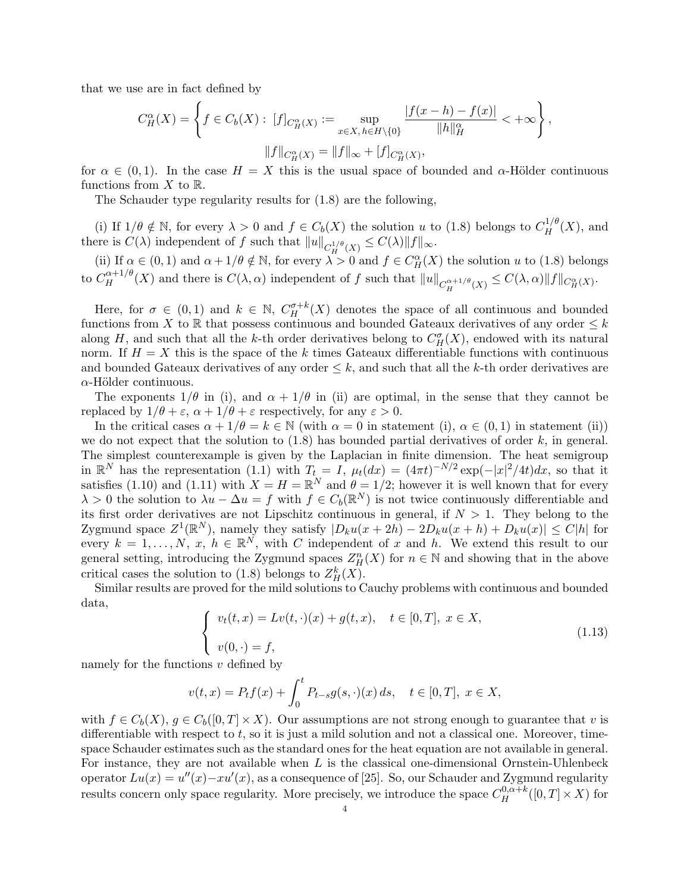that we use are in fact defined by

$$
C_H^{\alpha}(X) = \left\{ f \in C_b(X) : [f]_{C_H^{\alpha}(X)} := \sup_{x \in X, h \in H \setminus \{0\}} \frac{|f(x - h) - f(x)|}{\|h\|_H^{\alpha}} < +\infty \right\},\
$$

$$
\|f\|_{C_H^{\alpha}(X)} = \|f\|_{\infty} + [f]_{C_H^{\alpha}(X)},
$$

for  $\alpha \in (0,1)$ . In the case  $H = X$  this is the usual space of bounded and  $\alpha$ -Hölder continuous functions from  $X$  to  $\mathbb{R}$ .

The Schauder type regularity results for (1.8) are the following,

(i) If  $1/\theta \notin \mathbb{N}$ , for every  $\lambda > 0$  and  $f \in C_b(X)$  the solution u to (1.8) belongs to  $C_H^{1/\theta}(X)$ , and there is  $C(\lambda)$  independent of f such that  $||u||_{C_H^{1/\theta}(X)} \leq C(\lambda) ||f||_{\infty}$ .

(ii) If  $\alpha \in (0,1)$  and  $\alpha + 1/\theta \notin \mathbb{N}$ , for every  $\lambda > 0$  and  $f \in C_H^{\alpha}(X)$  the solution u to (1.8) belongs to  $C_H^{\alpha+1/\theta}(X)$  and there is  $C(\lambda, \alpha)$  independent of f such that  $||u||_{C_H^{\alpha+1/\theta}(X)} \leq C(\lambda, \alpha) ||f||_{C_H^{\alpha}(X)}$ .

Here, for  $\sigma \in (0,1)$  and  $k \in \mathbb{N}$ ,  $C^{\sigma+k}_H(X)$  denotes the space of all continuous and bounded functions from X to R that possess continuous and bounded Gateaux derivatives of any order  $\leq k$ along H, and such that all the k-th order derivatives belong to  $C^{\sigma}_H(X)$ , endowed with its natural norm. If  $H = X$  this is the space of the k times Gateaux differentiable functions with continuous and bounded Gateaux derivatives of any order  $\leq k$ , and such that all the k-th order derivatives are  $\alpha$ -Hölder continuous.

The exponents  $1/\theta$  in (i), and  $\alpha + 1/\theta$  in (ii) are optimal, in the sense that they cannot be replaced by  $1/\theta + \varepsilon$ ,  $\alpha + 1/\theta + \varepsilon$  respectively, for any  $\varepsilon > 0$ .

In the critical cases  $\alpha + 1/\theta = k \in \mathbb{N}$  (with  $\alpha = 0$  in statement (i),  $\alpha \in (0, 1)$  in statement (ii)) we do not expect that the solution to  $(1.8)$  has bounded partial derivatives of order k, in general. The simplest counterexample is given by the Laplacian in finite dimension. The heat semigroup in  $\mathbb{R}^N$  has the representation (1.1) with  $T_t = I$ ,  $\mu_t(dx) = (4\pi t)^{-N/2} \exp(-|x|^2/4t) dx$ , so that it satisfies (1.10) and (1.11) with  $X = H = \mathbb{R}^N$  and  $\theta = 1/2$ ; however it is well known that for every  $\lambda > 0$  the solution to  $\lambda u - \Delta u = f$  with  $f \in C_b(\mathbb{R}^N)$  is not twice continuously differentiable and its first order derivatives are not Lipschitz continuous in general, if  $N > 1$ . They belong to the Zygmund space  $Z^1(\mathbb{R}^N)$ , namely they satisfy  $|D_ku(x+2h) - 2D_ku(x+h) + D_ku(x)| \leq C|h|$  for every  $k = 1, ..., N, x, h \in \mathbb{R}^N$ , with C independent of x and h. We extend this result to our general setting, introducing the Zygmund spaces  $Z_H^n(X)$  for  $n \in \mathbb{N}$  and showing that in the above critical cases the solution to (1.8) belongs to  $Z_H^k(X)$ .

Similar results are proved for the mild solutions to Cauchy problems with continuous and bounded data,

$$
\begin{cases}\nv_t(t,x) = Lv(t,\cdot)(x) + g(t,x), & t \in [0,T], \ x \in X, \\
v(0,\cdot) = f,\n\end{cases}
$$
\n(1.13)

namely for the functions  $v$  defined by

$$
v(t,x) = P_t f(x) + \int_0^t P_{t-s} g(s, \cdot)(x) ds, \quad t \in [0,T], \ x \in X,
$$

with  $f \in C_b(X)$ ,  $g \in C_b([0,T] \times X)$ . Our assumptions are not strong enough to guarantee that v is differentiable with respect to  $t$ , so it is just a mild solution and not a classical one. Moreover, timespace Schauder estimates such as the standard ones for the heat equation are not available in general. For instance, they are not available when  $L$  is the classical one-dimensional Ornstein-Uhlenbeck operator  $Lu(x) = u''(x) - xu'(x)$ , as a consequence of [25]. So, our Schauder and Zygmund regularity results concern only space regularity. More precisely, we introduce the space  $C_H^{0,\alpha+k}([0,T]\times X)$  for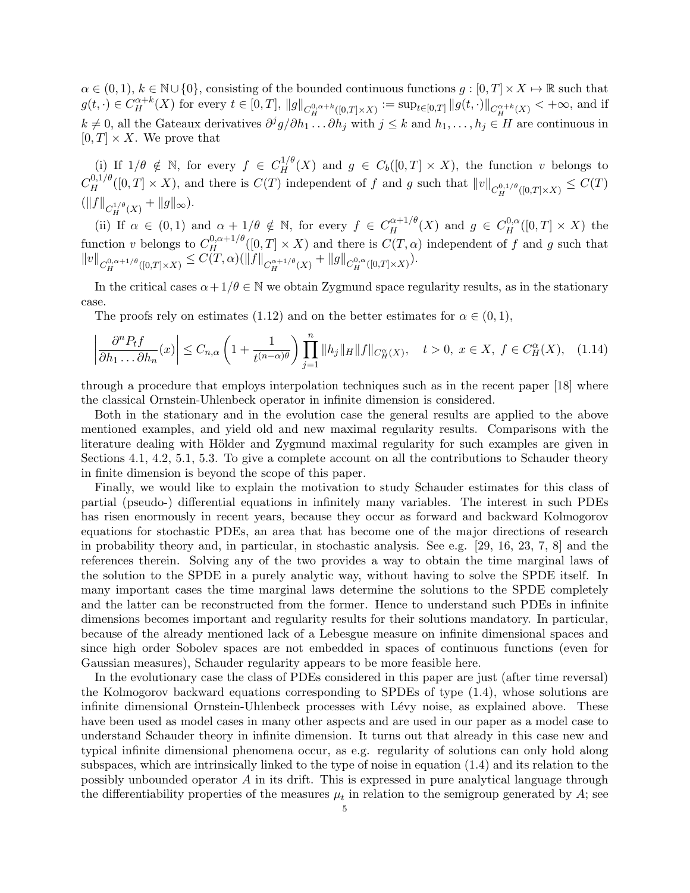$\alpha \in (0,1), k \in \mathbb{N} \cup \{0\},\$ consisting of the bounded continuous functions  $g: [0,T] \times X \mapsto \mathbb{R}$  such that  $g(t, \cdot) \in C_H^{\alpha+k}(X)$  for every  $t \in [0,T]$ ,  $||g||_{C_H^{0,\alpha+k}([0,T]\times X)} := \sup_{t \in [0,T]} ||g(t, \cdot)||_{C_H^{\alpha+k}(X)} < +\infty$ , and if  $k \neq 0$ , all the Gateaux derivatives  $\partial^j g/\partial h_1 \dots \partial h_j$  with  $j \leq k$  and  $h_1, \dots, h_j \in H$  are continuous in  $[0, T] \times X$ . We prove that

(i) If  $1/\theta \notin \mathbb{N}$ , for every  $f \in C_H^{1/\theta}(X)$  and  $g \in C_b([0,T] \times X)$ , the function v belongs to  $C_H^{0,1/\theta}([0,T]\times X)$ , and there is  $C(T)$  independent of f and g such that  $||v||_{C_H^{0,1/\theta}([0,T]\times X)} \leq C(T)$  $(\|f\|_{C_H^{1/\theta}(X)} + \|g\|_{\infty}).$ 

(ii) If  $\alpha \in (0,1)$  and  $\alpha + 1/\theta \notin \mathbb{N}$ , for every  $f \in C_H^{\alpha+1/\theta}(X)$  and  $g \in C_H^{0,\alpha}([0,T] \times X)$  the function v belongs to  $C_H^{0,\alpha+1/\theta}([0,T] \times X)$  and there is  $C(T,\alpha)$  independent of f and g such that  $||v||_{C_H^{0,\alpha+1/\theta}([0,T]\times X)} \leq C(T,\alpha)(||f||_{C_H^{\alpha+1/\theta}(X)} + ||g||_{C_H^{0,\alpha}([0,T]\times X)}).$ 

In the critical cases  $\alpha + 1/\theta \in \mathbb{N}$  we obtain Zygmund space regularity results, as in the stationary case.

The proofs rely on estimates (1.12) and on the better estimates for  $\alpha \in (0,1)$ ,

$$
\left|\frac{\partial^n P_t f}{\partial h_1 \dots \partial h_n}(x)\right| \le C_{n,\alpha} \left(1 + \frac{1}{t^{(n-\alpha)\theta}}\right) \prod_{j=1}^n \|h_j\|_H \|f\|_{C_H^{\alpha}(X)}, \quad t > 0, \ x \in X, \ f \in C_H^{\alpha}(X), \tag{1.14}
$$

through a procedure that employs interpolation techniques such as in the recent paper [18] where the classical Ornstein-Uhlenbeck operator in infinite dimension is considered.

Both in the stationary and in the evolution case the general results are applied to the above mentioned examples, and yield old and new maximal regularity results. Comparisons with the literature dealing with Hölder and Zygmund maximal regularity for such examples are given in Sections 4.1, 4.2, 5.1, 5.3. To give a complete account on all the contributions to Schauder theory in finite dimension is beyond the scope of this paper.

Finally, we would like to explain the motivation to study Schauder estimates for this class of partial (pseudo-) differential equations in infinitely many variables. The interest in such PDEs has risen enormously in recent years, because they occur as forward and backward Kolmogorov equations for stochastic PDEs, an area that has become one of the major directions of research in probability theory and, in particular, in stochastic analysis. See e.g. [29, 16, 23, 7, 8] and the references therein. Solving any of the two provides a way to obtain the time marginal laws of the solution to the SPDE in a purely analytic way, without having to solve the SPDE itself. In many important cases the time marginal laws determine the solutions to the SPDE completely and the latter can be reconstructed from the former. Hence to understand such PDEs in infinite dimensions becomes important and regularity results for their solutions mandatory. In particular, because of the already mentioned lack of a Lebesgue measure on infinite dimensional spaces and since high order Sobolev spaces are not embedded in spaces of continuous functions (even for Gaussian measures), Schauder regularity appears to be more feasible here.

In the evolutionary case the class of PDEs considered in this paper are just (after time reversal) the Kolmogorov backward equations corresponding to SPDEs of type (1.4), whose solutions are infinite dimensional Ornstein-Uhlenbeck processes with Lévy noise, as explained above. These have been used as model cases in many other aspects and are used in our paper as a model case to understand Schauder theory in infinite dimension. It turns out that already in this case new and typical infinite dimensional phenomena occur, as e.g. regularity of solutions can only hold along subspaces, which are intrinsically linked to the type of noise in equation (1.4) and its relation to the possibly unbounded operator A in its drift. This is expressed in pure analytical language through the differentiability properties of the measures  $\mu_t$  in relation to the semigroup generated by A; see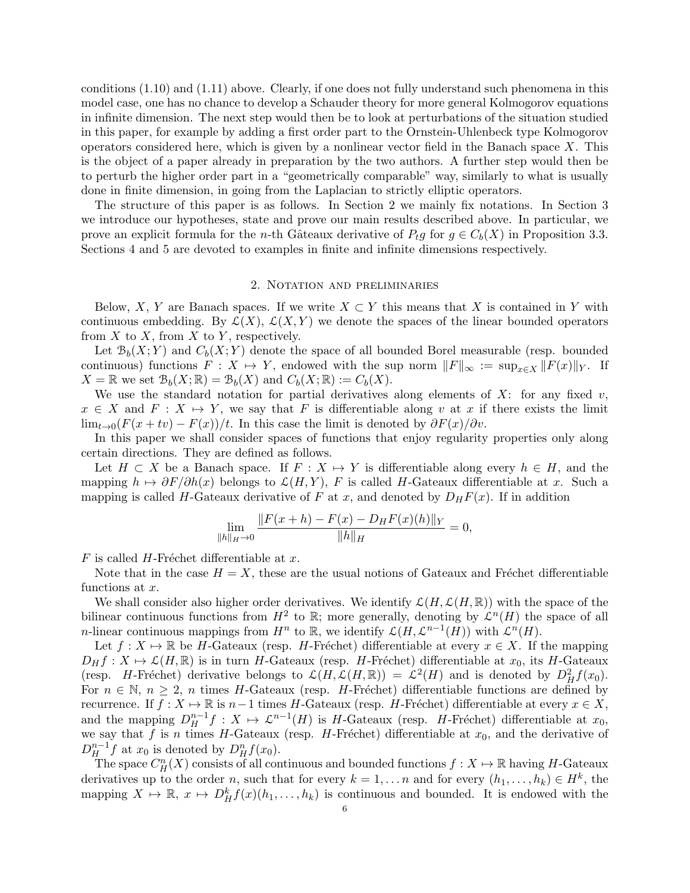conditions (1.10) and (1.11) above. Clearly, if one does not fully understand such phenomena in this model case, one has no chance to develop a Schauder theory for more general Kolmogorov equations in infinite dimension. The next step would then be to look at perturbations of the situation studied in this paper, for example by adding a first order part to the Ornstein-Uhlenbeck type Kolmogorov operators considered here, which is given by a nonlinear vector field in the Banach space  $X$ . This is the object of a paper already in preparation by the two authors. A further step would then be to perturb the higher order part in a "geometrically comparable" way, similarly to what is usually done in finite dimension, in going from the Laplacian to strictly elliptic operators.

The structure of this paper is as follows. In Section 2 we mainly fix notations. In Section 3 we introduce our hypotheses, state and prove our main results described above. In particular, we prove an explicit formula for the *n*-th Gâteaux derivative of  $P_t g$  for  $g \in C_b(X)$  in Proposition 3.3. Sections 4 and 5 are devoted to examples in finite and infinite dimensions respectively.

### 2. Notation and preliminaries

Below, X, Y are Banach spaces. If we write  $X \subset Y$  this means that X is contained in Y with continuous embedding. By  $\mathcal{L}(X)$ ,  $\mathcal{L}(X, Y)$  we denote the spaces of the linear bounded operators from  $X$  to  $X$ , from  $X$  to  $Y$ , respectively.

Let  $\mathcal{B}_b(X; Y)$  and  $C_b(X; Y)$  denote the space of all bounded Borel measurable (resp. bounded continuous) functions  $F: X \mapsto Y$ , endowed with the sup norm  $||F||_{\infty} := \sup_{x \in X} ||F(x)||_Y$ . If  $X = \mathbb{R}$  we set  $\mathcal{B}_b(X; \mathbb{R}) = \mathcal{B}_b(X)$  and  $C_b(X; \mathbb{R}) := C_b(X)$ .

We use the standard notation for partial derivatives along elements of  $X$ : for any fixed v,  $x \in X$  and  $F : X \mapsto Y$ , we say that F is differentiable along v at x if there exists the limit  $\lim_{t\to 0} (F(x+tv) - F(x))/t$ . In this case the limit is denoted by  $\partial F(x)/\partial v$ .

In this paper we shall consider spaces of functions that enjoy regularity properties only along certain directions. They are defined as follows.

Let  $H \subset X$  be a Banach space. If  $F : X \to Y$  is differentiable along every  $h \in H$ , and the mapping  $h \mapsto \partial F/\partial h(x)$  belongs to  $\mathcal{L}(H, Y)$ , F is called H-Gateaux differentiable at x. Such a mapping is called H-Gateaux derivative of F at x, and denoted by  $D_HF(x)$ . If in addition

$$
\lim_{\|h\|_H \to 0} \frac{\|F(x+h) - F(x) - D_H F(x)(h)\|_Y}{\|h\|_H} = 0,
$$

 $F$  is called  $H$ -Fréchet differentiable at  $x$ .

Note that in the case  $H = X$ , these are the usual notions of Gateaux and Fréchet differentiable functions at x.

We shall consider also higher order derivatives. We identify  $\mathcal{L}(H,\mathcal{L}(H,\mathbb{R}))$  with the space of the bilinear continuous functions from  $H^2$  to R; more generally, denoting by  $\mathcal{L}^n(H)$  the space of all *n*-linear continuous mappings from  $H^n$  to R, we identify  $\mathcal{L}(H, \mathcal{L}^{n-1}(H))$  with  $\mathcal{L}^n(H)$ .

Let  $f: X \mapsto \mathbb{R}$  be H-Gateaux (resp. H-Fréchet) differentiable at every  $x \in X$ . If the mapping  $D_H f : X \mapsto \mathcal{L}(H, \mathbb{R})$  is in turn H-Gateaux (resp. H-Fréchet) differentiable at  $x_0$ , its H-Gateaux (resp. *H*-Fréchet) derivative belongs to  $\mathcal{L}(H,\mathcal{L}(H,\mathbb{R})) = \mathcal{L}^2(H)$  and is denoted by  $D_H^2 f(x_0)$ . For  $n \in \mathbb{N}$ ,  $n \geq 2$ , n times H-Gateaux (resp. H-Fréchet) differentiable functions are defined by recurrence. If  $f: X \mapsto \mathbb{R}$  is  $n-1$  times H-Gateaux (resp. H-Fréchet) differentiable at every  $x \in X$ , and the mapping  $D_H^{n-1}f : X \to \mathcal{L}^{n-1}(H)$  is H-Gateaux (resp. H-Fréchet) differentiable at  $x_0$ , we say that f is n times H-Gateaux (resp. H-Fréchet) differentiable at  $x_0$ , and the derivative of  $D_H^{n-1}f$  at  $x_0$  is denoted by  $D_H^n f(x_0)$ .

The space  $C_H^n(X)$  consists of all continuous and bounded functions  $f: X \mapsto \mathbb{R}$  having H-Gateaux derivatives up to the order n, such that for every  $k = 1, ..., n$  and for every  $(h_1, ..., h_k) \in H^k$ , the mapping  $X \mapsto \mathbb{R}$ ,  $x \mapsto D_H^k f(x)(h_1, \ldots, h_k)$  is continuous and bounded. It is endowed with the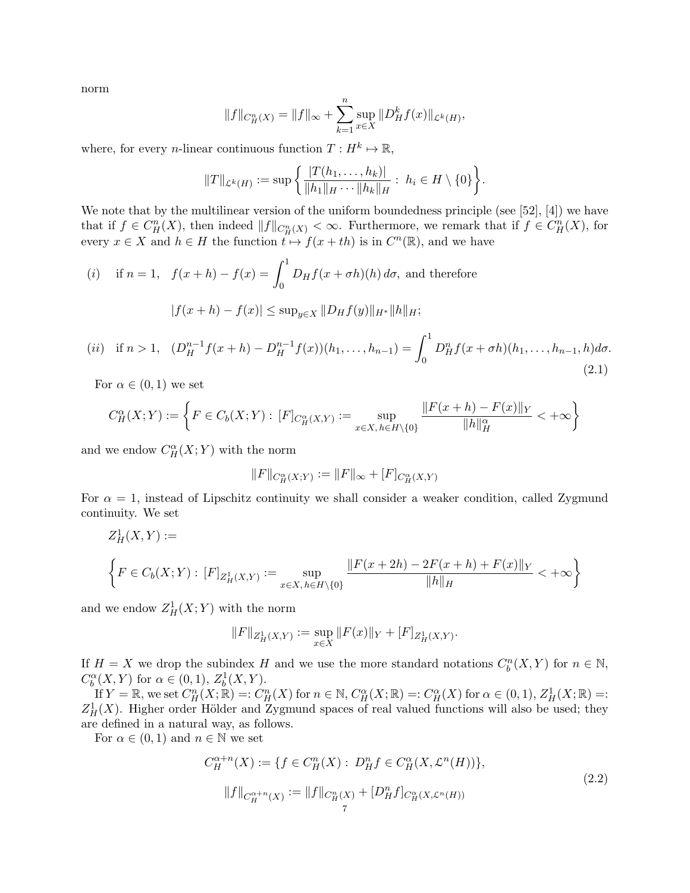norm

$$
||f||_{C_H^n(X)} = ||f||_{\infty} + \sum_{k=1}^n \sup_{x \in X} ||D_H^k f(x)||_{\mathcal{L}^k(H)},
$$

where, for every *n*-linear continuous function  $T: H^k \mapsto \mathbb{R}$ ,

$$
||T||_{\mathcal{L}^k(H)} := \sup \left\{ \frac{|T(h_1,\ldots,h_k)|}{||h_1||_H\cdots||h_k||_H} : h_i \in H \setminus \{0\} \right\}.
$$

We note that by the multilinear version of the uniform boundedness principle (see [52], [4]) we have that if  $f \in C_H^n(X)$ , then indeed  $||f||_{C_H^n(X)} < \infty$ . Furthermore, we remark that if  $f \in C_H^n(X)$ , for every  $x \in X$  and  $h \in H$  the function  $t \mapsto f(x+th)$  is in  $C^n(\mathbb{R})$ , and we have

(i) if 
$$
n = 1
$$
,  $f(x+h) - f(x) = \int_0^1 D_H f(x + \sigma h)(h) d\sigma$ , and therefore  

$$
|f(x+h) - f(x)| \le \sup_{y \in X} ||D_H f(y)||_{H^*} ||h||_H;
$$

(*ii*) if 
$$
n > 1
$$
,  $(D_H^{n-1}f(x+h) - D_H^{n-1}f(x))(h_1, ..., h_{n-1}) = \int_0^1 D_H^n f(x+\sigma h)(h_1, ..., h_{n-1}, h)d\sigma.$  (2.1)

For  $\alpha \in (0,1)$  we set

$$
C_H^{\alpha}(X;Y) := \left\{ F \in C_b(X;Y) : [F]_{C_H^{\alpha}(X,Y)} := \sup_{x \in X, h \in H \setminus \{0\}} \frac{\|F(x+h) - F(x)\|_Y}{\|h\|_H^{\alpha}} < +\infty \right\}
$$

and we endow  $C_H^{\alpha}(X;Y)$  with the norm

$$
||F||_{C^{\alpha}_{H}(X;Y)} := ||F||_{\infty} + [F]_{C^{\alpha}_{H}(X,Y)}
$$

For  $\alpha = 1$ , instead of Lipschitz continuity we shall consider a weaker condition, called Zygmund continuity. We set

$$
Z_H^1(X,Y) :=
$$
  

$$
\left\{ F \in C_b(X;Y) : [F]_{Z_H^1(X,Y)} := \sup_{x \in X, h \in H \setminus \{0\}} \frac{\|F(x+2h) - 2F(x+h) + F(x)\|_Y}{\|h\|_H} < +\infty \right\}
$$

and we endow  $Z_H^1(X;Y)$  with the norm

$$
||F||_{Z^1_H(X,Y)} := \sup_{x \in X} ||F(x)||_Y + [F]_{Z^1_H(X,Y)}.
$$

If  $H = X$  we drop the subindex H and we use the more standard notations  $C_b^n(X, Y)$  for  $n \in \mathbb{N}$ ,  $C_b^{\alpha}(X, Y)$  for  $\alpha \in (0, 1), Z_b^1(X, Y)$ .

If  $Y = \mathbb{R}$ , we set  $C_H^n(X; \mathbb{R}) =: C_H^n(X)$  for  $n \in \mathbb{N}$ ,  $C_H^{\alpha}(X; \mathbb{R}) =: C_H^{\alpha}(X)$  for  $\alpha \in (0, 1)$ ,  $Z_H^1(X; \mathbb{R}) =:$ <br> $\frac{1}{1}$   $(Y)$  Higher order Hölder and Zygmund spaces of real valued functions will also be used; t  $Z_H^1(X)$ . Higher order Hölder and Zygmund spaces of real valued functions will also be used; they are defined in a natural way, as follows.

For  $\alpha \in (0,1)$  and  $n \in \mathbb{N}$  we set

$$
C_H^{\alpha+n}(X) := \{ f \in C_H^n(X) : D_H^n f \in C_H^\alpha(X, \mathcal{L}^n(H)) \},
$$
  

$$
||f||_{C_H^{\alpha+n}(X)} := ||f||_{C_H^n(X)} + [D_H^n f]_{C_H^\alpha(X, \mathcal{L}^n(H))}
$$
  

$$
_{7}
$$
 (2.2)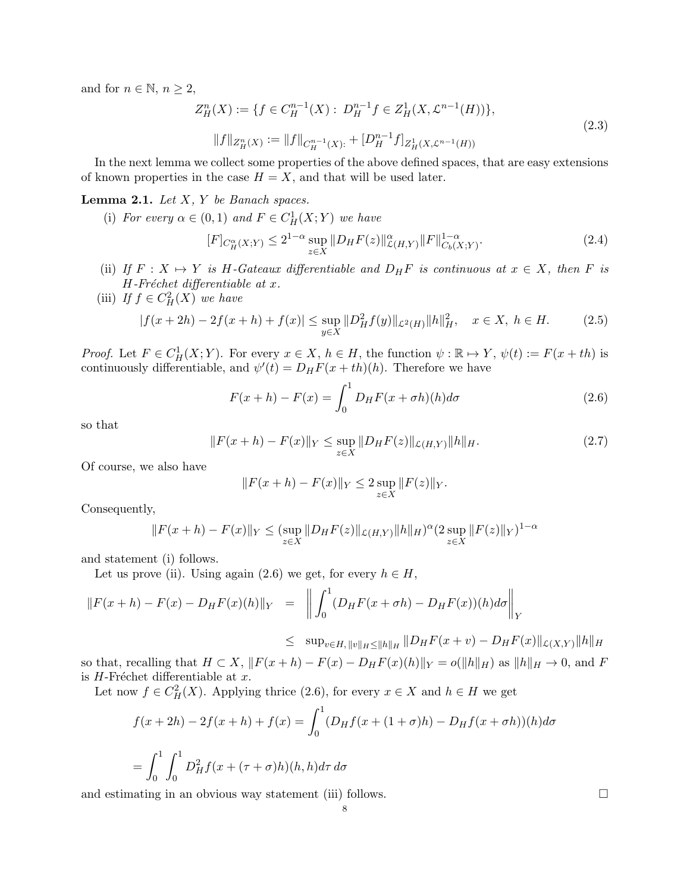and for  $n \in \mathbb{N}$ ,  $n \geq 2$ ,

$$
Z_H^n(X) := \{ f \in C_H^{n-1}(X) : D_H^{n-1} f \in Z_H^1(X, \mathcal{L}^{n-1}(H)) \},
$$
  

$$
||f||_{Z_H^n(X)} := ||f||_{C_H^{n-1}(X)} + [D_H^{n-1} f]_{Z_H^1(X, \mathcal{L}^{n-1}(H))}
$$
\n(2.3)

In the next lemma we collect some properties of the above defined spaces, that are easy extensions of known properties in the case  $H = X$ , and that will be used later.

## **Lemma 2.1.** Let  $X$ ,  $Y$  be Banach spaces.

(i) For every  $\alpha \in (0,1)$  and  $F \in C^1_H(X;Y)$  we have

$$
[F]_{C^{\alpha}_{H}(X;Y)} \le 2^{1-\alpha} \sup_{z \in X} \|D_{H}F(z)\|_{\mathcal{L}(H,Y)}^{\alpha} \|F\|_{C_{b}(X;Y)}^{1-\alpha}.
$$
 (2.4)

- (ii) If  $F: X \mapsto Y$  is H-Gateaux differentiable and  $D_HF$  is continuous at  $x \in X$ , then F is  $H$ -Fréchet differentiable at x.
- (iii) If  $f \in C^2_H(X)$  we have

$$
|f(x+2h) - 2f(x+h) + f(x)| \le \sup_{y \in X} ||D_H^2 f(y)||_{\mathcal{L}^2(H)} ||h||_H^2, \quad x \in X, \ h \in H. \tag{2.5}
$$

*Proof.* Let  $F \in C^1_H(X;Y)$ . For every  $x \in X$ ,  $h \in H$ , the function  $\psi : \mathbb{R} \mapsto Y$ ,  $\psi(t) := F(x + th)$  is continuously differentiable, and  $\psi'(t) = D_H F(x + th)(h)$ . Therefore we have

$$
F(x+h) - F(x) = \int_0^1 D_H F(x + \sigma h)(h) d\sigma \qquad (2.6)
$$

so that

$$
||F(x+h) - F(x)||_Y \le \sup_{z \in X} ||D_H F(z)||_{\mathcal{L}(H,Y)} ||h||_H.
$$
\n(2.7)

Of course, we also have

$$
||F(x+h) - F(x)||_Y \le 2 \sup_{z \in X} ||F(z)||_Y.
$$

Consequently,

$$
||F(x+h) - F(x)||_Y \leq (\sup_{z \in X} ||D_H F(z)||_{\mathcal{L}(H,Y)} ||h||_H)^{\alpha} (2 \sup_{z \in X} ||F(z)||_Y)^{1-\alpha}
$$

and statement (i) follows.

Let us prove (ii). Using again (2.6) we get, for every  $h \in H$ ,

$$
||F(x+h) - F(x) - D_H F(x)(h)||_Y = \left\| \int_0^1 (D_H F(x + \sigma h) - D_H F(x))(h) d\sigma \right\|_Y
$$

$$
\leq \sup_{v \in H, ||v||_H \leq ||h||_H} ||D_H F(x+v) - D_H F(x)||_{\mathcal{L}(X,Y)} ||h||_H
$$

so that, recalling that  $H \subset X$ ,  $||F(x+h) - F(x) - D_HF(x)(h)||_Y = o(||h||_H)$  as  $||h||_H \to 0$ , and F is  $H$ -Fréchet differentiable at  $x$ .

Let now  $f \in C^2_H(X)$ . Applying thrice (2.6), for every  $x \in X$  and  $h \in H$  we get

$$
f(x+2h) - 2f(x+h) + f(x) = \int_0^1 (D_H f(x + (1+\sigma)h) - D_H f(x + \sigma h))(h) d\sigma
$$
  
= 
$$
\int_0^1 \int_0^1 D_H^2 f(x + (\tau + \sigma)h)(h, h) d\tau d\sigma
$$

and estimating in an obvious way statement (iii) follows.  $\Box$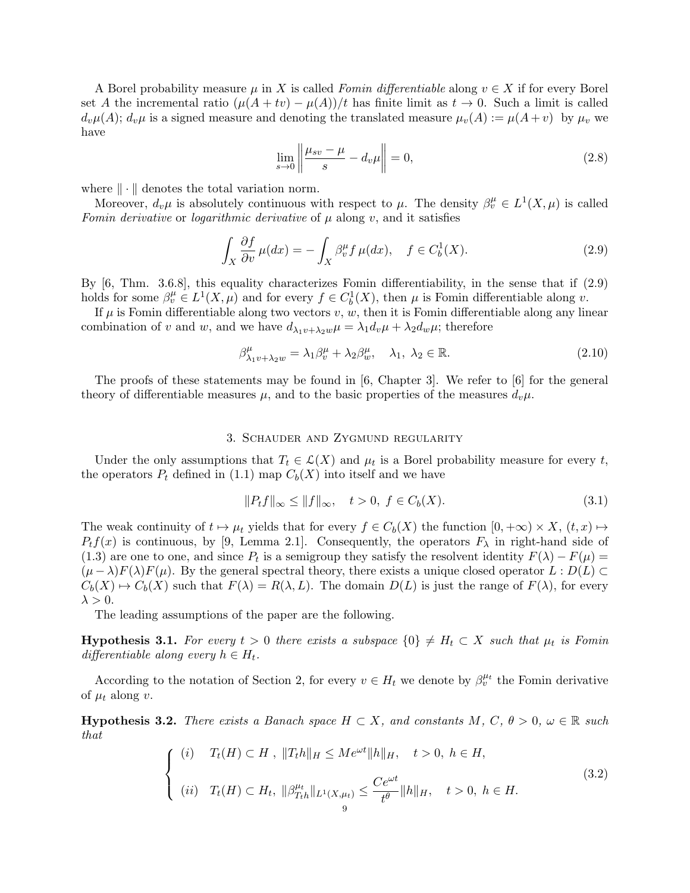A Borel probability measure  $\mu$  in X is called Fomin differentiable along  $v \in X$  if for every Borel set A the incremental ratio  $(\mu(A + tv) - \mu(A))/t$  has finite limit as  $t \to 0$ . Such a limit is called  $d_v\mu(A); d_v\mu$  is a signed measure and denoting the translated measure  $\mu_v(A) := \mu(A + v)$  by  $\mu_v$  we have

$$
\lim_{s \to 0} \left\| \frac{\mu_{sv} - \mu}{s} - d_v \mu \right\| = 0,\tag{2.8}
$$

where  $\|\cdot\|$  denotes the total variation norm.

Moreover,  $d_v\mu$  is absolutely continuous with respect to  $\mu$ . The density  $\beta_v^{\mu} \in L^1(X,\mu)$  is called Fomin derivative or logarithmic derivative of  $\mu$  along v, and it satisfies

$$
\int_{X} \frac{\partial f}{\partial v} \mu(dx) = -\int_{X} \beta_v^{\mu} f \mu(dx), \quad f \in C_b^1(X). \tag{2.9}
$$

By [6, Thm. 3.6.8], this equality characterizes Fomin differentiability, in the sense that if (2.9) holds for some  $\beta_v^{\mu} \in L^1(X, \mu)$  and for every  $f \in C_b^1(X)$ , then  $\mu$  is Fomin differentiable along  $v$ .

If  $\mu$  is Fomin differentiable along two vectors  $v, w$ , then it is Fomin differentiable along any linear combination of v and w, and we have  $d_{\lambda_1 v + \lambda_2 w} \mu = \lambda_1 d_v \mu + \lambda_2 d_w \mu$ ; therefore

$$
\beta_{\lambda_1 v + \lambda_2 w}^{\mu} = \lambda_1 \beta_v^{\mu} + \lambda_2 \beta_w^{\mu}, \quad \lambda_1, \lambda_2 \in \mathbb{R}.
$$
 (2.10)

The proofs of these statements may be found in [6, Chapter 3]. We refer to [6] for the general theory of differentiable measures  $\mu$ , and to the basic properties of the measures  $d_{\nu}\mu$ .

### 3. Schauder and Zygmund regularity

Under the only assumptions that  $T_t \in \mathcal{L}(X)$  and  $\mu_t$  is a Borel probability measure for every t, the operators  $P_t$  defined in (1.1) map  $C_b(X)$  into itself and we have

$$
||P_t f||_{\infty} \le ||f||_{\infty}, \quad t > 0, \ f \in C_b(X). \tag{3.1}
$$

The weak continuity of  $t \mapsto \mu_t$  yields that for every  $f \in C_b(X)$  the function  $[0, +\infty) \times X$ ,  $(t, x) \mapsto$  $P_t f(x)$  is continuous, by [9, Lemma 2.1]. Consequently, the operators  $F_\lambda$  in right-hand side of (1.3) are one to one, and since  $P_t$  is a semigroup they satisfy the resolvent identity  $F(\lambda) - F(\mu) =$  $(\mu - \lambda)F(\lambda)F(\mu)$ . By the general spectral theory, there exists a unique closed operator  $L : D(L) \subset$  $C_b(X) \mapsto C_b(X)$  such that  $F(\lambda) = R(\lambda, L)$ . The domain  $D(L)$  is just the range of  $F(\lambda)$ , for every  $\lambda > 0$ .

The leading assumptions of the paper are the following.

**Hypothesis 3.1.** For every  $t > 0$  there exists a subspace  $\{0\} \neq H_t \subset X$  such that  $\mu_t$  is Fomin differentiable along every  $h \in H_t$ .

According to the notation of Section 2, for every  $v \in H_t$  we denote by  $\beta_v^{\mu_t}$  the Fomin derivative of  $\mu_t$  along v.

**Hypothesis 3.2.** There exists a Banach space  $H \subset X$ , and constants  $M, C, \theta > 0, \omega \in \mathbb{R}$  such that

$$
\begin{cases}\n(i) & T_t(H) \subset H, \ \|T_t h\|_H \le M e^{\omega t} \|h\|_H, \quad t > 0, \ h \in H, \\
(ii) & T_t(H) \subset H_t, \ \|\beta_{T_t h}^{\mu_t}\|_{L^1(X, \mu_t)} \le \frac{Ce^{\omega t}}{t^{\theta}} \|h\|_H, \quad t > 0, \ h \in H.\n\end{cases}
$$
\n(3.2)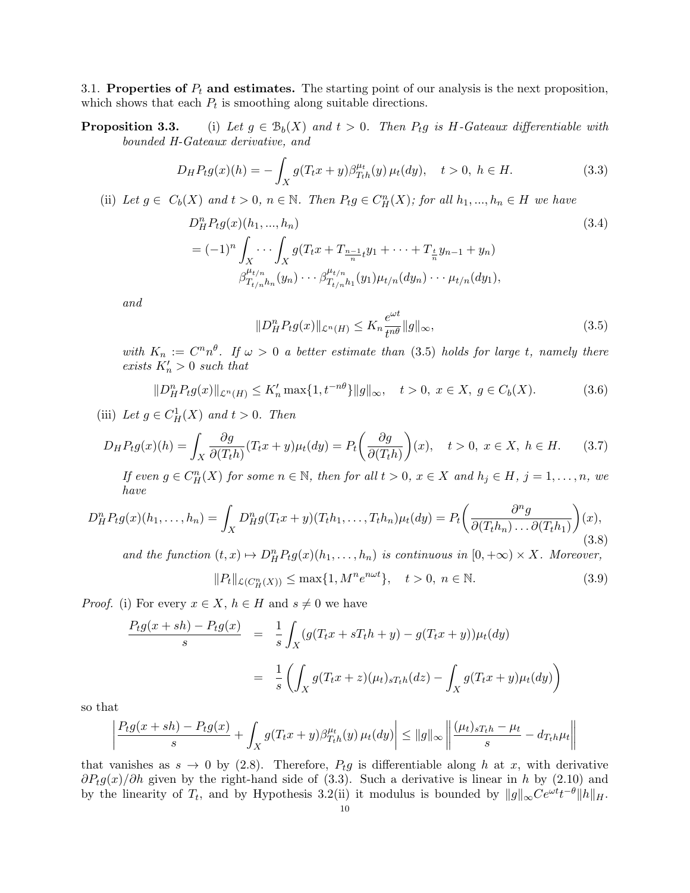3.1. Properties of  $P_t$  and estimates. The starting point of our analysis is the next proposition, which shows that each  $P_t$  is smoothing along suitable directions.

**Proposition 3.3.** (i) Let  $g \in \mathcal{B}_b(X)$  and  $t > 0$ . Then  $P_t g$  is H-Gateaux differentiable with bounded H-Gateaux derivative, and

$$
D_H P_t g(x)(h) = -\int_X g(T_t x + y) \beta_{T_t h}^{\mu t}(y) \mu_t(dy), \quad t > 0, \ h \in H. \tag{3.3}
$$

(ii) Let  $g \in C_b(X)$  and  $t > 0$ ,  $n \in \mathbb{N}$ . Then  $P_t g \in C_H^n(X)$ ; for all  $h_1, ..., h_n \in H$  we have

$$
D_H^n P_t g(x)(h_1, ..., h_n)
$$
\n
$$
= (-1)^n \int_X \cdots \int_X g(T_t x + T_{\frac{n-1}{n}t} y_1 + \cdots + T_{\frac{t}{n}} y_{n-1} + y_n)
$$
\n
$$
\beta_{T_{t/n}h_n}^{\mu_{t/n}}(y_n) \cdots \beta_{T_{t/n}h_1}^{\mu_{t/n}}(y_1) \mu_{t/n}(dy_n) \cdots \mu_{t/n}(dy_1),
$$
\n(3.4)

and

$$
||D_H^n P_t g(x)||_{\mathcal{L}^n(H)} \le K_n \frac{e^{\omega t}}{t^{n\theta}} ||g||_{\infty},
$$
\n(3.5)

with  $K_n := C^n n^{\theta}$ . If  $\omega > 0$  a better estimate than (3.5) holds for large t, namely there exists  $K'_n > 0$  such that

$$
||D_H^n P_t g(x)||_{\mathcal{L}^n(H)} \le K'_n \max\{1, t^{-n\theta}\} ||g||_{\infty}, \quad t > 0, \ x \in X, \ g \in C_b(X). \tag{3.6}
$$

(iii) Let  $g \in C^1_H(X)$  and  $t > 0$ . Then

$$
D_H P_t g(x)(h) = \int_X \frac{\partial g}{\partial (T_t h)} (T_t x + y) \mu_t(dy) = P_t \left( \frac{\partial g}{\partial (T_t h)} \right)(x), \quad t > 0, \ x \in X, \ h \in H. \tag{3.7}
$$

If even  $g \in C_H^n(X)$  for some  $n \in \mathbb{N}$ , then for all  $t > 0$ ,  $x \in X$  and  $h_j \in H$ ,  $j = 1, ..., n$ , we have

$$
D_H^n P_t g(x)(h_1,\ldots,h_n) = \int_X D_H^n g(T_t x + y)(T_t h_1,\ldots,T_t h_n) \mu_t(dy) = P_t \left(\frac{\partial^n g}{\partial (T_t h_n)\ldots\partial (T_t h_1)}\right)(x),\tag{3.8}
$$

and the function  $(t, x) \mapsto D_H^n P_t g(x)(h_1, \ldots, h_n)$  is continuous in  $[0, +\infty) \times X$ . Moreover,

$$
||P_t||_{\mathcal{L}(C_H^n(X))} \le \max\{1, M^n e^{n\omega t}\}, \quad t > 0, \ n \in \mathbb{N}.
$$
 (3.9)

*Proof.* (i) For every  $x \in X$ ,  $h \in H$  and  $s \neq 0$  we have

$$
\frac{P_t g(x+sh) - P_t g(x)}{s} = \frac{1}{s} \int_X (g(T_t x + sT_t h + y) - g(T_t x + y)) \mu_t(dy)
$$

$$
= \frac{1}{s} \left( \int_X g(T_t x + z) (\mu_t)_{sT_t h}(dz) - \int_X g(T_t x + y) \mu_t(dy) \right)
$$

so that

$$
\left|\frac{P_t g(x+sh) - P_t g(x)}{s} + \int_X g(T_t x + y) \beta_{T_t h}^{\mu_t}(y) \mu_t(dy)\right| \le ||g||_{\infty} \left\| \frac{(\mu_t)_{sT_t h} - \mu_t}{s} - d_{T_t h} \mu_t \right\|
$$

that vanishes as  $s \to 0$  by (2.8). Therefore,  $P_t g$  is differentiable along h at x, with derivative  $\partial P_t g(x)/\partial h$  given by the right-hand side of (3.3). Such a derivative is linear in h by (2.10) and by the linearity of  $T_t$ , and by Hypothesis 3.2(ii) it modulus is bounded by  $||g||_{\infty}Ce^{\omega t}t^{-\theta}||h||_H$ .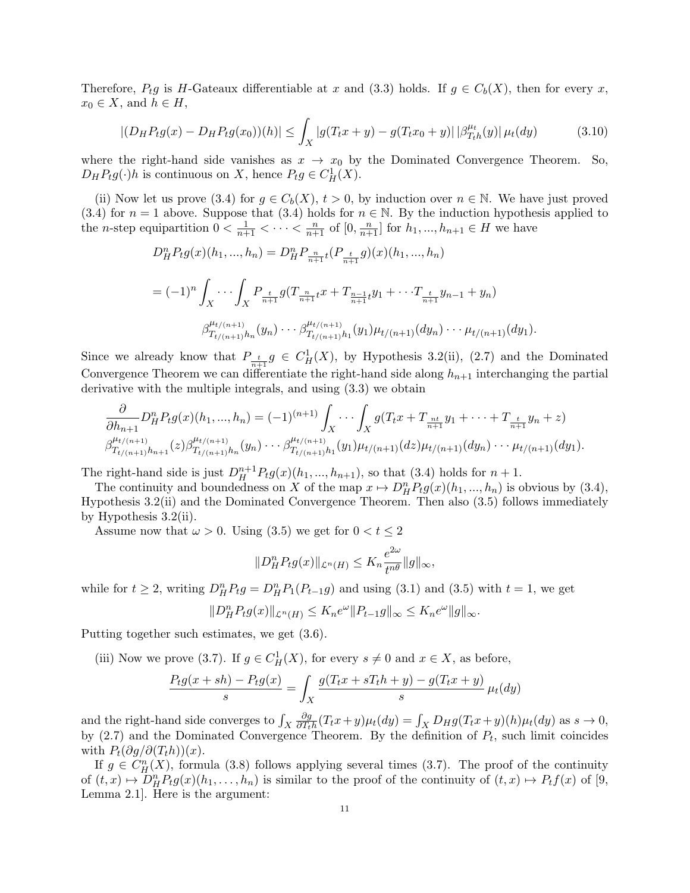Therefore,  $P_t g$  is H-Gateaux differentiable at x and (3.3) holds. If  $g \in C_b(X)$ , then for every x,  $x_0 \in X$ , and  $h \in H$ ,

$$
|(D_H P_t g(x) - D_H P_t g(x_0))(h)| \leq \int_X |g(T_t x + y) - g(T_t x_0 + y)| |\beta_{T_t h}^{\mu_t}(y)| \mu_t(dy) \tag{3.10}
$$

where the right-hand side vanishes as  $x \to x_0$  by the Dominated Convergence Theorem. So,  $D_H P_t g(\cdot)h$  is continuous on X, hence  $P_t g \in C^1_H(X)$ .

(ii) Now let us prove (3.4) for  $g \in C_b(X)$ ,  $t > 0$ , by induction over  $n \in \mathbb{N}$ . We have just proved (3.4) for  $n = 1$  above. Suppose that (3.4) holds for  $n \in \mathbb{N}$ . By the induction hypothesis applied to the *n*-step equipartition  $0 < \frac{1}{n+1} < \cdots < \frac{n}{n+1}$  of  $[0, \frac{n}{n+1}]$  for  $h_1, ..., h_{n+1} \in H$  we have

$$
D_{H}^{n}P_{t}g(x)(h_{1},...,h_{n}) = D_{H}^{n}P_{\frac{n}{n+1}t}(P_{\frac{t}{n+1}}g)(x)(h_{1},...,h_{n})
$$
  

$$
= (-1)^{n} \int_{X} \cdots \int_{X} P_{\frac{t}{n+1}}g(T_{\frac{n}{n+1}t}x + T_{\frac{n-1}{n+1}t}y_{1} + \cdots T_{\frac{t}{n+1}}y_{n-1} + y_{n})
$$
  

$$
\beta_{T_{t/(n+1)}h_{n}}^{\mu_{t/(n+1)}}(y_{n}) \cdots \beta_{T_{t/(n+1)}h_{1}}^{\mu_{t/(n+1)}}(y_{1})\mu_{t/(n+1)}(dy_{n}) \cdots \mu_{t/(n+1)}(dy_{1}).
$$

Since we already know that  $P_{\frac{t}{n+1}}g \in C_H^1(X)$ , by Hypothesis 3.2(ii), (2.7) and the Dominated Convergence Theorem we can differentiate the right-hand side along  $h_{n+1}$  interchanging the partial derivative with the multiple integrals, and using (3.3) we obtain

$$
\frac{\partial}{\partial h_{n+1}} D^n_H P_t g(x)(h_1, ..., h_n) = (-1)^{(n+1)} \int_X \cdots \int_X g(T_t x + T_{\frac{n t}{n+1}} y_1 + \cdots + T_{\frac{t}{n+1}} y_n + z) \beta_{T_{t/(n+1)}}^{\mu_{t/(n+1)}} h_{n+1}(z) \beta_{T_{t/(n+1)}}^{\mu_{t/(n+1)}}(y_n) \cdots \beta_{T_{t/(n+1)}}^{\mu_{t/(n+1)}}(y_1) \mu_{t/(n+1)}(dz) \mu_{t/(n+1)}(dy_n) \cdots \mu_{t/(n+1)}(dy_1).
$$

The right-hand side is just  $D_H^{n+1} P_t g(x)(h_1, ..., h_{n+1})$ , so that (3.4) holds for  $n+1$ .

The continuity and boundedness on X of the map  $x \mapsto D_H^n P_t g(x)(h_1, ..., h_n)$  is obvious by (3.4), Hypothesis 3.2(ii) and the Dominated Convergence Theorem. Then also (3.5) follows immediately by Hypothesis 3.2(ii).

Assume now that  $\omega > 0$ . Using (3.5) we get for  $0 < t \leq 2$ 

$$
||D_H^n P_t g(x)||_{\mathcal{L}^n(H)} \leq K_n \frac{e^{2\omega}}{t^{n\theta}} ||g||_{\infty},
$$

while for  $t \geq 2$ , writing  $D_{H}^{n}P_{t}g = D_{H}^{n}P_{1}(P_{t-1}g)$  and using (3.1) and (3.5) with  $t = 1$ , we get

$$
||D_H^n P_t g(x)||_{\mathcal{L}^n(H)} \leq K_n e^{\omega} ||P_{t-1}g||_{\infty} \leq K_n e^{\omega} ||g||_{\infty}.
$$

Putting together such estimates, we get (3.6).

(iii) Now we prove (3.7). If  $g \in C_H^1(X)$ , for every  $s \neq 0$  and  $x \in X$ , as before,

$$
\frac{P_t g(x+sh) - P_t g(x)}{s} = \int_X \frac{g(T_t x + sT_t h + y) - g(T_t x + y)}{s} \mu_t(dy)
$$

and the right-hand side converges to  $\int_X$ ∂g  $\frac{\partial g}{\partial T_{th}}(T_{t}x+y)\mu_{t}(dy) = \int_{X} D_{H}g(T_{t}x+y)(h)\mu_{t}(dy)$  as  $s \to 0$ , by  $(2.7)$  and the Dominated Convergence Theorem. By the definition of  $P_t$ , such limit coincides with  $P_t(\partial q/\partial (T_th))(x)$ .

If  $g \in C_H^n(X)$ , formula (3.8) follows applying several times (3.7). The proof of the continuity of  $(t, x) \mapsto D_H^n P_t g(x)(h_1, \ldots, h_n)$  is similar to the proof of the continuity of  $(t, x) \mapsto P_t f(x)$  of [9, Lemma 2.1]. Here is the argument: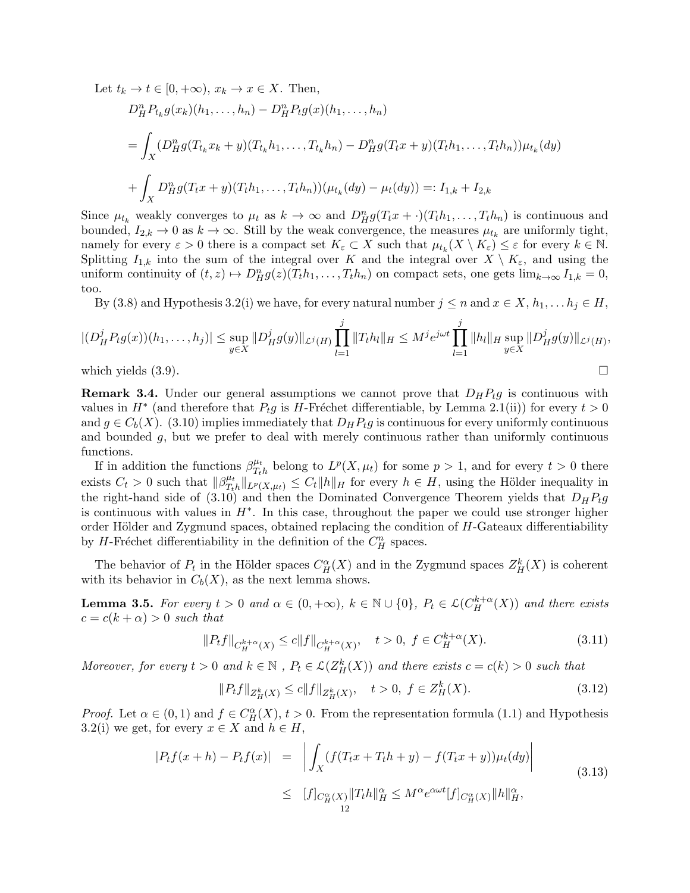Let  $t_k \to t \in [0, +\infty)$ ,  $x_k \to x \in X$ . Then,

$$
D_H^n P_{t_k} g(x_k)(h_1, \dots, h_n) - D_H^n P_t g(x)(h_1, \dots, h_n)
$$
  
= 
$$
\int_X (D_H^n g(T_{t_k} x_k + y)(T_{t_k} h_1, \dots, T_{t_k} h_n) - D_H^n g(T_t x + y)(T_t h_1, \dots, T_t h_n)) \mu_{t_k}(dy)
$$
  
+ 
$$
\int_X D_H^n g(T_t x + y)(T_t h_1, \dots, T_t h_n)) (\mu_{t_k}(dy) - \mu_t(dy)) =: I_{1,k} + I_{2,k}
$$

Since  $\mu_{t_k}$  weakly converges to  $\mu_t$  as  $k \to \infty$  and  $D_H^n g(T_t x + \cdot)(T_t h_1, \ldots, T_t h_n)$  is continuous and bounded,  $I_{2,k} \to 0$  as  $k \to \infty$ . Still by the weak convergence, the measures  $\mu_{t_k}$  are uniformly tight, namely for every  $\varepsilon > 0$  there is a compact set  $K_{\varepsilon} \subset X$  such that  $\mu_{t_k}(X \setminus K_{\varepsilon}) \leq \varepsilon$  for every  $k \in \mathbb{N}$ . Splitting  $I_{1,k}$  into the sum of the integral over K and the integral over  $X \setminus K_{\varepsilon}$ , and using the uniform continuity of  $(t, z) \mapsto D_H^n g(z) (T_t h_1, \dots, T_t h_n)$  on compact sets, one gets  $\lim_{k \to \infty} I_{1,k} = 0$ , too.

By (3.8) and Hypothesis 3.2(i) we have, for every natural number  $j \leq n$  and  $x \in X$ ,  $h_1, \ldots h_j \in H$ ,

$$
|(D_H^j P_t g(x))(h_1,\ldots,h_j)| \leq \sup_{y\in X} ||D_H^j g(y)||_{\mathcal{L}^j(H)} \prod_{l=1}^j ||T_th_l||_H \leq M^j e^{j\omega t} \prod_{l=1}^j ||h_l||_H \sup_{y\in X} ||D_H^j g(y)||_{\mathcal{L}^j(H)},
$$

which yields  $(3.9)$ .

**Remark 3.4.** Under our general assumptions we cannot prove that  $D_H P_t g$  is continuous with values in  $H^*$  (and therefore that  $P_t g$  is H-Fréchet differentiable, by Lemma 2.1(ii)) for every  $t > 0$ and  $g \in C_b(X)$ . (3.10) implies immediately that  $D_H P_t g$  is continuous for every uniformly continuous and bounded  $g$ , but we prefer to deal with merely continuous rather than uniformly continuous functions.

If in addition the functions  $\beta_{T_1}^{\mu_t}$  $T_{th}^{\mu_t}$  belong to  $L^p(X, \mu_t)$  for some  $p > 1$ , and for every  $t > 0$  there exists  $C_t > 0$  such that  $\|\beta_{T_t}^{\mu_t}\|$  $T_{th}^{\mu_t} \|_{L^p(X, \mu_t)} \leq C_t \|h\|_H$  for every  $h \in H$ , using the Hölder inequality in the right-hand side of (3.10) and then the Dominated Convergence Theorem yields that  $D_H P_t g$ is continuous with values in  $H^*$ . In this case, throughout the paper we could use stronger higher order Hölder and Zygmund spaces, obtained replacing the condition of  $H$ -Gateaux differentiability by H-Fréchet differentiability in the definition of the  $C_H^n$  spaces.

The behavior of  $P_t$  in the Hölder spaces  $C_H^{\alpha}(X)$  and in the Zygmund spaces  $Z_H^k(X)$  is coherent with its behavior in  $C_b(X)$ , as the next lemma shows.

**Lemma 3.5.** For every  $t > 0$  and  $\alpha \in (0, +\infty)$ ,  $k \in \mathbb{N} \cup \{0\}$ ,  $P_t \in \mathcal{L}(C_H^{k+\alpha}(X))$  and there exists  $c = c(k + \alpha) > 0$  such that

$$
||P_t f||_{C_H^{k+\alpha}(X)} \le c||f||_{C_H^{k+\alpha}(X)}, \quad t > 0, \ f \in C_H^{k+\alpha}(X). \tag{3.11}
$$

Moreover, for every  $t > 0$  and  $k \in \mathbb{N}$ ,  $P_t \in \mathcal{L}(Z_H^k(X))$  and there exists  $c = c(k) > 0$  such that

$$
||P_t f||_{Z_H^k(X)} \le c||f||_{Z_H^k(X)}, \quad t > 0, \ f \in Z_H^k(X). \tag{3.12}
$$

*Proof.* Let  $\alpha \in (0,1)$  and  $f \in C_H^{\alpha}(X)$ ,  $t > 0$ . From the representation formula (1.1) and Hypothesis 3.2(i) we get, for every  $x \in X$  and  $h \in H$ ,

$$
|P_t f(x+h) - P_t f(x)| = \left| \int_X (f(T_t x + T_t h + y) - f(T_t x + y)) \mu_t(dy) \right|
$$
  
 
$$
\leq [f]_{C_H^{\alpha}(X)} ||T_t h||_H^{\alpha} \leq M^{\alpha} e^{\alpha \omega t} [f]_{C_H^{\alpha}(X)} ||h||_H^{\alpha},
$$
\n(3.13)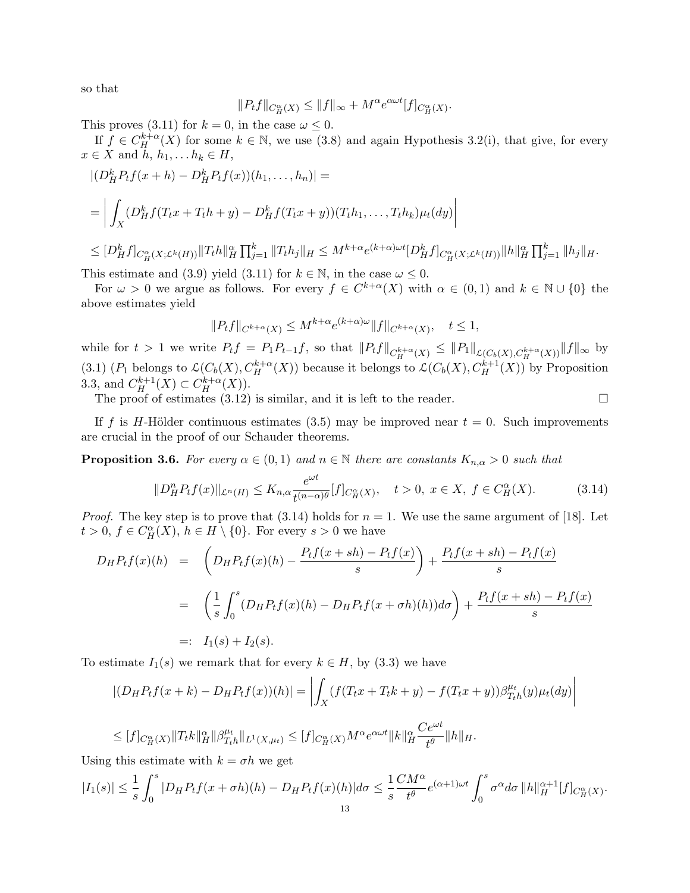so that

$$
||P_t f||_{C_H^{\alpha}(X)} \le ||f||_{\infty} + M^{\alpha} e^{\alpha \omega t} [f]_{C_H^{\alpha}(X)}.
$$

This proves (3.11) for  $k = 0$ , in the case  $\omega \leq 0$ .

If  $f \in C_H^{k+\alpha}(X)$  for some  $k \in \mathbb{N}$ , we use (3.8) and again Hypothesis 3.2(i), that give, for every  $x \in X$  and  $h, h_1, \ldots h_k \in H$ ,

$$
\begin{aligned} &\left| (D_H^k P_t f(x+h) - D_H^k P_t f(x))(h_1, \dots, h_n) \right| = \\ &= \left| \int_X (D_H^k f(T_t x + T_t h + y) - D_H^k f(T_t x + y))(T_t h_1, \dots, T_t h_k) \mu_t(dy) \right| \\ &\leq [D_H^k f]_{C_H^\alpha(X; \mathcal{L}^k(H))} \|T_t h\|_H^\alpha \prod_{j=1}^k \|T_t h_j\|_H \leq M^{k+\alpha} e^{(k+\alpha)\omega t} [D_H^k f]_{C_H^\alpha(X; \mathcal{L}^k(H))} \|h\|_H^\alpha \prod_{j=1}^k \|h_j\|_H. \end{aligned}
$$

This estimate and (3.9) yield (3.11) for  $k \in \mathbb{N}$ , in the case  $\omega \leq 0$ .

For  $\omega > 0$  we argue as follows. For every  $f \in C^{k+\alpha}(X)$  with  $\alpha \in (0,1)$  and  $k \in \mathbb{N} \cup \{0\}$  the above estimates yield

$$
||P_t f||_{C^{k+\alpha}(X)} \le M^{k+\alpha} e^{(k+\alpha)\omega} ||f||_{C^{k+\alpha}(X)}, \quad t \le 1,
$$

while for  $t > 1$  we write  $P_t f = P_1 P_{t-1} f$ , so that  $||P_t f||_{C_H^{k+\alpha}(X)} \leq ||P_1||_{\mathcal{L}(C_b(X), C_H^{k+\alpha}(X))} ||f||_{\infty}$  by (3.1) ( $P_1$  belongs to  $\mathcal{L}(C_b(X), C_H^{k+\alpha}(X))$  because it belongs to  $\mathcal{L}(C_b(X), C_H^{k+1}(X))$  by Proposition 3.3, and  $C_H^{k+1}(X) \subset C_H^{k+\alpha}(X)$ .

The proof of estimates  $(3.12)$  is similar, and it is left to the reader.

If f is H-Hölder continuous estimates (3.5) may be improved near  $t = 0$ . Such improvements are crucial in the proof of our Schauder theorems.

**Proposition 3.6.** For every  $\alpha \in (0,1)$  and  $n \in \mathbb{N}$  there are constants  $K_{n,\alpha} > 0$  such that

$$
||D_H^n P_t f(x)||_{\mathcal{L}^n(H)} \le K_{n,\alpha} \frac{e^{\omega t}}{t^{(n-\alpha)\theta}} [f]_{C_H^\alpha(X)}, \quad t > 0, \ x \in X, \ f \in C_H^\alpha(X). \tag{3.14}
$$

*Proof.* The key step is to prove that  $(3.14)$  holds for  $n = 1$ . We use the same argument of [18]. Let  $t > 0, f \in C_H^{\alpha}(X), h \in H \setminus \{0\}.$  For every  $s > 0$  we have

$$
D_{H}P_{t}f(x)(h) = \left(D_{H}P_{t}f(x)(h) - \frac{P_{t}f(x+sh) - P_{t}f(x)}{s}\right) + \frac{P_{t}f(x+sh) - P_{t}f(x)}{s}
$$
  
= 
$$
\left(\frac{1}{s}\int_{0}^{s}(D_{H}P_{t}f(x)(h) - D_{H}P_{t}f(x+oh)(h))d\sigma\right) + \frac{P_{t}f(x+sh) - P_{t}f(x)}{s}
$$
  
=:  $I_{1}(s) + I_{2}(s).$ 

To estimate  $I_1(s)$  we remark that for every  $k \in H$ , by  $(3.3)$  we have

$$
|(D_H P_t f(x + k) - D_H P_t f(x))(h)| = \left| \int_X (f(T_t x + T_t k + y) - f(T_t x + y)) \beta_{T_t h}^{\mu_t}(y) \mu_t(dy) \right|
$$
  
\n
$$
\leq [f]_{C_H^{\alpha}(X)} ||T_t k||_H^{\alpha} ||\beta_{T_t h}^{\mu_t} ||_{L^1(X, \mu_t)} \leq [f]_{C_H^{\alpha}(X)} M^{\alpha} e^{\alpha \omega t} ||k||_H^{\alpha} \frac{Ce^{\omega t}}{t^{\theta}} ||h||_H.
$$

$$
\leq [f]_{C_H^{\alpha}(X)} \|T_t k\|_H^{\alpha} \|\beta_{T_t h}^{\mu_t}\|_{L^1(X, \mu_t)} \leq [f]_{C_H^{\alpha}(X)} M^{\alpha} e^{\alpha \omega}
$$

Using this estimate with  $k = \sigma h$  we get

$$
|I_1(s)| \leq \frac{1}{s} \int_0^s |D_H P_t f(x+\sigma h)(h) - D_H P_t f(x)(h)| d\sigma \leq \frac{1}{s} \frac{CM^{\alpha}}{t^{\theta}} e^{(\alpha+1)\omega t} \int_0^s \sigma^{\alpha} d\sigma \, \|h\|_H^{\alpha+1} [f]_{C_H^{\alpha}}(X) .
$$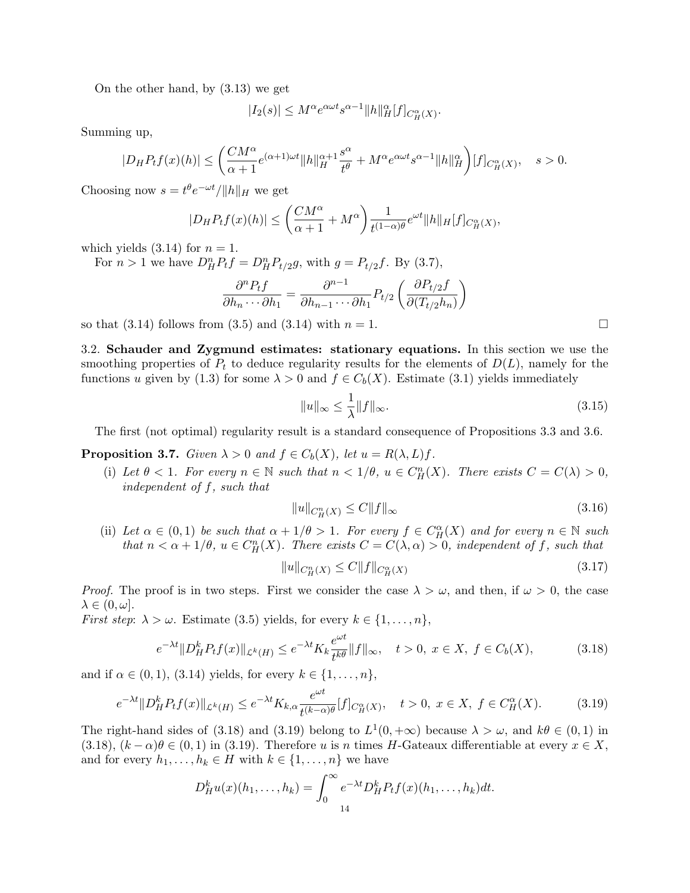On the other hand, by (3.13) we get

$$
|I_2(s)|\leq M^{\alpha}e^{\alpha\omega t}s^{\alpha-1}\|h\|^{\alpha}_H[f]_{C^{\alpha}_H(X)}.
$$

Summing up,

$$
|D_HP_tf(x)(h)|\leq \bigg(\frac{CM^\alpha}{\alpha+1}e^{(\alpha+1)\omega t}\|h\|_H^{\alpha+1}\frac{s^\alpha}{t^\theta}+M^\alpha e^{\alpha\omega t}s^{\alpha-1}\|h\|_H^\alpha\bigg)[f]_{C^\alpha_H(X)},\quad s>0.
$$

Choosing now  $s = t^{\theta} e^{-\omega t} / ||h||_H$  we get

$$
|D_H P_t f(x)(h)| \leq \left(\frac{CM^{\alpha}}{\alpha+1} + M^{\alpha}\right) \frac{1}{t^{(1-\alpha)\theta}} e^{\omega t} ||h||_H [f]_{C_H^{\alpha}}(X),
$$

which yields  $(3.14)$  for  $n = 1$ .

For  $n > 1$  we have  $D_{H}^{n}P_{t}f = D_{H}^{n}P_{t/2}g$ , with  $g = P_{t/2}f$ . By (3.7),

$$
\frac{\partial^n P_t f}{\partial h_n \cdots \partial h_1} = \frac{\partial^{n-1}}{\partial h_{n-1} \cdots \partial h_1} P_{t/2} \left( \frac{\partial P_{t/2} f}{\partial (T_{t/2} h_n)} \right)
$$

so that  $(3.14)$  follows from  $(3.5)$  and  $(3.14)$  with  $n = 1$ .

3.2. Schauder and Zygmund estimates: stationary equations. In this section we use the smoothing properties of  $P_t$  to deduce regularity results for the elements of  $D(L)$ , namely for the functions u given by (1.3) for some  $\lambda > 0$  and  $f \in C_b(X)$ . Estimate (3.1) yields immediately

$$
||u||_{\infty} \le \frac{1}{\lambda} ||f||_{\infty}.
$$
\n(3.15)

The first (not optimal) regularity result is a standard consequence of Propositions 3.3 and 3.6.

**Proposition 3.7.** Given  $\lambda > 0$  and  $f \in C_b(X)$ , let  $u = R(\lambda, L)f$ .

(i) Let  $\theta < 1$ . For every  $n \in \mathbb{N}$  such that  $n < 1/\theta$ ,  $u \in C_H^n(X)$ . There exists  $C = C(\lambda) > 0$ , independent of f, such that

$$
||u||_{C^n_H(X)} \le C||f||_{\infty} \tag{3.16}
$$

(ii) Let  $\alpha \in (0,1)$  be such that  $\alpha + 1/\theta > 1$ . For every  $f \in C_H^{\alpha}(X)$  and for every  $n \in \mathbb{N}$  such that  $n < \alpha + 1/\theta$ ,  $u \in C_H^n(X)$ . There exists  $C = C(\lambda, \alpha) > 0$ , independent of f, such that

$$
||u||_{C^n_H(X)} \le C||f||_{C^{\alpha}_H(X)}\tag{3.17}
$$

*Proof.* The proof is in two steps. First we consider the case  $\lambda > \omega$ , and then, if  $\omega > 0$ , the case  $\lambda \in (0, \omega].$ 

*First step:*  $\lambda > \omega$ . Estimate (3.5) yields, for every  $k \in \{1, \ldots, n\}$ ,

$$
e^{-\lambda t} \|D_H^k P_t f(x)\|_{\mathcal{L}^k(H)} \le e^{-\lambda t} K_k \frac{e^{\omega t}}{t^{k\theta}} \|f\|_{\infty}, \quad t > 0, \ x \in X, \ f \in C_b(X), \tag{3.18}
$$

and if  $\alpha \in (0, 1)$ , (3.14) yields, for every  $k \in \{1, ..., n\}$ ,

$$
e^{-\lambda t} \|D_H^k P_t f(x)\|_{\mathcal{L}^k(H)} \le e^{-\lambda t} K_{k, \alpha} \frac{e^{\omega t}}{t^{(k-\alpha)\theta}} [f]_{C_H^{\alpha}(X)}, \quad t > 0, \ x \in X, \ f \in C_H^{\alpha}(X). \tag{3.19}
$$

The right-hand sides of (3.18) and (3.19) belong to  $L^1(0, +\infty)$  because  $\lambda > \omega$ , and  $k\theta \in (0, 1)$  in (3.18),  $(k - \alpha)\theta \in (0, 1)$  in (3.19). Therefore u is n times H-Gateaux differentiable at every  $x \in X$ , and for every  $h_1, \ldots, h_k \in H$  with  $k \in \{1, \ldots, n\}$  we have

$$
D_H^k u(x)(h_1,\ldots,h_k) = \int_0^\infty e^{-\lambda t} D_H^k P_t f(x)(h_1,\ldots,h_k) dt.
$$

|  | _ |  |  |
|--|---|--|--|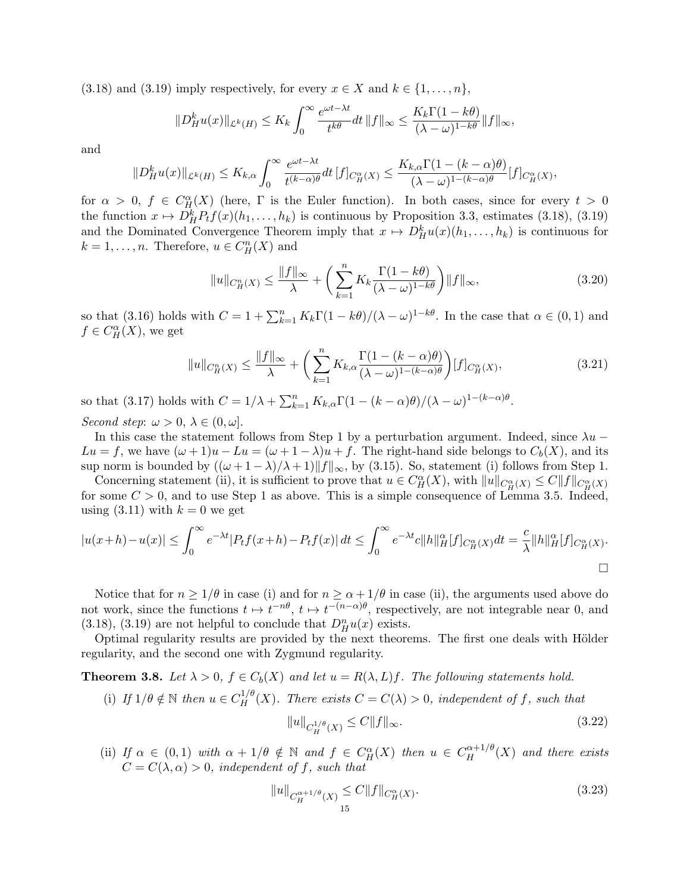(3.18) and (3.19) imply respectively, for every  $x \in X$  and  $k \in \{1, \ldots, n\}$ ,

$$
||D_H^ku(x)||_{\mathcal{L}^k(H)} \leq K_k \int_0^\infty \frac{e^{\omega t - \lambda t}}{t^{k\theta}} dt \, ||f||_{\infty} \leq \frac{K_k \Gamma(1 - k\theta)}{(\lambda - \omega)^{1 - k\theta}} ||f||_{\infty},
$$

and

$$
\|D^k_H u(x)\|_{\mathcal{L}^k(H)} \leq K_{k,\alpha} \int_0^\infty \frac{e^{\omega t - \lambda t}}{t^{(k-\alpha)\theta}} dt \, [f]_{C_H^\alpha(X)} \leq \frac{K_{k,\alpha} \Gamma(1 - (k-\alpha)\theta)}{(\lambda - \omega)^{1 - (k-\alpha)\theta}} [f]_{C_H^\alpha(X)},
$$

for  $\alpha > 0$ ,  $f \in C_H^{\alpha}(X)$  (here,  $\Gamma$  is the Euler function). In both cases, since for every  $t > 0$ the function  $x \mapsto D_H^k P_t f(x)(h_1, \ldots, h_k)$  is continuous by Proposition 3.3, estimates (3.18), (3.19) and the Dominated Convergence Theorem imply that  $x \mapsto D_H^k u(x) (h_1, \ldots, h_k)$  is continuous for  $k = 1, \ldots, n$ . Therefore,  $u \in C_H^n(X)$  and

$$
||u||_{C_H^n(X)} \le \frac{||f||_{\infty}}{\lambda} + \left(\sum_{k=1}^n K_k \frac{\Gamma(1-k\theta)}{(\lambda-\omega)^{1-k\theta}}\right) ||f||_{\infty},\tag{3.20}
$$

so that (3.16) holds with  $C = 1 + \sum_{k=1}^{n} K_k \Gamma(1 - k\theta) / (\lambda - \omega)^{1 - k\theta}$ . In the case that  $\alpha \in (0, 1)$  and  $f \in C^{\alpha}_H(X)$ , we get

$$
||u||_{C_H^n(X)} \le \frac{||f||_{\infty}}{\lambda} + \left(\sum_{k=1}^n K_{k,\alpha} \frac{\Gamma(1 - (k - \alpha)\theta)}{(\lambda - \omega)^{1 - (k - \alpha)\theta}}\right) [f]_{C_H^\alpha(X)},
$$
\n(3.21)

so that (3.17) holds with  $C = 1/\lambda + \sum_{k=1}^{n} K_{k,\alpha} \Gamma(1 - (k - \alpha)\theta)/(\lambda - \omega)^{1 - (k - \alpha)\theta}$ .

Second step:  $\omega > 0, \lambda \in (0, \omega]$ .

In this case the statement follows from Step 1 by a perturbation argument. Indeed, since  $\lambda u Lu = f$ , we have  $(\omega + 1)u - Lu = (\omega + 1 - \lambda)u + f$ . The right-hand side belongs to  $C_b(X)$ , and its sup norm is bounded by  $((\omega + 1 - \lambda)/\lambda + 1) \|f\|_{\infty}$ , by (3.15). So, statement (i) follows from Step 1.

Concerning statement (ii), it is sufficient to prove that  $u \in C_H^{\alpha}(X)$ , with  $||u||_{C_H^{\alpha}(X)} \leq C ||f||_{C_H^{\alpha}(X)}$ for some  $C > 0$ , and to use Step 1 as above. This is a simple consequence of Lemma 3.5. Indeed, using  $(3.11)$  with  $k = 0$  we get

$$
|u(x+h)-u(x)| \leq \int_0^\infty e^{-\lambda t} |P_t f(x+h) - P_t f(x)| dt \leq \int_0^\infty e^{-\lambda t} c \|h\|_H^\alpha [f]_{C_H^\alpha(X)} dt = \frac{c}{\lambda} \|h\|_H^\alpha [f]_{C_H^\alpha(X)}.
$$

Notice that for  $n \geq 1/\theta$  in case (i) and for  $n \geq \alpha + 1/\theta$  in case (ii), the arguments used above do not work, since the functions  $t \mapsto t^{-n\theta}$ ,  $t \mapsto t^{-(n-\alpha)\theta}$ , respectively, are not integrable near 0, and (3.18), (3.19) are not helpful to conclude that  $D_{H}^{n}u(x)$  exists.

Optimal regularity results are provided by the next theorems. The first one deals with Hölder regularity, and the second one with Zygmund regularity.

**Theorem 3.8.** Let  $\lambda > 0$ ,  $f \in C_b(X)$  and let  $u = R(\lambda, L)f$ . The following statements hold.

(i) If  $1/\theta \notin \mathbb{N}$  then  $u \in C_H^{1/\theta}(X)$ . There exists  $C = C(\lambda) > 0$ , independent of f, such that

$$
||u||_{C_H^{1/\theta}(X)} \le C||f||_{\infty}.
$$
\n(3.22)

(ii) If  $\alpha \in (0,1)$  with  $\alpha + 1/\theta \notin \mathbb{N}$  and  $f \in C_H^{\alpha}(X)$  then  $u \in C_H^{\alpha+1/\theta}(X)$  and there exists  $C = C(\lambda, \alpha) > 0$ , independent of f, such that

$$
||u||_{C_H^{\alpha+1/\theta}(X)} \le C||f||_{C_H^{\alpha}(X)}.
$$
\n(3.23)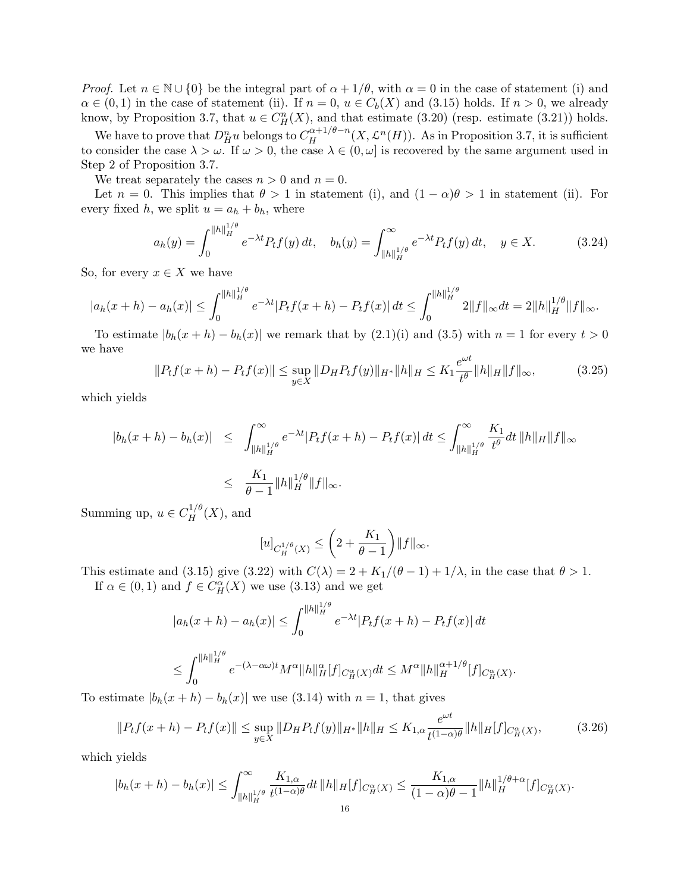*Proof.* Let  $n \in \mathbb{N} \cup \{0\}$  be the integral part of  $\alpha + 1/\theta$ , with  $\alpha = 0$  in the case of statement (i) and  $\alpha \in (0,1)$  in the case of statement (ii). If  $n = 0$ ,  $u \in C_b(X)$  and (3.15) holds. If  $n > 0$ , we already know, by Proposition 3.7, that  $u \in C_H^n(X)$ , and that estimate (3.20) (resp. estimate (3.21)) holds.

We have to prove that  $D_{H}^{n}u$  belongs to  $C_{H}^{\alpha+1/\theta-n}(X,\mathcal{L}^{n}(H))$ . As in Proposition 3.7, it is sufficient to consider the case  $\lambda > \omega$ . If  $\omega > 0$ , the case  $\lambda \in (0, \omega]$  is recovered by the same argument used in Step 2 of Proposition 3.7.

We treat separately the cases  $n > 0$  and  $n = 0$ .

Let  $n = 0$ . This implies that  $\theta > 1$  in statement (i), and  $(1 - \alpha)\theta > 1$  in statement (ii). For every fixed h, we split  $u = a_h + b_h$ , where

$$
a_h(y) = \int_0^{\|h\|_H^{1/\theta}} e^{-\lambda t} P_t f(y) dt, \quad b_h(y) = \int_{\|h\|_H^{1/\theta}}^{\infty} e^{-\lambda t} P_t f(y) dt, \quad y \in X.
$$
 (3.24)

So, for every  $x \in X$  we have

$$
|a_h(x+h)-a_h(x)|\leq \int_0^{\|h\|_H^{1/\theta}}e^{-\lambda t}|P_tf(x+h)-P_tf(x)|\,dt\leq \int_0^{\|h\|_H^{1/\theta}}2\|f\|_\infty dt=2\|h\|_H^{1/\theta}\|f\|_\infty.
$$

To estimate  $|b_h(x+h) - b_h(x)|$  we remark that by  $(2.1)(i)$  and  $(3.5)$  with  $n = 1$  for every  $t > 0$ we have ωt

$$
||P_t f(x+h) - P_t f(x)|| \le \sup_{y \in X} ||D_H P_t f(y)||_{H^*} ||h||_H \le K_1 \frac{e^{\omega t}}{t^{\theta}} ||h||_H ||f||_{\infty},
$$
\n(3.25)

which yields

$$
\begin{array}{rcl} |b_h(x+h) - b_h(x)| & \leq & \int_{\|h\|_H^{1/\theta}}^{\infty} e^{-\lambda t} |P_t f(x+h) - P_t f(x)| \, dt \leq & \int_{\|h\|_H^{1/\theta}}^{\infty} \frac{K_1}{t^{\theta}} dt \, \|h\|_H \|f\|_{\infty} \\ \\ & \leq & \frac{K_1}{\theta - 1} \|h\|_H^{1/\theta} \|f\|_{\infty} .\end{array}
$$

Summing up,  $u \in C_H^{1/\theta}(X)$ , and

$$
[u]_{C_H^{1/\theta}(X)} \le \left(2 + \frac{K_1}{\theta - 1}\right) ||f||_{\infty}.
$$

This estimate and (3.15) give (3.22) with  $C(\lambda) = 2 + K_1/(\theta - 1) + 1/\lambda$ , in the case that  $\theta > 1$ . If  $\alpha \in (0,1)$  and  $f \in C_H^{\alpha}(X)$  we use  $(3.13)$  and we get

$$
|a_h(x+h) - a_h(x)| \le \int_0^{\|h\|_H^{1/\theta}} e^{-\lambda t} |P_t f(x+h) - P_t f(x)| dt
$$
  

$$
\le \int_0^{\|h\|_H^{1/\theta}} e^{-(\lambda - \alpha \omega)t} M^{\alpha} \|h\|_H^{\alpha} [f]_{C_H^{\alpha}}(x) dt \le M^{\alpha} \|h\|_H^{\alpha+1/\theta} [f]_{C_H^{\alpha}}(x).
$$

To estimate  $|b_h(x+h) - b_h(x)|$  we use (3.14) with  $n = 1$ , that gives

$$
||P_t f(x+h) - P_t f(x)|| \le \sup_{y \in X} ||D_H P_t f(y)||_{H^*} ||h||_H \le K_{1,\alpha} \frac{e^{\omega t}}{t^{(1-\alpha)\theta}} ||h||_H [f]_{C_H^{\alpha}(X)},
$$
(3.26)

which yields

$$
|b_h(x+h) - b_h(x)| \le \int_{\|h\|_H^{1/\theta}}^{\infty} \frac{K_{1,\alpha}}{t^{(1-\alpha)\theta}} dt \, \|h\|_H [f]_{C_H^{\alpha}}(x) \le \frac{K_{1,\alpha}}{(1-\alpha)\theta - 1} \|h\|_H^{1/\theta + \alpha} [f]_{C_H^{\alpha}}(x).
$$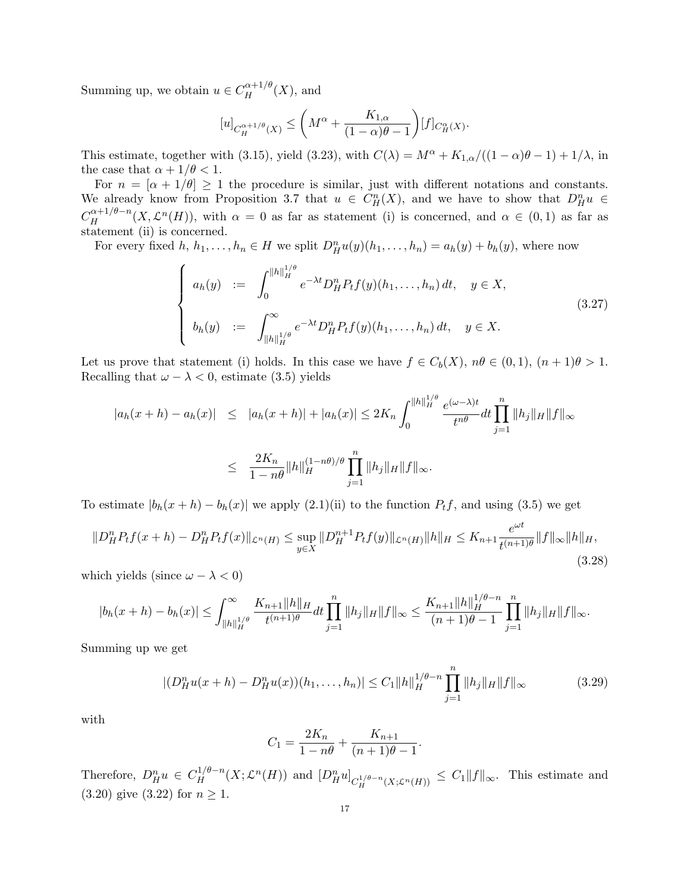Summing up, we obtain  $u \in C_H^{\alpha+1/\theta}(X)$ , and

$$
[u]_{C_H^{\alpha+1/\theta}(X)} \le \left(M^{\alpha} + \frac{K_{1,\alpha}}{(1-\alpha)\theta - 1}\right)[f]_{C_H^{\alpha}(X)}.
$$

This estimate, together with (3.15), yield (3.23), with  $C(\lambda) = M^{\alpha} + K_{1,\alpha}/((1-\alpha)\theta - 1) + 1/\lambda$ , in the case that  $\alpha + 1/\theta < 1$ .

For  $n = [\alpha + 1/\theta] \ge 1$  the procedure is similar, just with different notations and constants. We already know from Proposition 3.7 that  $u \in C_H^n(X)$ , and we have to show that  $D_H^n u \in$  $C_H^{\alpha+1/\theta-n}(X,\mathcal{L}^n(H))$ , with  $\alpha=0$  as far as statement (i) is concerned, and  $\alpha\in(0,1)$  as far as statement (ii) is concerned.

For every fixed  $h, h_1, \ldots, h_n \in H$  we split  $D_H^n u(y)(h_1, \ldots, h_n) = a_h(y) + b_h(y)$ , where now

$$
\begin{cases}\n a_h(y) &:= \int_0^{\|h\|_H^{1/\theta}} e^{-\lambda t} D_H^n P_t f(y)(h_1, \dots, h_n) dt, \quad y \in X, \\
 b_h(y) &:= \int_{\|h\|_H^{1/\theta}}^{\infty} e^{-\lambda t} D_H^n P_t f(y)(h_1, \dots, h_n) dt, \quad y \in X.\n\end{cases}
$$
\n(3.27)

Let us prove that statement (i) holds. In this case we have  $f \in C_b(X)$ ,  $n\theta \in (0,1)$ ,  $(n+1)\theta > 1$ . Recalling that  $\omega - \lambda < 0$ , estimate (3.5) yields

$$
|a_h(x+h) - a_h(x)| \le |a_h(x+h)| + |a_h(x)| \le 2K_n \int_0^{\|h\|_H^{1/\theta}} \frac{e^{(\omega - \lambda)t}}{t^{n\theta}} dt \prod_{j=1}^n \|h_j\|_H \|f\|_{\infty}
$$
  

$$
\le \frac{2K_n}{1 - n\theta} \|h\|_H^{(1 - n\theta)/\theta} \prod_{j=1}^n \|h_j\|_H \|f\|_{\infty}.
$$

To estimate  $|b_h(x+h) - b_h(x)|$  we apply  $(2.1)(ii)$  to the function  $P_t f$ , and using  $(3.5)$  we get

$$
||D_H^n P_t f(x+h) - D_H^n P_t f(x)||_{\mathcal{L}^n(H)} \le \sup_{y \in X} ||D_H^{n+1} P_t f(y)||_{\mathcal{L}^n(H)} ||h||_H \le K_{n+1} \frac{e^{\omega t}}{t^{(n+1)\theta}} ||f||_{\infty} ||h||_H,
$$
\n(3.28)

which yields (since  $\omega - \lambda < 0$ )

$$
|b_h(x+h)-b_h(x)| \leq \int_{\|h\|_H^{1/\theta}}^{\infty} \frac{K_{n+1}\|h\|_H}{t^{(n+1)\theta}} dt \prod_{j=1}^n \|h_j\|_H \|f\|_{\infty} \leq \frac{K_{n+1}\|h\|_H^{1/\theta-n}}{(n+1)\theta-1} \prod_{j=1}^n \|h_j\|_H \|f\|_{\infty}.
$$

Summing up we get

$$
|(D_H^n u(x+h) - D_H^n u(x))(h_1, \dots, h_n)| \le C_1 \|h\|_H^{1/\theta - n} \prod_{j=1}^n \|h_j\|_H \|f\|_\infty \tag{3.29}
$$

with

$$
C_1 = \frac{2K_n}{1 - n\theta} + \frac{K_{n+1}}{(n+1)\theta - 1}.
$$

Therefore,  $D_H^n u \in C_H^{1/\theta-n}(X; \mathcal{L}^n(H))$  and  $[D_H^n u]_{C_H^{1/\theta-n}(X; \mathcal{L}^n(H))} \leq C_1 ||f||_{\infty}$ . This estimate and (3.20) give (3.22) for  $n \ge 1$ .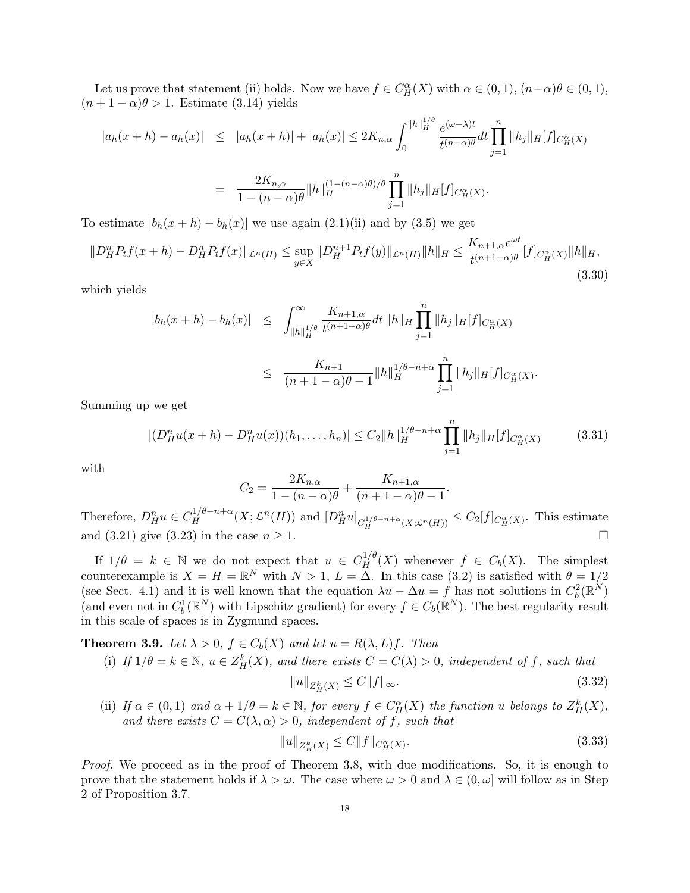Let us prove that statement (ii) holds. Now we have  $f \in C_H^{\alpha}(X)$  with  $\alpha \in (0,1)$ ,  $(n-\alpha)\theta \in (0,1)$ ,  $(n+1-\alpha)\theta > 1$ . Estimate (3.14) yields

$$
|a_h(x+h) - a_h(x)| \le |a_h(x+h)| + |a_h(x)| \le 2K_{n,\alpha} \int_0^{\|h\|_H^{1/\theta}} \frac{e^{(\omega-\lambda)t}}{t^{(n-\alpha)\theta}} dt \prod_{j=1}^n \|h_j\|_H [f]_{C_H^{\alpha}}(X)
$$
  
= 
$$
\frac{2K_{n,\alpha}}{1 - (n-\alpha)\theta} \|h\|_H^{(1-(n-\alpha)\theta)/\theta} \prod_{j=1}^n \|h_j\|_H [f]_{C_H^{\alpha}}(X).
$$

 $j=1$ 

To estimate  $|b_h(x+h) - b_h(x)|$  we use again  $(2.1)(ii)$  and by  $(3.5)$  we get

$$
||D_H^n P_t f(x+h) - D_H^n P_t f(x)||_{\mathcal{L}^n(H)} \le \sup_{y \in X} ||D_H^{n+1} P_t f(y)||_{\mathcal{L}^n(H)} ||h||_H \le \frac{K_{n+1,\alpha} e^{\omega t}}{t^{(n+1-\alpha)\theta}} [f]_{C_H^\alpha(X)} ||h||_H,
$$
\n(3.30)

which yields

$$
|b_h(x+h) - b_h(x)| \leq \int_{\|h\|_H^{1/\theta}}^{\infty} \frac{K_{n+1,\alpha}}{t^{(n+1-\alpha)\theta}} dt \, \|h\|_H \prod_{j=1}^n \|h_j\|_H [f]_{C_H^{\alpha}}(x)
$$
  

$$
\leq \frac{K_{n+1}}{(n+1-\alpha)\theta-1} \|h\|_H^{1/\theta-n+\alpha} \prod_{j=1}^n \|h_j\|_H [f]_{C_H^{\alpha}}(x).
$$

Summing up we get

$$
|(D_H^n u(x+h) - D_H^n u(x))(h_1, \dots, h_n)| \le C_2 \|h\|_H^{1/\theta - n + \alpha} \prod_{j=1}^n \|h_j\|_H [f]_{C_H^\alpha(X)} \tag{3.31}
$$

with

$$
C_2 = \frac{2K_{n,\alpha}}{1 - (n - \alpha)\theta} + \frac{K_{n+1,\alpha}}{(n+1-\alpha)\theta - 1}.
$$

Therefore,  $D_H^n u \in C_H^{1/\theta - n + \alpha}(X; \mathcal{L}^n(H))$  and  $[D_H^n u]_{C_H^{1/\theta - n + \alpha}(X; \mathcal{L}^n(H))} \leq C_2[f]_{C_H^{\alpha}(X)}$ . This estimate and (3.21) give (3.23) in the case  $n \geq 1$ .

If  $1/\theta = k \in \mathbb{N}$  we do not expect that  $u \in C_H^{1/\theta}(X)$  whenever  $f \in C_b(X)$ . The simplest counterexample is  $X = H = \mathbb{R}^N$  with  $N > 1$ ,  $L = \Delta$ . In this case (3.2) is satisfied with  $\theta = 1/2$ (see Sect. 4.1) and it is well known that the equation  $\lambda u - \Delta u = f$  has not solutions in  $C_b^2(\mathbb{R}^N)$ (and even not in  $C_b^1(\mathbb{R}^N)$  with Lipschitz gradient) for every  $f \in C_b(\mathbb{R}^N)$ . The best regularity result in this scale of spaces is in Zygmund spaces.

**Theorem 3.9.** Let  $\lambda > 0$ ,  $f \in C_b(X)$  and let  $u = R(\lambda, L)f$ . Then

(i) If  $1/\theta = k \in \mathbb{N}$ ,  $u \in Z_H^k(X)$ , and there exists  $C = C(\lambda) > 0$ , independent of f, such that

$$
||u||_{Z_H^k(X)} \le C||f||_{\infty}.\tag{3.32}
$$

(ii) If  $\alpha \in (0,1)$  and  $\alpha + 1/\theta = k \in \mathbb{N}$ , for every  $f \in C_H^{\alpha}(X)$  the function u belongs to  $Z_H^k(X)$ , and there exists  $C = C(\lambda, \alpha) > 0$ , independent of f, such that

$$
||u||_{Z_H^k(X)} \le C||f||_{C_H^{\alpha}(X)}.\tag{3.33}
$$

Proof. We proceed as in the proof of Theorem 3.8, with due modifications. So, it is enough to prove that the statement holds if  $\lambda > \omega$ . The case where  $\omega > 0$  and  $\lambda \in (0, \omega]$  will follow as in Step 2 of Proposition 3.7.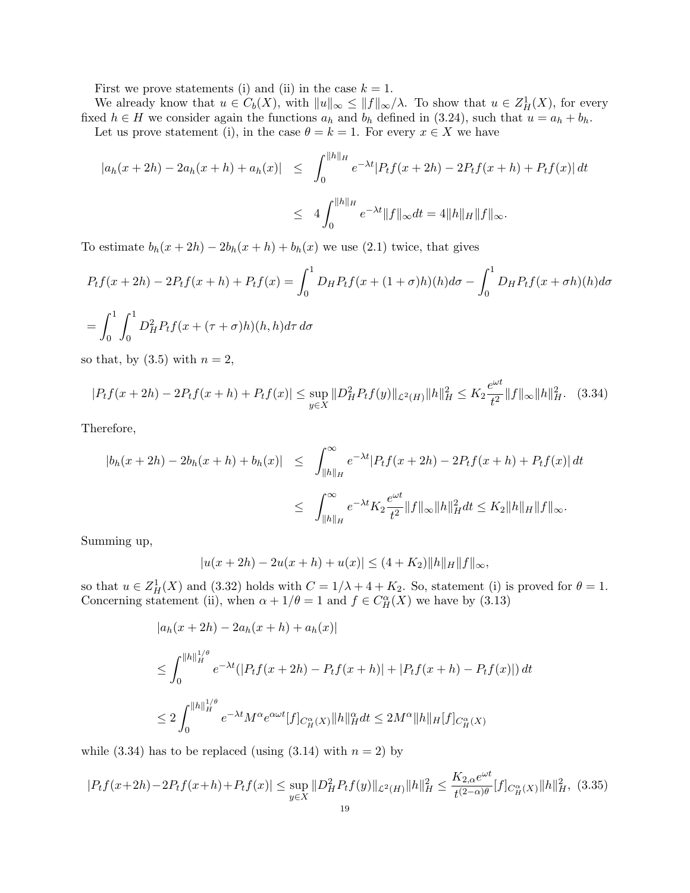First we prove statements (i) and (ii) in the case  $k = 1$ .

We already know that  $u \in C_b(X)$ , with  $||u||_{\infty} \le ||f||_{\infty}/\lambda$ . To show that  $u \in Z^1_H(X)$ , for every fixed  $h \in H$  we consider again the functions  $a_h$  and  $b_h$  defined in (3.24), such that  $u = a_h + b_h$ . Let us prove statement (i), in the case  $\theta = k = 1$ . For every  $x \in X$  we have

$$
|a_h(x+2h) - 2a_h(x+h) + a_h(x)| \le \int_0^{\|h\|_H} e^{-\lambda t} |P_t f(x+2h) - 2P_t f(x+h) + P_t f(x)| dt
$$
  

$$
\le 4 \int_0^{\|h\|_H} e^{-\lambda t} \|f\|_{\infty} dt = 4 \|h\|_H \|f\|_{\infty}.
$$

To estimate  $b_h(x+2h) - 2b_h(x+h) + b_h(x)$  we use (2.1) twice, that gives

$$
P_t f(x + 2h) - 2P_t f(x + h) + P_t f(x) = \int_0^1 D_H P_t f(x + (1 + \sigma)h)(h) d\sigma - \int_0^1 D_H P_t f(x + \sigma h)(h) d\sigma
$$

$$
= \int_0^1 \int_0^1 D_H P_t f(x + (\sigma + \sigma)h)(h) d\sigma d\sigma
$$

$$
= \int_0 \int_0^L D_H^2 P_t f(x + (\tau + \sigma)h)(h, h) d\tau d\sigma
$$

so that, by  $(3.5)$  with  $n = 2$ ,

$$
|P_t f(x + 2h) - 2P_t f(x + h) + P_t f(x)| \le \sup_{y \in X} \|D_H^2 P_t f(y)\|_{\mathcal{L}^2(H)} \|h\|_H^2 \le K_2 \frac{e^{\omega t}}{t^2} \|f\|_{\infty} \|h\|_H^2. \tag{3.34}
$$

Therefore,

$$
\begin{array}{lcl} |b_h(x+2h)-2b_h(x+h)+b_h(x)| & \leq & \int_{\|h\|_H}^{\infty} e^{-\lambda t} |P_t f(x+2h)-2P_t f(x+h)+P_t f(x)| \, dt \\ \\ & \leq & \int_{\|h\|_H}^{\infty} e^{-\lambda t} K_2 \frac{e^{\omega t}}{t^2} \|f\|_{\infty} \|h\|_H^2 dt \leq K_2 \|h\|_H \|f\|_{\infty} .\end{array}
$$

Summing up,

$$
|u(x+2h) - 2u(x+h) + u(x)| \le (4+K_2) ||h||_H ||f||_{\infty},
$$

so that  $u \in Z_H^1(X)$  and (3.32) holds with  $C = 1/\lambda + 4 + K_2$ . So, statement (i) is proved for  $\theta = 1$ . Concerning statement (ii), when  $\alpha + 1/\theta = 1$  and  $f \in C_H^{\alpha}(X)$  we have by (3.13)

$$
|a_h(x + 2h) - 2a_h(x + h) + a_h(x)|
$$
  
\n
$$
\leq \int_0^{||h||_H^{1/\theta}} e^{-\lambda t} (|P_t f(x + 2h) - P_t f(x + h)| + |P_t f(x + h) - P_t f(x)|) dt
$$
  
\n
$$
\leq 2 \int_0^{||h||_H^{1/\theta}} e^{-\lambda t} M^{\alpha} e^{\alpha \omega t} |f|_{C_H^{\alpha}}(x) ||h||_H^{\alpha} dt \leq 2M^{\alpha} ||h||_H [f]_{C_H^{\alpha}}(x)
$$

while (3.34) has to be replaced (using  $(3.14)$  with  $n = 2$ ) by

$$
|P_t f(x+2h) - 2P_t f(x+h) + P_t f(x)| \le \sup_{y \in X} \|D_H^2 P_t f(y)\|_{\mathcal{L}^2(H)} \|h\|_H^2 \le \frac{K_{2,\alpha} e^{\omega t}}{t^{(2-\alpha)\theta}} [f]_{C_H^\alpha(X)} \|h\|_H^2, (3.35)
$$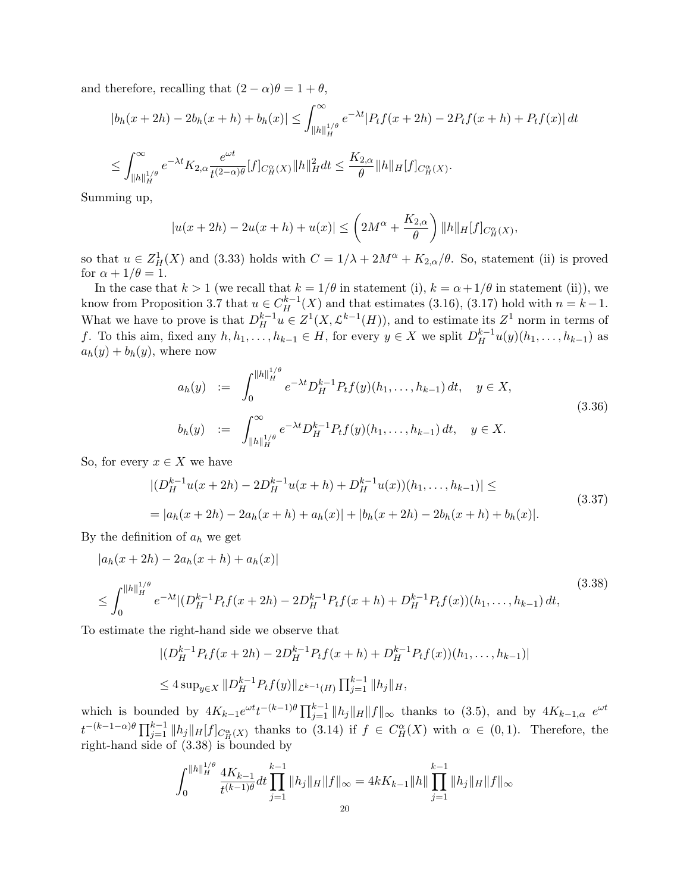and therefore, recalling that  $(2 - \alpha)\theta = 1 + \theta$ ,

$$
|b_h(x+2h) - 2b_h(x+h) + b_h(x)| \le \int_{\|h\|_H^{1/\theta}}^{\infty} e^{-\lambda t} |P_t f(x+2h) - 2P_t f(x+h) + P_t f(x)| \, dt
$$
  

$$
\le \int_{\|h\|_H^{1/\theta}}^{\infty} e^{-\lambda t} K_{2,\alpha} \frac{e^{\omega t}}{t^{(2-\alpha)\theta}} [f]_{C_H^{\alpha}}(x) \|h\|_H^2 dt \le \frac{K_{2,\alpha}}{\theta} \|h\|_H [f]_{C_H^{\alpha}}(x).
$$

Summing up,

$$
|u(x+2h) - 2u(x+h) + u(x)| \leq \left(2M^{\alpha} + \frac{K_{2,\alpha}}{\theta}\right) ||h||_H [f]_{C_H^{\alpha}}(x),
$$

so that  $u \in Z_H^1(X)$  and (3.33) holds with  $C = 1/\lambda + 2M^{\alpha} + K_{2,\alpha}/\theta$ . So, statement (ii) is proved for  $\alpha + 1/\theta = 1$ .

In the case that  $k > 1$  (we recall that  $k = 1/\theta$  in statement (i),  $k = \alpha + 1/\theta$  in statement (ii)), we know from Proposition 3.7 that  $u \in C_H^{k-1}(X)$  and that estimates (3.16), (3.17) hold with  $n = k-1$ . What we have to prove is that  $D_H^{k-1}u \in Z^1(X, \mathcal{L}^{k-1}(H))$ , and to estimate its  $Z^1$  norm in terms of f. To this aim, fixed any  $h, h_1, \ldots, h_{k-1} \in H$ , for every  $y \in X$  we split  $D_H^{k-1}u(y)(h_1, \ldots, h_{k-1})$  as  $a_h(y) + b_h(y)$ , where now

$$
a_h(y) := \int_0^{\|h\|_H^{1/\theta}} e^{-\lambda t} D_H^{k-1} P_t f(y)(h_1, \dots, h_{k-1}) dt, \quad y \in X,
$$
  
\n
$$
b_h(y) := \int_{\|h\|_H^{1/\theta}}^{\infty} e^{-\lambda t} D_H^{k-1} P_t f(y)(h_1, \dots, h_{k-1}) dt, \quad y \in X.
$$
\n(3.36)

So, for every  $x \in X$  we have

$$
|(D_H^{k-1}u(x+2h) - 2D_H^{k-1}u(x+h) + D_H^{k-1}u(x))(h_1, \dots, h_{k-1})| \le
$$
  
=  $|a_h(x+2h) - 2a_h(x+h) + a_h(x)| + |b_h(x+2h) - 2b_h(x+h) + b_h(x)|.$  (3.37)

By the definition of  $a_h$  we get

$$
|a_h(x+2h) - 2a_h(x+h) + a_h(x)|
$$
  
\n
$$
\leq \int_0^{||h||_H^{1/\theta}} e^{-\lambda t} |(D_H^{k-1} P_t f(x+2h) - 2D_H^{k-1} P_t f(x+h) + D_H^{k-1} P_t f(x)) (h_1, ..., h_{k-1}) dt,
$$
\n(3.38)

To estimate the right-hand side we observe that

$$
\begin{aligned} & \left| (D_H^{k-1} P_t f(x+2h) - 2D_H^{k-1} P_t f(x+h) + D_H^{k-1} P_t f(x)) (h_1, \dots, h_{k-1}) \right| \\ &\le 4 \sup_{y \in X} \| D_H^{k-1} P_t f(y) \|_{\mathcal{L}^{k-1}(H)} \prod_{j=1}^{k-1} \| h_j \|_H, \end{aligned}
$$

which is bounded by  $4K_{k-1}e^{\omega t}t^{-(k-1)\theta}\prod_{j=1}^{k-1}||h_j||_H||f||_{\infty}$  thanks to (3.5), and by  $4K_{k-1,\alpha}$   $e^{\omega t}$  $t^{-(k-1-\alpha)\theta} \prod_{j=1}^{k-1} ||h_j||_H [f]_{C^{\alpha}_H(X)}$  thanks to (3.14) if  $f \in C^{\alpha}_H(X)$  with  $\alpha \in (0,1)$ . Therefore, the right-hand side of (3.38) is bounded by

$$
\int_0^{\|h\|_H^{1/\theta}} \frac{4K_{k-1}}{t^{(k-1)\theta}} dt \prod_{j=1}^{k-1} \|h_j\|_H \|f\|_{\infty} = 4kK_{k-1} \|h\| \prod_{j=1}^{k-1} \|h_j\|_H \|f\|_{\infty}
$$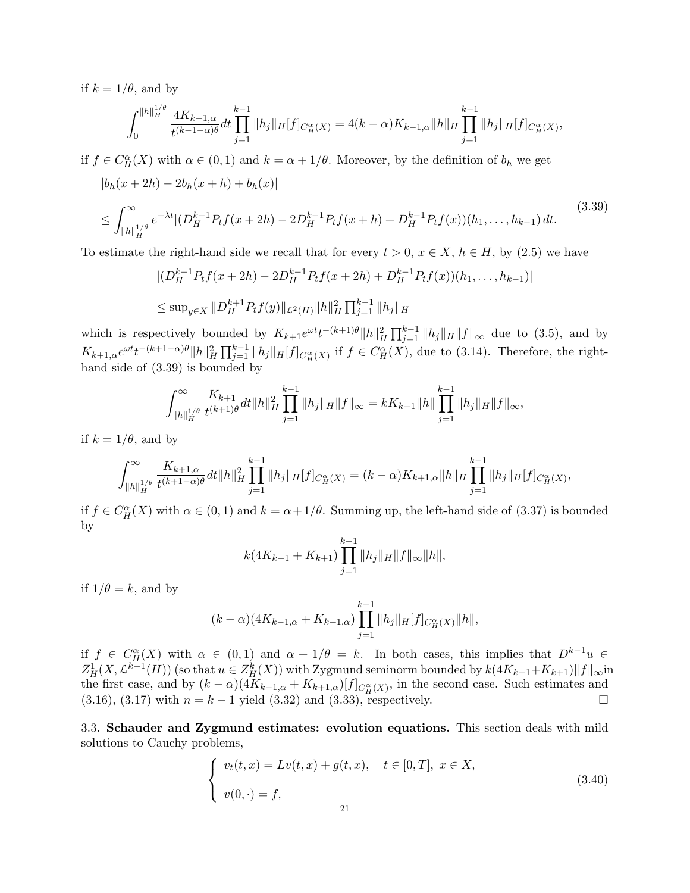if  $k = 1/\theta$ , and by

$$
\int_0^{\|h\|_H^{1/\theta}} \frac{4K_{k-1,\alpha}}{t^{(k-1-\alpha)\theta}}dt \prod_{j=1}^{k-1} \|h_j\|_H [f]_{C_H^\alpha(X)} = 4(k-\alpha)K_{k-1,\alpha} \|h\|_H \prod_{j=1}^{k-1} \|h_j\|_H [f]_{C_H^\alpha(X)},
$$

if  $f \in C_H^{\alpha}(X)$  with  $\alpha \in (0,1)$  and  $k = \alpha + 1/\theta$ . Moreover, by the definition of  $b_h$  we get

$$
|b_h(x+2h) - 2b_h(x+h) + b_h(x)|
$$
  
\n
$$
\leq \int_{\|h\|_H^{1/\theta}}^{\infty} e^{-\lambda t} |(D_H^{k-1} P_t f(x+2h) - 2D_H^{k-1} P_t f(x+h) + D_H^{k-1} P_t f(x)) (h_1, \dots, h_{k-1}) dt.
$$
\n(3.39)

To estimate the right-hand side we recall that for every  $t > 0$ ,  $x \in X$ ,  $h \in H$ , by (2.5) we have

$$
\begin{aligned} & \left| (D_H^{k-1} P_t f(x+2h) - 2D_H^{k-1} P_t f(x+2h) + D_H^{k-1} P_t f(x)) (h_1, \dots, h_{k-1}) \right| \\ &\leq \sup_{y \in X} \| D_H^{k+1} P_t f(y) \|_{\mathcal{L}^2(H)} \| h \|_H^2 \prod_{j=1}^{k-1} \| h_j \|_H \end{aligned}
$$

which is respectively bounded by  $K_{k+1}e^{\omega t}t^{-(k+1)\theta}||h||_H^2\prod_{j=1}^{k-1}||h_j||_H||f||_{\infty}$  due to (3.5), and by  $K_{k+1,\alpha}e^{\omega t}t^{-(k+1-\alpha)\theta}||h||_H^2\prod_{j=1}^{k-1}||h_j||_H[f]_{C_H^{\alpha}(X)}$  if  $f \in C_H^{\alpha}(X)$ , due to (3.14). Therefore, the righthand side of (3.39) is bounded by

$$
\int_{\|h\|_H^{1/\theta}}^{\infty} \frac{K_{k+1}}{t^{(k+1)\theta}} dt \|h\|_H^2 \prod_{j=1}^{k-1} \|h_j\|_H \|f\|_{\infty} = kK_{k+1} \|h\| \prod_{j=1}^{k-1} \|h_j\|_H \|f\|_{\infty},
$$

if  $k = 1/\theta$ , and by

$$
\int_{\|h\|_H^{1/\theta}}^{\infty} \frac{K_{k+1,\alpha}}{t^{(k+1-\alpha)\theta}} dt \|h\|_H^2 \prod_{j=1}^{k-1} \|h_j\|_H [f]_{C_H^{\alpha}}(x) = (k-\alpha) K_{k+1,\alpha} \|h\|_H \prod_{j=1}^{k-1} \|h_j\|_H [f]_{C_H^{\alpha}}(x),
$$

if  $f \in C_H^{\alpha}(X)$  with  $\alpha \in (0,1)$  and  $k = \alpha + 1/\theta$ . Summing up, the left-hand side of  $(3.37)$  is bounded by

$$
k(4K_{k-1} + K_{k+1}) \prod_{j=1}^{k-1} ||h_j||_H ||f||_{\infty} ||h||,
$$

if  $1/\theta = k$ , and by

$$
(k - \alpha)(4K_{k-1,\alpha} + K_{k+1,\alpha}) \prod_{j=1}^{k-1} ||h_j||_H [f]_{C_H^{\alpha}(X)} ||h||,
$$

if  $f \in C_H^{\alpha}(X)$  with  $\alpha \in (0,1)$  and  $\alpha + 1/\theta = k$ . In both cases, this implies that  $D^{k-1}u \in$  $Z_H^1(X, \mathcal{L}^{k-1}(H))$  (so that  $u \in Z_H^k(X)$ ) with Zygmund seminorm bounded by  $k(4K_{k-1}+K_{k+1})||f||_{\infty}$ in the first case, and by  $(k-\alpha)(4K_{k-1,\alpha}+K_{k+1,\alpha})[f]_{C_H^{\alpha}(X)}$ , in the second case. Such estimates and  $(3.16)$ ,  $(3.17)$  with  $n = k - 1$  yield  $(3.32)$  and  $(3.33)$ , respectively.

3.3. Schauder and Zygmund estimates: evolution equations. This section deals with mild solutions to Cauchy problems,

$$
\begin{cases}\nv_t(t,x) = Lv(t,x) + g(t,x), & t \in [0,T], \ x \in X, \\
v(0,\cdot) = f,\n\end{cases}
$$
\n(3.40)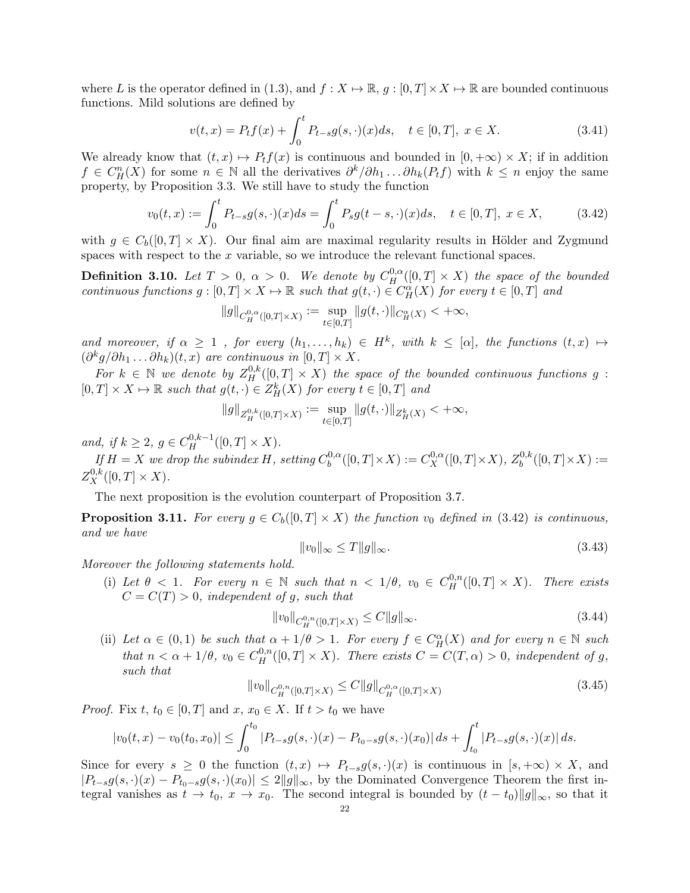where L is the operator defined in (1.3), and  $f: X \mapsto \mathbb{R}$ ,  $g : [0, T] \times X \mapsto \mathbb{R}$  are bounded continuous functions. Mild solutions are defined by

$$
v(t,x) = P_t f(x) + \int_0^t P_{t-s} g(s, \cdot)(x) ds, \quad t \in [0,T], \ x \in X.
$$
 (3.41)

We already know that  $(t, x) \mapsto P_t f(x)$  is continuous and bounded in  $[0, +\infty) \times X$ ; if in addition  $f \in C_H^n(X)$  for some  $n \in \mathbb{N}$  all the derivatives  $\partial^k/\partial h_1 \dots \partial h_k(P_tf)$  with  $k \leq n$  enjoy the same property, by Proposition 3.3. We still have to study the function

$$
v_0(t,x) := \int_0^t P_{t-s}g(s,\cdot)(x)ds = \int_0^t P_s g(t-s,\cdot)(x)ds, \quad t \in [0,T], \ x \in X,
$$
 (3.42)

with  $q \in C_b([0,T] \times X)$ . Our final aim are maximal regularity results in Hölder and Zygmund spaces with respect to the x variable, so we introduce the relevant functional spaces.

**Definition 3.10.** Let  $T > 0$ ,  $\alpha > 0$ . We denote by  $C_H^{0,\alpha}([0,T] \times X)$  the space of the bounded continuous functions  $g: [0, T] \times X \mapsto \mathbb{R}$  such that  $g(t, \cdot) \in C_H^{\alpha}(X)$  for every  $t \in [0, T]$  and

$$
\|g\|_{C_H^{0,\alpha}([0,T]\times X)}:=\sup_{t\in[0,T]}\|g(t,\cdot)\|_{C^\alpha_H(X)}<+\infty,
$$

and moreover, if  $\alpha \geq 1$ , for every  $(h_1, \ldots, h_k) \in H^k$ , with  $k \leq [\alpha]$ , the functions  $(t, x) \mapsto$  $(\partial^k g/\partial h_1 \ldots \partial h_k)(t,x)$  are continuous in  $[0,T] \times X$ .

For  $k \in \mathbb{N}$  we denote by  $Z_H^{0,k}([0,T] \times X)$  the space of the bounded continuous functions g:  $[0, T] \times X \mapsto \mathbb{R}$  such that  $g(t, \cdot) \in Z_H^k(X)$  for every  $t \in [0, T]$  and

$$
||g||_{Z_H^{0,k}([0,T]\times X)} := \sup_{t\in[0,T]} ||g(t,\cdot)||_{Z_H^k(X)} < +\infty,
$$

and, if  $k \ge 2$ ,  $g \in C_H^{0,k-1}([0,T] \times X)$ .

If  $H = X$  we drop the subindex H, setting  $C_b^{0,\alpha}$  $b^{0,\alpha}([0,T]\times X) := C^{0,\alpha}_X([0,T]\times X), Z_b^{0,k}$  $b^{0,\kappa}([0,T]\times X) :=$  $Z_X^{0,k}([0,T] \times X).$ 

The next proposition is the evolution counterpart of Proposition 3.7.

**Proposition 3.11.** For every  $g \in C_b([0,T] \times X)$  the function  $v_0$  defined in (3.42) is continuous, and we have

$$
||v_0||_{\infty} \le T||g||_{\infty}.\tag{3.43}
$$

Moreover the following statements hold.

(i) Let  $\theta < 1$ . For every  $n \in \mathbb{N}$  such that  $n < 1/\theta$ ,  $v_0 \in C_H^{0,n}([0,T] \times X)$ . There exists  $C = C(T) > 0$ , independent of q, such that

$$
||v_0||_{C_H^{0,n}([0,T]\times X)} \le C||g||_{\infty}.
$$
\n(3.44)

(ii) Let  $\alpha \in (0,1)$  be such that  $\alpha + 1/\theta > 1$ . For every  $f \in C_H^{\alpha}(X)$  and for every  $n \in \mathbb{N}$  such that  $n < \alpha + 1/\theta$ ,  $v_0 \in C_H^{0,n}([0,T] \times X)$ . There exists  $C = C(T, \alpha) > 0$ , independent of g, such that

$$
||v_0||_{C_H^{0,n}([0,T]\times X)} \le C||g||_{C_H^{0,\alpha}([0,T]\times X)}\tag{3.45}
$$

*Proof.* Fix  $t, t_0 \in [0, T]$  and  $x, x_0 \in X$ . If  $t > t_0$  we have

$$
|v_0(t,x) - v_0(t_0,x_0)| \le \int_0^{t_0} |P_{t-s}g(s,\cdot)(x) - P_{t_0-s}g(s,\cdot)(x_0)| ds + \int_{t_0}^t |P_{t-s}g(s,\cdot)(x)| ds.
$$

Since for every  $s \geq 0$  the function  $(t, x) \mapsto P_{t-s}g(s, \cdot)(x)$  is continuous in  $[s, +\infty) \times X$ , and  $|P_{t-s}g(s,\cdot)(x)-P_{t_0-s}g(s,\cdot)(x_0)|\leq 2||g||_{\infty}$ , by the Dominated Convergence Theorem the first integral vanishes as  $t \to t_0$ ,  $x \to x_0$ . The second integral is bounded by  $(t - t_0)||g||_{\infty}$ , so that it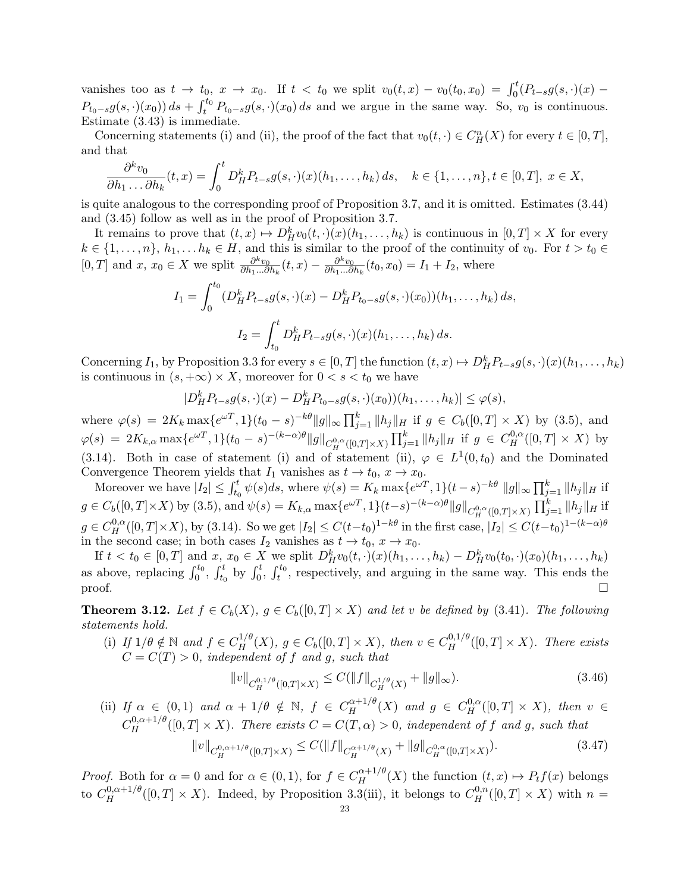vanishes too as  $t \to t_0$ ,  $x \to x_0$ . If  $t < t_0$  we split  $v_0(t,x) - v_0(t_0,x_0) = \int_0^t (P_{t-s}g(s,\cdot)(x) - P_{t-s}g(s,\cdot)(x))$  $P_{t_0-s}g(s,\cdot)(x_0)$  ds +  $\int_t^{t_0} P_{t_0-s}g(s,\cdot)(x_0) ds$  and we argue in the same way. So,  $v_0$  is continuous. Estimate (3.43) is immediate.

Concerning statements (i) and (ii), the proof of the fact that  $v_0(t, \cdot) \in C_H^n(X)$  for every  $t \in [0, T]$ , and that

$$
\frac{\partial^k v_0}{\partial h_1 \dots \partial h_k}(t,x) = \int_0^t D_H^k P_{t-s} g(s,\cdot)(x) (h_1,\dots,h_k) ds, \quad k \in \{1,\dots,n\}, t \in [0,T], \ x \in X,
$$

is quite analogous to the corresponding proof of Proposition 3.7, and it is omitted. Estimates (3.44) and (3.45) follow as well as in the proof of Proposition 3.7.

It remains to prove that  $(t, x) \mapsto D_H^k v_0(t, \cdot)(x)(h_1, \ldots, h_k)$  is continuous in  $[0, T] \times X$  for every  $k \in \{1, \ldots, n\}, h_1, \ldots, h_k \in H$ , and this is similar to the proof of the continuity of  $v_0$ . For  $t > t_0 \in$ [0, T] and x,  $x_0 \in X$  we split  $\frac{\partial^k v_0}{\partial h_1 \dots \partial h_n}$  $\frac{\partial^k v_0}{\partial h_1...\partial h_k}(t,x) - \frac{\partial^k v_0}{\partial h_1...\partial}$  $\frac{\partial^{\alpha} v_0}{\partial h_1 \dots \partial h_k}(t_0, x_0) = I_1 + I_2$ , where

$$
I_1 = \int_0^{t_0} (D_H^k P_{t-s} g(s, \cdot)(x) - D_H^k P_{t_0-s} g(s, \cdot)(x_0))(h_1, \dots, h_k) ds,
$$
  

$$
I_2 = \int_{t_0}^t D_H^k P_{t-s} g(s, \cdot)(x)(h_1, \dots, h_k) ds.
$$

Concerning  $I_1$ , by Proposition 3.3 for every  $s \in [0, T]$  the function  $(t, x) \mapsto D^k_H P_{t-s} g(s, \cdot)(x) (h_1, \ldots, h_k)$ is continuous in  $(s, +\infty) \times X$ , moreover for  $0 < s < t_0$  we have

$$
|D_H^k P_{t-s} g(s,\cdot)(x) - D_H^k P_{t_0-s} g(s,\cdot)(x_0))(h_1,\ldots,h_k)| \leq \varphi(s),
$$

where  $\varphi(s) = 2K_k \max\{e^{\omega T}, 1\}(t_0 - s)^{-k\theta} \|g\|_{\infty} \prod_{j=1}^k \|h_j\|_H$  if  $g \in C_b([0, T] \times X)$  by (3.5), and  $\varphi(s) = 2K_{k,\alpha} \max\{e^{\omega T}, 1\}(t_0 - s)^{-(k-\alpha)\theta}||g||_{C_H^{0,\alpha}([0,T]\times X)} \prod_{j=1}^k ||h_j||_H \text{ if } g \in C_H^{0,\alpha}([0,T]\times X) \text{ by }$ (3.14). Both in case of statement (i) and of statement (ii),  $\varphi \in L^1(0, t_0)$  and the Dominated Convergence Theorem yields that  $I_1$  vanishes as  $t \to t_0$ ,  $x \to x_0$ .

Moreover we have  $|I_2| \leq \int_{t_0}^t \psi(s)ds$ , where  $\psi(s) = K_k \max\{e^{\omega T}, 1\}(t-s)^{-k\theta} ||g||_{\infty} \prod_{j=1}^k ||h_j||_H$  if  $g \in C_b([0,T] \times X)$  by (3.5), and  $\psi(s) = K_{k,\alpha} \max\{e^{\omega T}, 1\}(t-s)^{-(k-\alpha)\theta} \|g\|_{C_H^{0,\alpha}([0,T] \times X)} \prod_{j=1}^k \|h_j\|_H$  if  $g \in C_H^{0,\alpha}([0,T]\times X)$ , by (3.14). So we get  $|I_2| \leq C(t-t_0)^{1-k\theta}$  in the first case,  $|I_2| \leq C(t-t_0)^{1-(k-\alpha)\theta}$ in the second case; in both cases  $I_2$  vanishes as  $t \to t_0$ ,  $x \to x_0$ .

If  $t < t_0 \in [0, T]$  and  $x, x_0 \in X$  we split  $D^k_H v_0(t, \cdot)(x)(h_1, \ldots, h_k) - D^k_H v_0(t_0, \cdot)(x_0)(h_1, \ldots, h_k)$ as above, replacing  $\int_0^{t_0}$ ,  $\int_{t_0}^{t}$  by  $\int_0^{t}$ ,  $\int_t^{t_0}$ , respectively, and arguing in the same way. This ends the proof.  $\square$ 

**Theorem 3.12.** Let  $f \in C_b(X)$ ,  $g \in C_b([0,T] \times X)$  and let v be defined by (3.41). The following statements hold.

(i) If  $1/\theta \notin \mathbb{N}$  and  $f \in C_H^{1/\theta}(X)$ ,  $g \in C_b([0,T] \times X)$ , then  $v \in C_H^{0,1/\theta}([0,T] \times X)$ . There exists  $C = C(T) > 0$ , independent of f and g, such that

$$
||v||_{C_H^{0,1/\theta}([0,T]\times X)} \le C(||f||_{C_H^{1/\theta}(X)} + ||g||_{\infty}).
$$
\n(3.46)

(ii) If  $\alpha \in (0,1)$  and  $\alpha + 1/\theta \notin \mathbb{N}$ ,  $f \in C_H^{\alpha+1/\theta}(X)$  and  $g \in C_H^{0,\alpha}([0,T] \times X)$ , then  $v \in$  $C_H^{0,\alpha+1/\theta}([0,T]\times X)$ . There exists  $C=C(T,\alpha)>0$ , independent of f and g, such that

$$
||v||_{C_H^{0,\alpha+1/\theta}([0,T]\times X)} \le C(||f||_{C_H^{\alpha+1/\theta}(X)} + ||g||_{C_H^{0,\alpha}([0,T]\times X)}).
$$
\n(3.47)

*Proof.* Both for  $\alpha = 0$  and for  $\alpha \in (0,1)$ , for  $f \in C_H^{\alpha+1/\theta}(X)$  the function  $(t, x) \mapsto P_t f(x)$  belongs to  $C_H^{0,\alpha+1/\theta}([0,T]\times X)$ . Indeed, by Proposition 3.3(iii), it belongs to  $C_H^{0,n}([0,T]\times X)$  with  $n=$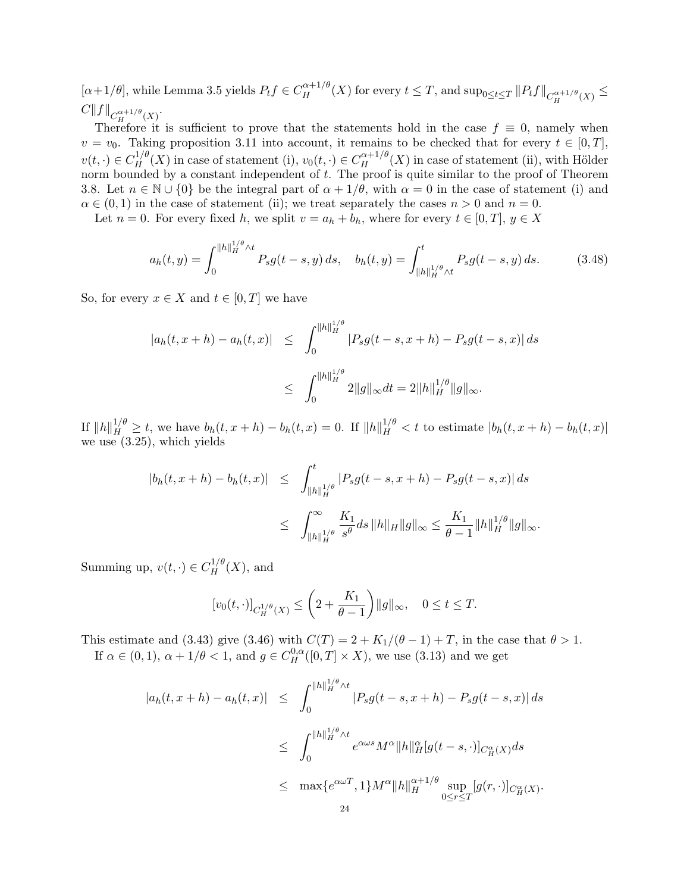$[\alpha+1/\theta]$ , while Lemma 3.5 yields  $P_t f \in C_H^{\alpha+1/\theta}(X)$  for every  $t \leq T$ , and  $\sup_{0 \leq t \leq T} ||P_t f||_{C_H^{\alpha+1/\theta}(X)} \leq$  $C\|f\|_{C^{\alpha+1/\theta}_H(X)}.$ 

Therefore it is sufficient to prove that the statements hold in the case  $f \equiv 0$ , namely when  $v = v_0$ . Taking proposition 3.11 into account, it remains to be checked that for every  $t \in [0, T]$ ,  $v(t, \cdot) \in C_H^{1/\theta}(X)$  in case of statement (i),  $v_0(t, \cdot) \in C_H^{\alpha+1/\theta}(X)$  in case of statement (ii), with Hölder norm bounded by a constant independent of  $t$ . The proof is quite similar to the proof of Theorem 3.8. Let  $n \in \mathbb{N} \cup \{0\}$  be the integral part of  $\alpha + 1/\theta$ , with  $\alpha = 0$  in the case of statement (i) and  $\alpha \in (0,1)$  in the case of statement (ii); we treat separately the cases  $n > 0$  and  $n = 0$ .

Let  $n = 0$ . For every fixed h, we split  $v = a_h + b_h$ , where for every  $t \in [0, T]$ ,  $y \in X$ 

$$
a_h(t,y) = \int_0^{\|h\|_H^{1/\theta} \wedge t} P_s g(t-s,y) \, ds, \quad b_h(t,y) = \int_{\|h\|_H^{1/\theta} \wedge t}^t P_s g(t-s,y) \, ds. \tag{3.48}
$$

So, for every  $x \in X$  and  $t \in [0, T]$  we have

$$
|a_h(t, x + h) - a_h(t, x)| \leq \int_0^{\|h\|_H^{1/\theta}} |P_s g(t - s, x + h) - P_s g(t - s, x)| ds
$$
  

$$
\leq \int_0^{\|h\|_H^{1/\theta}} 2\|g\|_{\infty} dt = 2\|h\|_H^{1/\theta} \|g\|_{\infty}.
$$

If  $||h||_H^{1/\theta} \ge t$ , we have  $b_h(t, x + h) - b_h(t, x) = 0$ . If  $||h||_H^{1/\theta} < t$  to estimate  $|b_h(t, x + h) - b_h(t, x)|$ we use (3.25), which yields

$$
\begin{array}{lcl} |b_h(t,x+h)-b_h(t,x)| & \leq & \int_{\|h\|_H^{1/\theta}}^t |P_sg(t-s,x+h)-P_sg(t-s,x)| \, ds \\ \\ & \leq & \int_{\|h\|_H^{1/\theta}}^\infty \frac{K_1}{s^\theta} ds \, \|h\|_H \|g\|_\infty \leq \frac{K_1}{\theta-1} \|h\|_H^{1/\theta} \|g\|_\infty. \end{array}
$$

Summing up,  $v(t, \cdot) \in C_H^{1/\theta}(X)$ , and

$$
[v_0(t,\cdot)]_{C_H^{1/\theta}(X)} \le \left(2 + \frac{K_1}{\theta - 1}\right) \|g\|_{\infty}, \quad 0 \le t \le T.
$$

This estimate and (3.43) give (3.46) with  $C(T) = 2 + K_1/(\theta - 1) + T$ , in the case that  $\theta > 1$ . If  $\alpha \in (0,1)$ ,  $\alpha + 1/\theta < 1$ , and  $g \in C_H^{0,\alpha}([0,T] \times X)$ , we use (3.13) and we get

$$
|a_h(t, x + h) - a_h(t, x)| \leq \int_0^{\|h\|_H^{1/\theta} \wedge t} |P_s g(t - s, x + h) - P_s g(t - s, x)| ds
$$
  

$$
\leq \int_0^{\|h\|_H^{1/\theta} \wedge t} e^{\alpha \omega s} M^{\alpha} \|h\|_H^{\alpha} [g(t - s, \cdot)]_{C_H^{\alpha}(X)} ds
$$
  

$$
\leq \max \{ e^{\alpha \omega T}, 1 \} M^{\alpha} \|h\|_H^{\alpha + 1/\theta} \sup_{0 \leq r \leq T} [g(r, \cdot)]_{C_H^{\alpha}(X)}.
$$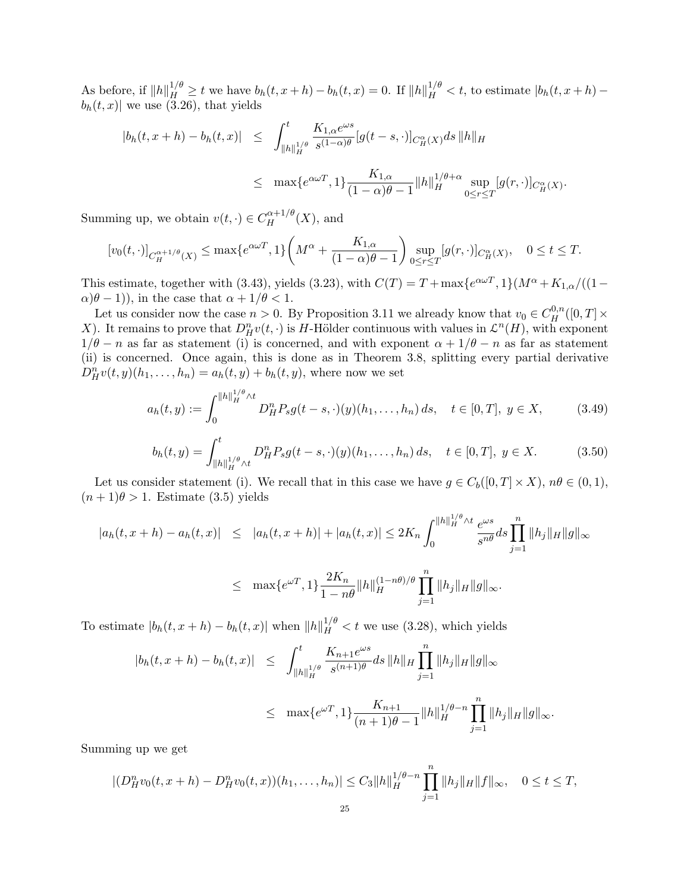As before, if  $||h||_H^{1/\theta} \ge t$  we have  $b_h(t, x + h) - b_h(t, x) = 0$ . If  $||h||_H^{1/\theta} < t$ , to estimate  $|b_h(t, x + h) - b_h(t, x + h)|$  $b_h(t, x)$  we use (3.26), that yields

$$
|b_h(t, x + h) - b_h(t, x)| \leq \int_{\|h\|_H^{1/\theta}}^t \frac{K_{1, \alpha} e^{\omega s}}{s^{(1-\alpha)\theta}} [g(t-s, \cdot)]_{C_H^{\alpha}(X)} ds \, \|h\|_H
$$
  

$$
\leq \max \{ e^{\alpha \omega T}, 1 \} \frac{K_{1, \alpha}}{(1-\alpha)\theta - 1} \|h\|_H^{1/\theta + \alpha} \sup_{0 \leq r \leq T} [g(r, \cdot)]_{C_H^{\alpha}(X)}
$$

.

Summing up, we obtain  $v(t, \cdot) \in C_H^{\alpha+1/\theta}(X)$ , and

$$
[v_0(t,\cdot)]_{C_H^{\alpha+1/\theta}(X)} \le \max\{e^{\alpha\omega T},1\} \left(M^{\alpha} + \frac{K_{1,\alpha}}{(1-\alpha)\theta-1}\right) \sup_{0 \le r \le T} [g(r,\cdot)]_{C_H^{\alpha}(X)}, \quad 0 \le t \le T.
$$

This estimate, together with (3.43), yields (3.23), with  $C(T) = T + \max\{e^{\alpha \omega T}, 1\}(M^{\alpha} + K_{1,\alpha}/(1-\alpha))$  $\alpha(\theta - 1)$ , in the case that  $\alpha + 1/\theta < 1$ .

Let us consider now the case  $n > 0$ . By Proposition 3.11 we already know that  $v_0 \in C_H^{0,n}([0,T] \times$ X). It remains to prove that  $D_H^n v(t, \cdot)$  is H-Hölder continuous with values in  $\mathcal{L}^n(H)$ , with exponent  $1/\theta - n$  as far as statement (i) is concerned, and with exponent  $\alpha + 1/\theta - n$  as far as statement (ii) is concerned. Once again, this is done as in Theorem 3.8, splitting every partial derivative  $D_{H}^{n}v(t, y)(h_{1},..., h_{n}) = a_{h}(t, y) + b_{h}(t, y)$ , where now we set

$$
a_h(t,y) := \int_0^{\|h\|_H^{1/\theta} \wedge t} D_H^n P_s g(t-s,\cdot)(y) (h_1,\ldots,h_n) \, ds, \quad t \in [0,T], \ y \in X,\tag{3.49}
$$

$$
b_h(t,y) = \int_{\|h\|_H^{1/\theta} \wedge t}^t D_H^n P_s g(t-s,\cdot)(y)(h_1,\ldots,h_n) \, ds, \quad t \in [0,T], \ y \in X. \tag{3.50}
$$

Let us consider statement (i). We recall that in this case we have  $g \in C_b([0,T] \times X)$ ,  $n\theta \in (0,1)$ ,  $(n+1)\theta > 1$ . Estimate (3.5) yields

$$
|a_h(t, x + h) - a_h(t, x)| \leq |a_h(t, x + h)| + |a_h(t, x)| \leq 2K_n \int_0^{\|h\|_H^{1/\theta} \wedge t} \frac{e^{\omega s}}{s^{n\theta}} ds \prod_{j=1}^n \|h_j\|_H \|g\|_{\infty}
$$
  

$$
\leq \max \{ e^{\omega T}, 1 \} \frac{2K_n}{1 - n\theta} \|h\|_H^{(1 - n\theta)/\theta} \prod_{j=1}^n \|h_j\|_H \|g\|_{\infty}.
$$

To estimate  $|b_h(t, x + h) - b_h(t, x)|$  when  $||h||_H^{1/\theta} < t$  we use (3.28), which yields

$$
|b_h(t, x + h) - b_h(t, x)| \leq \int_{\|h\|_H^{1/\theta}}^t \frac{K_{n+1}e^{\omega s}}{s^{(n+1)\theta}} ds \|h\|_H \prod_{j=1}^n \|h_j\|_H \|g\|_\infty
$$
  

$$
\leq \max\{e^{\omega T}, 1\} \frac{K_{n+1}}{(n+1)\theta - 1} \|h\|_H^{1/\theta - n} \prod_{j=1}^n \|h_j\|_H \|g\|_\infty.
$$

Summing up we get

$$
|(D_H^n v_0(t, x + h) - D_H^n v_0(t, x))(h_1, \dots, h_n)| \leq C_3 \|h\|_H^{1/\theta - n} \prod_{j=1}^n \|h_j\|_H \|f\|_\infty, \quad 0 \leq t \leq T,
$$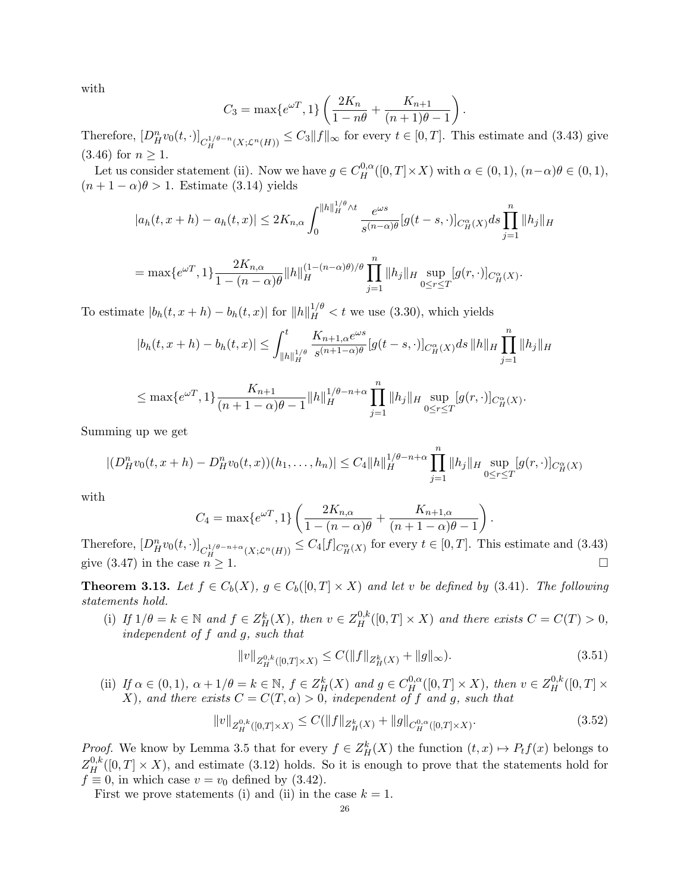with

$$
C_3 = \max\{e^{\omega T}, 1\} \left( \frac{2K_n}{1 - n\theta} + \frac{K_{n+1}}{(n+1)\theta - 1} \right).
$$

Therefore,  $[D_H^n v_0(t, \cdot)]_{C_H^{1/\theta - n}(X; \mathcal{L}^n(H))} \leq C_3 ||f||_{\infty}$  for every  $t \in [0, T]$ . This estimate and (3.43) give  $(3.46)$  for  $n \ge 1$ .

Let us consider statement (ii). Now we have  $g \in C_H^{0,\alpha}([0,T] \times X)$  with  $\alpha \in (0,1)$ ,  $(n-\alpha)\theta \in (0,1)$ ,  $(n+1-\alpha)\theta > 1$ . Estimate (3.14) yields

$$
|a_h(t, x + h) - a_h(t, x)| \le 2K_{n, \alpha} \int_0^{||h||_H^{1/\theta} \wedge t} \frac{e^{\omega s}}{s^{(n-\alpha)\theta}} [g(t-s, \cdot)]_{C_H^{\alpha}(X)} ds \prod_{j=1}^n ||h_j||_H^1
$$
  
=  $\max\{e^{\omega T}, 1\} \frac{2K_{n, \alpha}}{1 - (n-\alpha)\theta} ||h||_H^{(1 - (n-\alpha)\theta)/\theta} \prod_{i=1}^n ||h_j||_H \sup_{0 \le r \le T} [g(r, \cdot)]_{C_H^{\alpha}(X)}.$ 

 $j=1$ 

To estimate  $|b_h(t, x + h) - b_h(t, x)|$  for  $||h||_H^{1/\theta} < t$  we use (3.30), which yields

$$
|b_h(t, x + h) - b_h(t, x)| \leq \int_{\|h\|_H^{1/\theta}}^t \frac{K_{n+1, \alpha} e^{\omega s}}{s^{(n+1-\alpha)\theta}} [g(t-s, \cdot)]_{C_H^{\alpha}(X)} ds \, \|h\|_H \prod_{j=1}^n \|h_j\|_H
$$

$$
\leq \max\{e^{\omega T}, 1\} \frac{K_{n+1}}{(n+1-\alpha)\theta - 1} ||h||_H^{1/\theta - n + \alpha} \prod_{j=1}^n ||h_j||_H \sup_{0 \leq r \leq T} [g(r, \cdot)]_{C_H^{\alpha}(X)}.
$$

Summing up we get

$$
|(D_H^n v_0(t, x + h) - D_H^n v_0(t, x))(h_1, \dots, h_n)| \leq C_4 ||h||_H^{1/\theta - n + \alpha} \prod_{j=1}^n ||h_j||_H \sup_{0 \leq r \leq T} [g(r, \cdot)]_{C_H^\alpha(X)}
$$

with

$$
C_4 = \max\{e^{\omega T}, 1\} \left( \frac{2K_{n,\alpha}}{1 - (n - \alpha)\theta} + \frac{K_{n+1,\alpha}}{(n+1-\alpha)\theta - 1} \right)
$$

Therefore,  $[D_H^n v_0(t, \cdot)]_{C_H^{1/\theta - n + \alpha}(X; \mathcal{L}^n(H))} \leq C_4[f]_{C_H^{\alpha}(X)}$  for every  $t \in [0, T]$ . This estimate and (3.43) give (3.47) in the case  $n \geq 1$ .

**Theorem 3.13.** Let  $f \in C_b(X)$ ,  $g \in C_b([0,T] \times X)$  and let v be defined by (3.41). The following statements hold.

(i) If  $1/\theta = k \in \mathbb{N}$  and  $f \in Z_H^k(X)$ , then  $v \in Z_H^{0,k}([0,T] \times X)$  and there exists  $C = C(T) > 0$ , independent of f and g, such that

$$
||v||_{Z_H^{0,k}([0,T]\times X)} \le C(||f||_{Z_H^k(X)} + ||g||_{\infty}).
$$
\n(3.51)

.

(ii) If  $\alpha \in (0,1)$ ,  $\alpha + 1/\theta = k \in \mathbb{N}$ ,  $f \in Z_H^k(X)$  and  $g \in C_H^{0,\alpha}([0,T] \times X)$ , then  $v \in Z_H^{0,k}([0,T] \times X)$ X), and there exists  $C = C(T, \alpha) > 0$ , independent of f and g, such that

$$
||v||_{Z_H^{0,k}([0,T]\times X)} \le C(||f||_{Z_H^k(X)} + ||g||_{C_H^{0,\alpha}([0,T]\times X)}.
$$
\n(3.52)

*Proof.* We know by Lemma 3.5 that for every  $f \in Z_H^k(X)$  the function  $(t, x) \mapsto P_t f(x)$  belongs to  $Z_H^{0,k}([0,T] \times X)$ , and estimate (3.12) holds. So it is enough to prove that the statements hold for  $f \equiv 0$ , in which case  $v = v_0$  defined by (3.42).

First we prove statements (i) and (ii) in the case  $k = 1$ .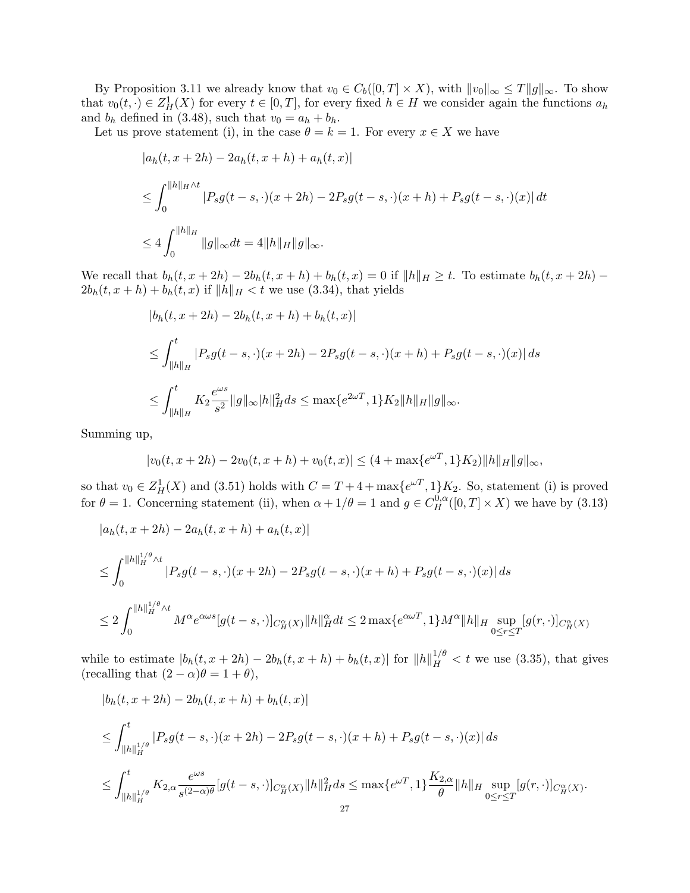By Proposition 3.11 we already know that  $v_0 \in C_b([0, T] \times X)$ , with  $||v_0||_{\infty} \leq T||g||_{\infty}$ . To show that  $v_0(t, \cdot) \in Z_H^1(X)$  for every  $t \in [0,T]$ , for every fixed  $h \in H$  we consider again the functions  $a_h$ and  $b_h$  defined in (3.48), such that  $v_0 = a_h + b_h$ .

Let us prove statement (i), in the case  $\theta = k = 1$ . For every  $x \in X$  we have

$$
|a_h(t, x + 2h) - 2a_h(t, x + h) + a_h(t, x)|
$$
  
\n
$$
\leq \int_0^{||h||_{H} \wedge t} |P_s g(t - s, \cdot)(x + 2h) - 2P_s g(t - s, \cdot)(x + h) + P_s g(t - s, \cdot)(x)| dt
$$
  
\n
$$
\leq 4 \int_0^{||h||_H} ||g||_{\infty} dt = 4||h||_H ||g||_{\infty}.
$$

We recall that  $b_h(t, x + 2h) - 2b_h(t, x + h) + b_h(t, x) = 0$  if  $||h||_H \ge t$ . To estimate  $b_h(t, x + 2h)$  –  $2b_h(t, x + h) + b_h(t, x)$  if  $||h||_H < t$  we use (3.34), that yields

$$
|b_h(t, x + 2h) - 2b_h(t, x + h) + b_h(t, x)|
$$
  
\n
$$
\leq \int_{\|h\|_H}^t |P_s g(t - s, \cdot)(x + 2h) - 2P_s g(t - s, \cdot)(x + h) + P_s g(t - s, \cdot)(x)| ds
$$
  
\n
$$
\leq \int_{\|h\|_H}^t K_2 \frac{e^{\omega s}}{s^2} \|g\|_{\infty} |h\|_H^2 ds \leq \max\{e^{2\omega T}, 1\} K_2 \|h\|_H \|g\|_{\infty}.
$$

Summing up,

$$
|v_0(t, x+2h) - 2v_0(t, x+h) + v_0(t, x)| \le (4 + \max\{e^{\omega T}, 1\}K_2) ||h||_H ||g||_{\infty},
$$

so that  $v_0 \in Z_H^1(X)$  and (3.51) holds with  $C = T + 4 + \max\{e^{\omega T}, 1\}K_2$ . So, statement (i) is proved for  $\theta = 1$ . Concerning statement (ii), when  $\alpha + 1/\theta = 1$  and  $g \in C_H^{0,\alpha}([0,T] \times X)$  we have by (3.13)

$$
|a_h(t, x + 2h) - 2a_h(t, x + h) + a_h(t, x)|
$$

$$
\leq \int_0^{\|h\|_H^{1/\theta} \wedge t} |P_s g(t-s, \cdot)(x+2h) - 2P_s g(t-s, \cdot)(x+h) + P_s g(t-s, \cdot)(x)| ds
$$
  

$$
\leq 2 \int_0^{\|h\|_H^{1/\theta} \wedge t} M^{\alpha} e^{\alpha \omega s} [g(t-s, \cdot)]_{C_H^{\alpha}(X)} \|h\|_H^{\alpha} dt \leq 2 \max \{ e^{\alpha \omega T}, 1 \} M^{\alpha} \|h\|_H \sup_{0 \leq r \leq T} [g(r, \cdot)]_{C_H^{\alpha}(X)}
$$

while to estimate  $|b_h(t, x+2h) - 2b_h(t, x+h) + b_h(t, x)|$  for  $||h||_H^{1/\theta} < t$  we use (3.35), that gives (recalling that  $(2 - \alpha)\theta = 1 + \theta$ ),

$$
|b_h(t, x + 2h) - 2b_h(t, x + h) + b_h(t, x)|
$$
  
\n
$$
\leq \int_{\|h\|_H^{1/\theta}}^t |P_s g(t - s, \cdot)(x + 2h) - 2P_s g(t - s, \cdot)(x + h) + P_s g(t - s, \cdot)(x)| ds
$$
  
\n
$$
\leq \int_{\|h\|_H^{1/\theta}}^t K_{2,\alpha} \frac{e^{\omega s}}{s^{(2-\alpha)\theta}} [g(t - s, \cdot)]_{C_H^{\alpha}} |h\|_H^2 ds \leq \max\{e^{\omega T}, 1\} \frac{K_{2,\alpha}}{\theta} \|h\|_H \sup_{0 \leq r \leq T} [g(r, \cdot)]_{C_H^{\alpha}} |x|.
$$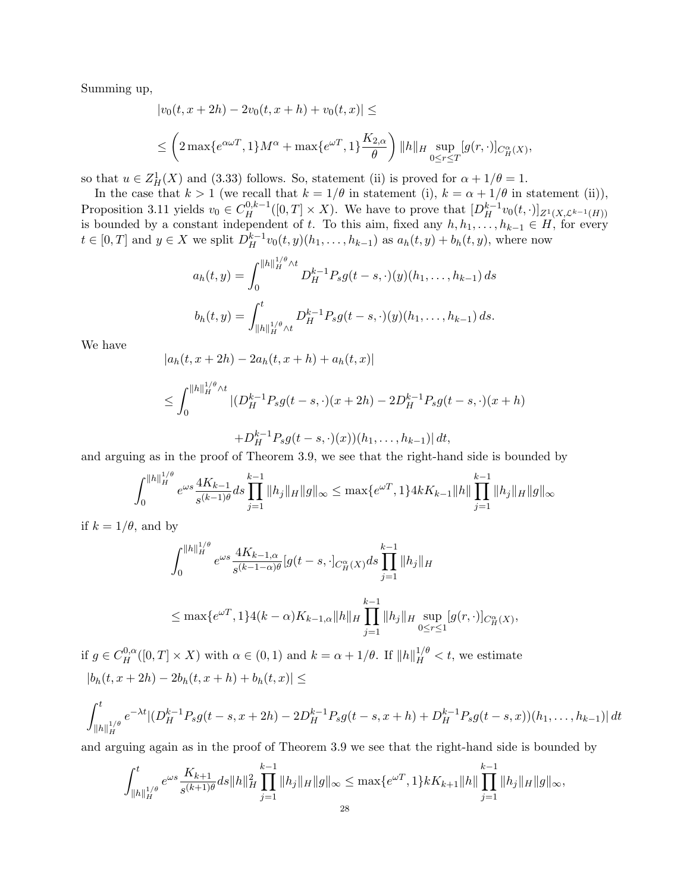Summing up,

$$
|v_0(t, x + 2h) - 2v_0(t, x + h) + v_0(t, x)| \le
$$
  

$$
\leq \left(2 \max\{e^{\alpha \omega T}, 1\} M^{\alpha} + \max\{e^{\omega T}, 1\} \frac{K_{2,\alpha}}{\theta}\right) ||h||_H \sup_{0 \leq r \leq T} [g(r, \cdot)]_{C^{\alpha}_H(X)},
$$

so that  $u \in Z_H^1(X)$  and (3.33) follows. So, statement (ii) is proved for  $\alpha + 1/\theta = 1$ .

In the case that  $k > 1$  (we recall that  $k = 1/\theta$  in statement (i),  $k = \alpha + 1/\theta$  in statement (ii)), Proposition 3.11 yields  $v_0 \in C_H^{0,k-1}([0,T] \times X)$ . We have to prove that  $[D_H^{k-1}v_0(t,\cdot)]_{Z^1(X,\mathcal{L}^{k-1}(H))}$ is bounded by a constant independent of t. To this aim, fixed any  $h, h_1, \ldots, h_{k-1} \in H$ , for every  $t \in [0,T]$  and  $y \in X$  we split  $D_H^{k-1}v_0(t,y)(h_1,\ldots,h_{k-1})$  as  $a_h(t,y) + b_h(t,y)$ , where now

$$
a_h(t,y) = \int_0^{\|h\|_H^{1/\theta} \wedge t} D_H^{k-1} P_s g(t-s,\cdot)(y) (h_1,\ldots,h_{k-1}) ds
$$
  

$$
b_h(t,y) = \int_{\|h\|_H^{1/\theta} \wedge t}^t D_H^{k-1} P_s g(t-s,\cdot)(y) (h_1,\ldots,h_{k-1}) ds.
$$

We have

$$
|a_h(t, x + 2h) - 2a_h(t, x + h) + a_h(t, x)|
$$

$$
\leq \int_0^{\|h\|_H^{1/\theta} \wedge t} |(D_H^{k-1} P_s g(t-s,\cdot)(x+2h) - 2D_H^{k-1} P_s g(t-s,\cdot)(x+h) + D_H^{k-1} P_s g(t-s,\cdot)(x))(h_1,\ldots,h_{k-1})| dt,
$$

and arguing as in the proof of Theorem 3.9, we see that the right-hand side is bounded by

$$
\int_0^{\|h\|_H^{1/\theta}} e^{\omega s} \frac{4K_{k-1}}{s^{(k-1)\theta}} ds \prod_{j=1}^{k-1} \|h_j\|_H \|g\|_\infty \le \max\{e^{\omega T}, 1\} 4k K_{k-1} \|h\| \prod_{j=1}^{k-1} \|h_j\|_H \|g\|_\infty
$$

if  $k = 1/\theta$ , and by

$$
\int_0^{\|h\|_H^{1/\theta}} e^{\omega s} \frac{4K_{k-1,\alpha}}{s^{(k-1-\alpha)\theta}} [g(t-s, \cdot]_{C_H^{\alpha}(X)} ds \prod_{j=1}^{k-1} \|h_j\|_H
$$
  

$$
\leq \max \{ e^{\omega T}, 1 \} 4(k-\alpha) K_{k-1,\alpha} \|h\|_H \prod_{j=1}^{k-1} \|h_j\|_H \sup_{0 \leq r \leq 1} [g(r, \cdot)]_{C_H^{\alpha}(X)},
$$

if  $g \in C_H^{0,\alpha}([0,T] \times X)$  with  $\alpha \in (0,1)$  and  $k = \alpha + 1/\theta$ . If  $||h||_H^{1/\theta} < t$ , we estimate  $|b_h(t, x + 2h) - 2b_h(t, x + h) + b_h(t, x)| \le$ 

$$
\int_{\|h\|_H^{1/\theta}}^t e^{-\lambda t} |(D_H^{k-1} P_s g(t-s, x+2h) - 2D_H^{k-1} P_s g(t-s, x+h) + D_H^{k-1} P_s g(t-s, x)) (h_1, \dots, h_{k-1})| dt
$$

and arguing again as in the proof of Theorem 3.9 we see that the right-hand side is bounded by

$$
\int_{\|h\|_H^{1/\theta}}^t e^{\omega s} \frac{K_{k+1}}{s^{(k+1)\theta}} ds \|h\|_H^2 \prod_{j=1}^{k-1} \|h_j\|_H \|g\|_\infty \le \max\{e^{\omega T}, 1\} k K_{k+1} \|h\| \prod_{j=1}^{k-1} \|h_j\|_H \|g\|_\infty,
$$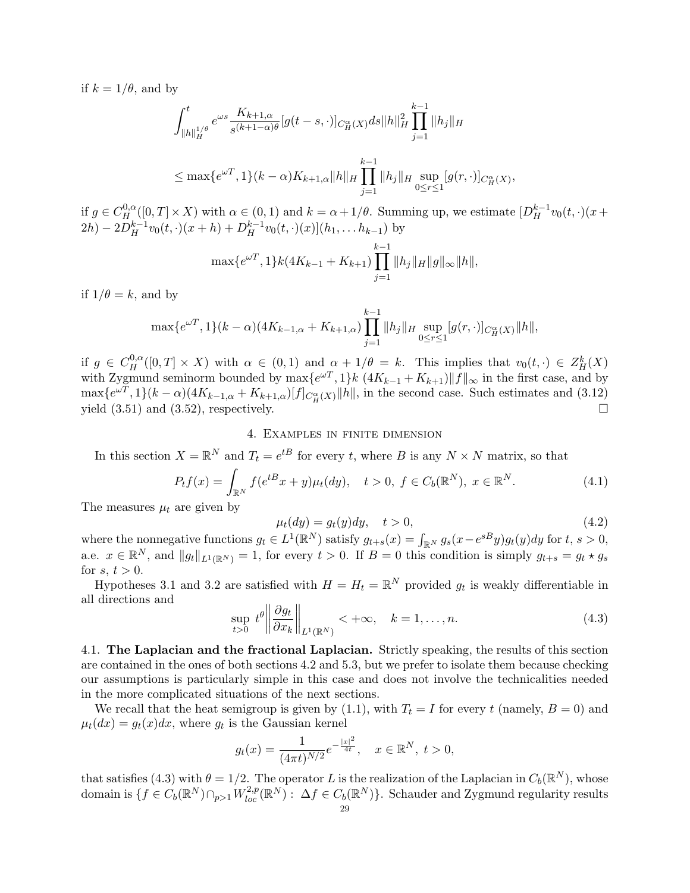if  $k = 1/\theta$ , and by

$$
\int_{\|h\|_H^{1/\theta}}^t e^{\omega s} \frac{K_{k+1,\alpha}}{s^{(k+1-\alpha)\theta}} [g(t-s,\cdot)]_{C_H^{\alpha}(X)} ds \|h\|_H^2 \prod_{j=1}^{k-1} \|h_j\|_H
$$
  

$$
\leq \max\{e^{\omega T}, 1\}(k-\alpha)K_{k+1,\alpha} \|h\|_H \prod_{j=1}^{k-1} \|h_j\|_H \sup_{0 \leq r \leq 1} [g(r,\cdot)]_{C_H^{\alpha}(X)},
$$

if  $g \in C_H^{0,\alpha}([0,T] \times X)$  with  $\alpha \in (0,1)$  and  $k = \alpha + 1/\theta$ . Summing up, we estimate  $[D_H^{k-1}v_0(t,\cdot)(x+\cdot)]$  $2h - 2D_H^{k-1}v_0(t, \cdot)(x+h) + D_H^{k-1}v_0(t, \cdot)(x)](h_1, \ldots, h_{k-1})$  by

$$
\max\{e^{\omega T}, 1\} k(4K_{k-1} + K_{k+1}) \prod_{j=1}^{k-1} \|h_j\|_H \|g\|_\infty \|h\|,
$$

if  $1/\theta = k$ , and by

$$
\max\{e^{\omega T}, 1\}(k-\alpha)(4K_{k-1,\alpha}+K_{k+1,\alpha})\prod_{j=1}^{k-1}||h_j||_H \sup_{0\leq r\leq 1}[g(r,\cdot)]_{C_H^{\alpha}(X)}||h||,
$$

if  $g \in C_H^{0,\alpha}([0,T] \times X)$  with  $\alpha \in (0,1)$  and  $\alpha + 1/\theta = k$ . This implies that  $v_0(t, \cdot) \in Z_H^k(X)$ with Zygmund seminorm bounded by  $\max\{e^{\omega T}, 1\} k \left(4K_{k-1} + K_{k+1}\right) ||f||_{\infty}$  in the first case, and by  $\max\{e^{\omega T}, 1\}(k-\alpha)(4K_{k-1,\alpha}+K_{k+1,\alpha})[f]_{C_H^{\alpha}(X)}\|h\|$ , in the second case. Such estimates and (3.12) yield  $(3.51)$  and  $(3.52)$ , respectively.

## 4. Examples in finite dimension

In this section  $X = \mathbb{R}^N$  and  $T_t = e^{tB}$  for every t, where B is any  $N \times N$  matrix, so that

$$
P_t f(x) = \int_{\mathbb{R}^N} f(e^{tB} x + y) \mu_t(dy), \quad t > 0, \ f \in C_b(\mathbb{R}^N), \ x \in \mathbb{R}^N.
$$
 (4.1)

The measures  $\mu_t$  are given by

$$
\mu_t(dy) = g_t(y)dy, \quad t > 0,
$$
\n
$$
(4.2)
$$

where the nonnegative functions  $g_t \in L^1(\mathbb{R}^N)$  satisfy  $g_{t+s}(x) = \int_{\mathbb{R}^N} g_s(x - e^{sB}y) g_t(y) dy$  for  $t, s > 0$ , a.e.  $x \in \mathbb{R}^N$ , and  $||g_t||_{L^1(\mathbb{R}^N)} = 1$ , for every  $t > 0$ . If  $B = 0$  this condition is simply  $g_{t+s} = g_t * g_s$ for  $s, t > 0$ .

Hypotheses 3.1 and 3.2 are satisfied with  $H = H_t = \mathbb{R}^N$  provided  $g_t$  is weakly differentiable in all directions and

$$
\sup_{t>0} t^{\theta} \left\| \frac{\partial g_t}{\partial x_k} \right\|_{L^1(\mathbb{R}^N)} < +\infty, \quad k = 1, \dots, n. \tag{4.3}
$$

4.1. The Laplacian and the fractional Laplacian. Strictly speaking, the results of this section are contained in the ones of both sections 4.2 and 5.3, but we prefer to isolate them because checking our assumptions is particularly simple in this case and does not involve the technicalities needed in the more complicated situations of the next sections.

We recall that the heat semigroup is given by (1.1), with  $T_t = I$  for every t (namely,  $B = 0$ ) and  $\mu_t(dx) = g_t(x)dx$ , where  $g_t$  is the Gaussian kernel

$$
g_t(x) = \frac{1}{(4\pi t)^{N/2}} e^{-\frac{|x|^2}{4t}}, \quad x \in \mathbb{R}^N, \ t > 0,
$$

that satisfies (4.3) with  $\theta = 1/2$ . The operator L is the realization of the Laplacian in  $C_b(\mathbb{R}^N)$ , whose domain is  $\{f \in C_b(\mathbb{R}^N) \cap_{p>1} W^{2,p}_{loc}(\mathbb{R}^N) : \Delta f \in C_b(\mathbb{R}^N)\}$ . Schauder and Zygmund regularity results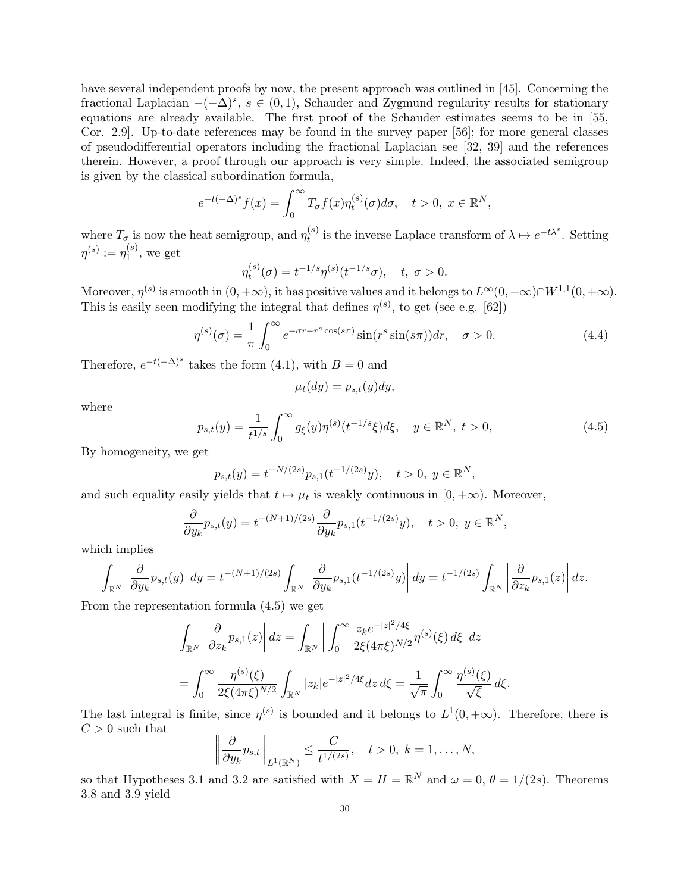have several independent proofs by now, the present approach was outlined in [45]. Concerning the fractional Laplacian  $-(-\Delta)^s$ ,  $s \in (0,1)$ , Schauder and Zygmund regularity results for stationary equations are already available. The first proof of the Schauder estimates seems to be in [55, Cor. 2.9]. Up-to-date references may be found in the survey paper [56]; for more general classes of pseudodifferential operators including the fractional Laplacian see [32, 39] and the references therein. However, a proof through our approach is very simple. Indeed, the associated semigroup is given by the classical subordination formula,

$$
e^{-t(-\Delta)^s}f(x) = \int_0^\infty T_\sigma f(x)\eta_t^{(s)}(\sigma)d\sigma, \quad t > 0, \ x \in \mathbb{R}^N,
$$

where  $T_{\sigma}$  is now the heat semigroup, and  $\eta_t^{(s)}$  $t_t^{(s)}$  is the inverse Laplace transform of  $\lambda \mapsto e^{-t\lambda^s}$ . Setting  $\eta^{(s)}:=\eta_1^{(s)}$  $1^{(s)}$ , we get

$$
\eta_t^{(s)}(\sigma) = t^{-1/s} \eta^{(s)}(t^{-1/s}\sigma), \quad t, \ \sigma > 0.
$$

Moreover,  $\eta^{(s)}$  is smooth in  $(0, +\infty)$ , it has positive values and it belongs to  $L^{\infty}(0, +\infty) \cap W^{1,1}(0, +\infty)$ . This is easily seen modifying the integral that defines  $\eta^{(s)}$ , to get (see e.g. [62])

$$
\eta^{(s)}(\sigma) = \frac{1}{\pi} \int_0^\infty e^{-\sigma r - r^s \cos(s\pi)} \sin(r^s \sin(s\pi)) dr, \quad \sigma > 0.
$$
\n(4.4)

Therefore,  $e^{-t(-\Delta)^s}$  takes the form (4.1), with  $B=0$  and

$$
\mu_t(dy) = p_{s,t}(y)dy,
$$

where

$$
p_{s,t}(y) = \frac{1}{t^{1/s}} \int_0^\infty g_\xi(y) \eta^{(s)}(t^{-1/s}\xi) d\xi, \quad y \in \mathbb{R}^N, \ t > 0,
$$
\n(4.5)

By homogeneity, we get

$$
p_{s,t}(y) = t^{-N/(2s)} p_{s,1}(t^{-1/(2s)}y), \quad t > 0, y \in \mathbb{R}^N,
$$

and such equality easily yields that  $t \mapsto \mu_t$  is weakly continuous in  $[0, +\infty)$ . Moreover,

$$
\frac{\partial}{\partial y_k} p_{s,t}(y) = t^{-(N+1)/(2s)} \frac{\partial}{\partial y_k} p_{s,1}(t^{-1/(2s)}y), \quad t > 0, \ y \in \mathbb{R}^N,
$$

which implies

$$
\int_{\mathbb{R}^N} \left| \frac{\partial}{\partial y_k} p_{s,t}(y) \right| dy = t^{-(N+1)/(2s)} \int_{\mathbb{R}^N} \left| \frac{\partial}{\partial y_k} p_{s,1}(t^{-1/(2s)}y) \right| dy = t^{-1/(2s)} \int_{\mathbb{R}^N} \left| \frac{\partial}{\partial z_k} p_{s,1}(z) \right| dz.
$$

From the representation formula (4.5) we get

$$
\int_{\mathbb{R}^N} \left| \frac{\partial}{\partial z_k} p_{s,1}(z) \right| dz = \int_{\mathbb{R}^N} \left| \int_0^\infty \frac{z_k e^{-|z|^2/4\xi}}{2\xi (4\pi\xi)^{N/2}} \eta^{(s)}(\xi) d\xi \right| dz
$$
  
= 
$$
\int_0^\infty \frac{\eta^{(s)}(\xi)}{2\xi (4\pi\xi)^{N/2}} \int_{\mathbb{R}^N} |z_k| e^{-|z|^2/4\xi} dz d\xi = \frac{1}{\sqrt{\pi}} \int_0^\infty \frac{\eta^{(s)}(\xi)}{\sqrt{\xi}} d\xi.
$$

The last integral is finite, since  $\eta^{(s)}$  is bounded and it belongs to  $L^1(0, +\infty)$ . Therefore, there is  $C > 0$  such that

$$
\left\|\frac{\partial}{\partial y_k}p_{s,t}\right\|_{L^1(\mathbb{R}^N)} \leq \frac{C}{t^{1/(2s)}}, \quad t > 0, \ k = 1, \ldots, N,
$$

so that Hypotheses 3.1 and 3.2 are satisfied with  $X = H = \mathbb{R}^N$  and  $\omega = 0$ ,  $\theta = 1/(2s)$ . Theorems 3.8 and 3.9 yield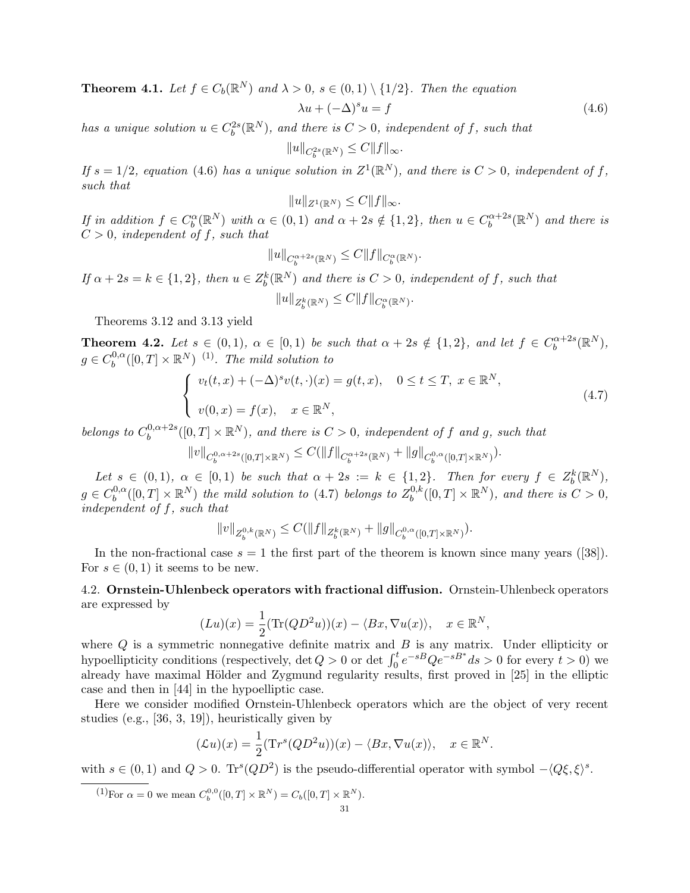**Theorem 4.1.** Let  $f \in C_b(\mathbb{R}^N)$  and  $\lambda > 0$ ,  $s \in (0,1) \setminus \{1/2\}$ . Then the equation

$$
\lambda u + (-\Delta)^s u = f \tag{4.6}
$$

has a unique solution  $u \in C_b^{2s}(\mathbb{R}^N)$ , and there is  $C > 0$ , independent of f, such that

 $||u||_{C_b^{2s}(\mathbb{R}^N)} \leq C||f||_{\infty}.$ 

If  $s = 1/2$ , equation (4.6) has a unique solution in  $Z^1(\mathbb{R}^N)$ , and there is  $C > 0$ , independent of f, such that

$$
||u||_{Z^1(\mathbb{R}^N)} \leq C||f||_{\infty}.
$$

If in addition  $f \in C_b^{\alpha}(\mathbb{R}^N)$  with  $\alpha \in (0,1)$  and  $\alpha + 2s \notin \{1,2\}$ , then  $u \in C_b^{\alpha+2s}$  $\mathbb{R}^{n+2s}(\mathbb{R}^N)$  and there is  $C > 0$ , independent of f, such that

$$
||u||_{C_b^{\alpha+2s}(\mathbb{R}^N)} \leq C||f||_{C_b^{\alpha}(\mathbb{R}^N)}.
$$

If  $\alpha + 2s = k \in \{1,2\}$ , then  $u \in Z_b^k(\mathbb{R}^N)$  and there is  $C > 0$ , independent of f, such that  $||u||_{Z_b^k(\mathbb{R}^N)} \leq C||f||_{C_b^{\alpha}(\mathbb{R}^N)}.$ 

Theorems 3.12 and 3.13 yield

**Theorem 4.2.** Let  $s \in (0,1)$ ,  $\alpha \in [0,1)$  be such that  $\alpha + 2s \notin \{1,2\}$ , and let  $f \in C_b^{\alpha+2s}$  $b^{(\alpha+2s}(\mathbb{R}^N),$  $g \in C_b^{0,\alpha}$  $b^{0,\alpha}_b([0,T]\times\mathbb{R}^N)$  <sup>(1)</sup>. The mild solution to

$$
\begin{cases}\nv_t(t,x) + (-\Delta)^s v(t,\cdot)(x) = g(t,x), & 0 \le t \le T, \ x \in \mathbb{R}^N, \\
v(0,x) = f(x), & x \in \mathbb{R}^N,\n\end{cases}
$$
\n(4.7)

belongs to  $C_b^{0,\alpha+2s}$  $\partial_b^{0,\alpha+2s}([0,T]\times\mathbb R^N)$ , and there is  $C>0$ , independent of f and g, such that

$$
||v||_{C_b^{0,\alpha+2s}([0,T]\times \mathbb{R}^N)} \leq C(||f||_{C_b^{\alpha+2s}(\mathbb{R}^N)} + ||g||_{C_b^{0,\alpha}([0,T]\times \mathbb{R}^N)}).
$$

Let  $s \in (0,1)$ ,  $\alpha \in [0,1)$  be such that  $\alpha + 2s := k \in \{1,2\}$ . Then for every  $f \in Z_b^k(\mathbb{R}^N)$ ,  $g \in C_b^{0,\alpha}$  $\mathcal{L}_b^{0,\alpha}([0,T]\times\mathbb{R}^N)$  the mild solution to (4.7) belongs to  $Z_b^{0,k}$  $b^{0,k}([0,T]\times\mathbb{R}^N)$ , and there is  $C>0$ , independent of f, such that

$$
||v||_{Z_b^{0,k}(\mathbb{R}^N)} \leq C(||f||_{Z_b^k(\mathbb{R}^N)} + ||g||_{C_b^{0,\alpha}([0,T]\times \mathbb{R}^N)}).
$$

In the non-fractional case  $s = 1$  the first part of the theorem is known since many years ([38]). For  $s \in (0,1)$  it seems to be new.

4.2. Ornstein-Uhlenbeck operators with fractional diffusion. Ornstein-Uhlenbeck operators are expressed by

$$
(Lu)(x) = \frac{1}{2}(\text{Tr}(QD^2u))(x) - \langle Bx, \nabla u(x) \rangle, \quad x \in \mathbb{R}^N,
$$

where  $Q$  is a symmetric nonnegative definite matrix and  $B$  is any matrix. Under ellipticity or hypoellipticity conditions (respectively, det  $Q > 0$  or det  $\int_0^t e^{-sB}Qe^{-sB^*}ds > 0$  for every  $t > 0$ ) we already have maximal Hölder and Zygmund regularity results, first proved in [25] in the elliptic case and then in [44] in the hypoelliptic case.

Here we consider modified Ornstein-Uhlenbeck operators which are the object of very recent studies (e.g., [36, 3, 19]), heuristically given by

$$
(\mathcal{L}u)(x) = \frac{1}{2}(\mathrm{Tr}^s(QD^2u))(x) - \langle Bx, \nabla u(x) \rangle, \quad x \in \mathbb{R}^N.
$$

with  $s \in (0, 1)$  and  $Q > 0$ . Tr<sup>s</sup> $(QD^2)$  is the pseudo-differential operator with symbol  $-\langle Q\xi, \xi \rangle^s$ .

(1)For  $\alpha = 0$  we mean  $C_b^{0,0}([0, T] \times \mathbb{R}^N) = C_b([0, T] \times \mathbb{R}^N)$ .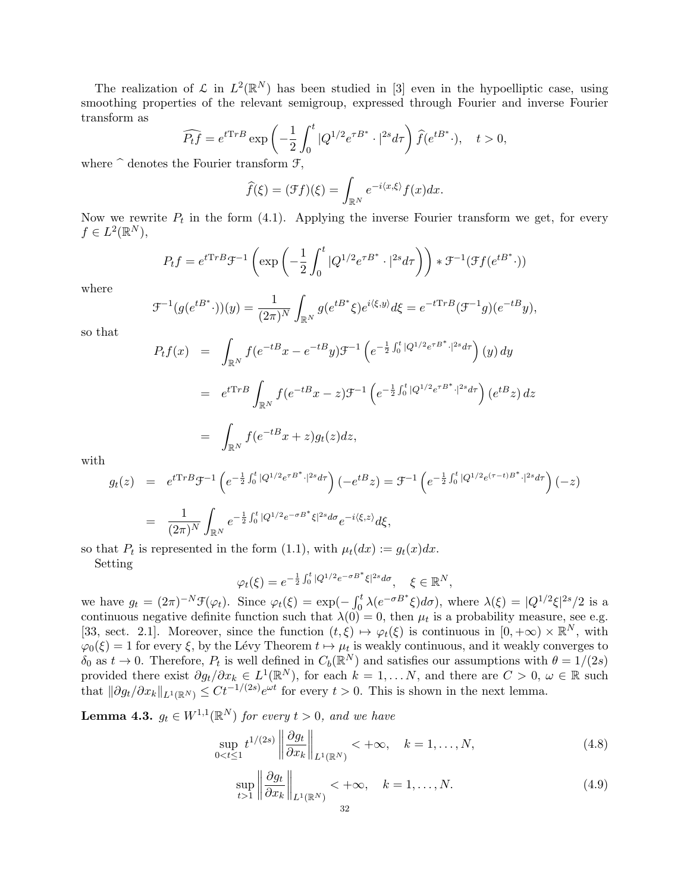The realization of  $\mathcal L$  in  $L^2(\mathbb R^N)$  has been studied in [3] even in the hypoelliptic case, using smoothing properties of the relevant semigroup, expressed through Fourier and inverse Fourier transform as

$$
\widehat{P_t f} = e^{t \mathrm{Tr}B} \exp\left(-\frac{1}{2} \int_0^t |Q^{1/2} e^{\tau B^*} \cdot |^{2s} d\tau\right) \widehat{f}(e^{tB^*} \cdot), \quad t > 0,
$$

where  $\hat{ }$  denotes the Fourier transform  $\mathcal{F},$ 

$$
\widehat{f}(\xi) = (\mathcal{F}f)(\xi) = \int_{\mathbb{R}^N} e^{-i\langle x,\xi \rangle} f(x) dx.
$$

Now we rewrite  $P_t$  in the form (4.1). Applying the inverse Fourier transform we get, for every  $f \in L^2(\mathbb{R}^N)$ ,

$$
P_t f = e^{t \mathrm{Tr}B} \mathcal{F}^{-1} \left( \exp \left( -\frac{1}{2} \int_0^t |Q^{1/2} e^{\tau B^*} \cdot |^{2s} d\tau \right) \right) * \mathcal{F}^{-1} (\mathcal{F}f(e^{tB^*} \cdot))
$$

where

$$
\mathcal{F}^{-1}(g(e^{tB^*}\cdot))(y) = \frac{1}{(2\pi)^N} \int_{\mathbb{R}^N} g(e^{tB^*}\xi)e^{i\langle \xi, y \rangle} d\xi = e^{-tTrB}(\mathcal{F}^{-1}g)(e^{-tB}y),
$$

so that

$$
P_t f(x) = \int_{\mathbb{R}^N} f(e^{-tB}x - e^{-tB}y) \mathcal{F}^{-1} \left( e^{-\frac{1}{2} \int_0^t |Q^{1/2} e^{\tau B^*} \cdot |^{2s} d\tau} \right) (y) dy
$$
  
\n
$$
= e^{tTrB} \int_{\mathbb{R}^N} f(e^{-tB}x - z) \mathcal{F}^{-1} \left( e^{-\frac{1}{2} \int_0^t |Q^{1/2} e^{\tau B^*} \cdot |^{2s} d\tau} \right) (e^{tB}z) dz
$$
  
\n
$$
= \int_{\mathbb{R}^N} f(e^{-tB}x + z) g_t(z) dz,
$$

with

$$
g_t(z) = e^{tTrB} \mathcal{F}^{-1} \left( e^{-\frac{1}{2} \int_0^t |Q^{1/2} e^{\tau B^*} \cdot |^{2s} d\tau} \right) \left( -e^{tB} z \right) = \mathcal{F}^{-1} \left( e^{-\frac{1}{2} \int_0^t |Q^{1/2} e^{(\tau - t)B^*} \cdot |^{2s} d\tau} \right) (-z)
$$
  

$$
= \frac{1}{(2\pi)^N} \int_{\mathbb{R}^N} e^{-\frac{1}{2} \int_0^t |Q^{1/2} e^{-\sigma B^*} \xi|^{2s} d\sigma} e^{-i \langle \xi, z \rangle} d\xi,
$$

so that  $P_t$  is represented in the form (1.1), with  $\mu_t(dx) := g_t(x)dx$ .

Setting

$$
\varphi_t(\xi)=e^{-\frac{1}{2}\int_0^t|Q^{1/2}e^{-\sigma B^*}\xi|^{2s}d\sigma},\quad \xi\in\mathbb{R}^N,
$$

we have  $g_t = (2\pi)^{-N} \mathcal{F}(\varphi_t)$ . Since  $\varphi_t(\xi) = \exp(-\int_0^t \lambda(e^{-\sigma B^*}\xi)d\sigma)$ , where  $\lambda(\xi) = |Q^{1/2}\xi|^{2s}/2$  is a continuous negative definite function such that  $\lambda(0) = 0$ , then  $\mu_t$  is a probability measure, see e.g. [33, sect. 2.1]. Moreover, since the function  $(t, \xi) \mapsto \varphi_t(\xi)$  is continuous in  $[0, +\infty) \times \mathbb{R}^N$ , with  $\varphi_0(\xi) = 1$  for every  $\xi$ , by the Lévy Theorem  $t \mapsto \mu_t$  is weakly continuous, and it weakly converges to  $\delta_0$  as  $t \to 0$ . Therefore,  $P_t$  is well defined in  $C_b(\mathbb{R}^N)$  and satisfies our assumptions with  $\theta = 1/(2s)$ provided there exist  $\partial g_t/\partial x_k \in L^1(\mathbb{R}^N)$ , for each  $k = 1, \ldots N$ , and there are  $C > 0$ ,  $\omega \in \mathbb{R}$  such that  $\|\partial g_t/\partial x_k\|_{L^1(\mathbb{R}^N)} \leq Ct^{-1/(2s)}e^{\omega t}$  for every  $t > 0$ . This is shown in the next lemma.

**Lemma 4.3.**  $g_t \in W^{1,1}(\mathbb{R}^N)$  for every  $t > 0$ , and we have

$$
\sup_{0 < t \le 1} t^{1/(2s)} \left\| \frac{\partial g_t}{\partial x_k} \right\|_{L^1(\mathbb{R}^N)} < +\infty, \quad k = 1, \dots, N,\tag{4.8}
$$

$$
\sup_{t>1} \left\| \frac{\partial g_t}{\partial x_k} \right\|_{L^1(\mathbb{R}^N)} < +\infty, \quad k = 1, \dots, N. \tag{4.9}
$$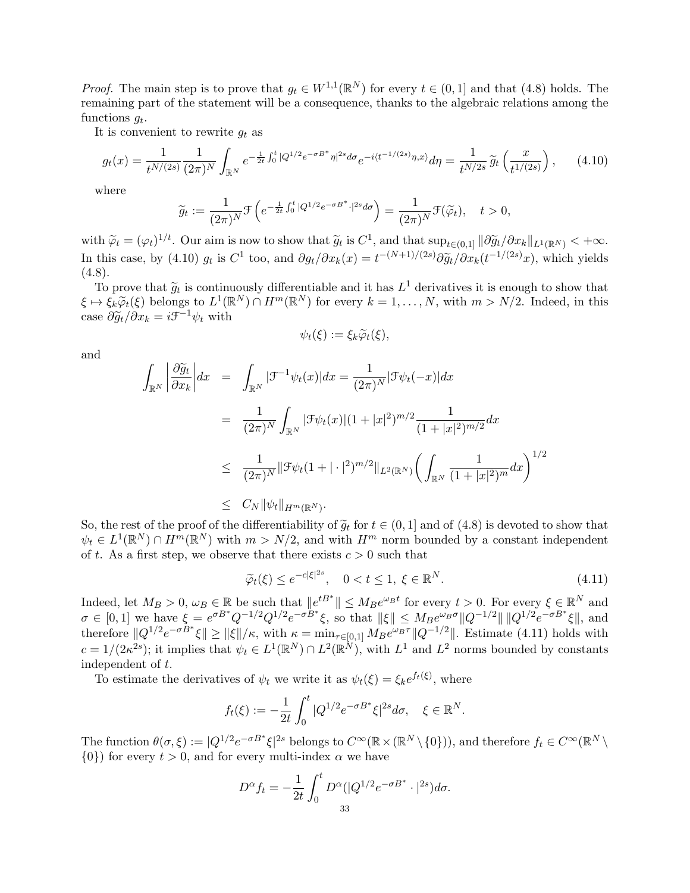*Proof.* The main step is to prove that  $g_t \in W^{1,1}(\mathbb{R}^N)$  for every  $t \in (0,1]$  and that  $(4.8)$  holds. The remaining part of the statement will be a consequence, thanks to the algebraic relations among the functions  $g_t$ .

It is convenient to rewrite  $q_t$  as

$$
g_t(x) = \frac{1}{t^{N/(2s)}} \frac{1}{(2\pi)^N} \int_{\mathbb{R}^N} e^{-\frac{1}{2t} \int_0^t |Q^{1/2} e^{-\sigma B^*} \eta|^{2s} d\sigma} e^{-i(t^{-1/(2s)} \eta, x)} d\eta = \frac{1}{t^{N/2s}} \widetilde{g}_t \left(\frac{x}{t^{1/(2s)}}\right), \tag{4.10}
$$

where

$$
\widetilde{g}_t := \frac{1}{(2\pi)^N} \mathcal{F}\left(e^{-\frac{1}{2t} \int_0^t |Q^{1/2}e^{-\sigma B^*} \cdot |^{2s} d\sigma}\right) = \frac{1}{(2\pi)^N} \mathcal{F}(\widetilde{\varphi}_t), \quad t > 0,
$$

with  $\widetilde{\varphi}_t = (\varphi_t)^{1/t}$ . Our aim is now to show that  $\widetilde{g}_t$  is  $C^1$ , and that  $\sup_{t \in (0,1]} \|\partial \widetilde{g}_t/\partial x_k\|_{L^1(\mathbb{R}^N)} < +\infty$ . In this case, by (4.10)  $g_t$  is  $C^1$  too, and  $\partial g_t/\partial x_k(x) = t^{-(N+1)/(2s)} \partial \widetilde{g}_t/\partial x_k(t^{-1/(2s)}x)$ , which yields  $(4.8)$  $(4.8).$ 

To prove that  $\tilde{g}_t$  is continuously differentiable and it has  $L^1$  derivatives it is enough to show that  $\zeta \in \tilde{\zeta}(\xi)$  belongs to  $L^1(\mathbb{R}^N) \cap H^m(\mathbb{R}^N)$  for over  $k-1$   $N$  with  $m \ge N/2$  Indeed in this  $\xi \mapsto \xi_k \widetilde{\varphi}_t(\xi)$  belongs to  $L^1(\mathbb{R}^N) \cap H^m(\mathbb{R}^N)$  for every  $k = 1, ..., N$ , with  $m > N/2$ . Indeed, in this case  $\partial \widetilde{g}_t / \partial x_k = i \mathcal{F}^{-1} \psi_t$  with

$$
\psi_t(\xi) := \xi_k \widetilde{\varphi}_t(\xi),
$$

and

$$
\int_{\mathbb{R}^N} \left| \frac{\partial \widetilde{g}_t}{\partial x_k} \right| dx = \int_{\mathbb{R}^N} |\mathcal{F}^{-1} \psi_t(x)| dx = \frac{1}{(2\pi)^N} |\mathcal{F}\psi_t(-x)| dx
$$
  
\n
$$
= \frac{1}{(2\pi)^N} \int_{\mathbb{R}^N} |\mathcal{F}\psi_t(x)| (1+|x|^2)^{m/2} \frac{1}{(1+|x|^2)^{m/2}} dx
$$
  
\n
$$
\leq \frac{1}{(2\pi)^N} ||\mathcal{F}\psi_t(1+|\cdot|^2)^{m/2} ||_{L^2(\mathbb{R}^N)} \left( \int_{\mathbb{R}^N} \frac{1}{(1+|x|^2)^m} dx \right)^{1/2}
$$
  
\n
$$
\leq C_N ||\psi_t||_{H^m(\mathbb{R}^N)}.
$$

So, the rest of the proof of the differentiability of  $\tilde{g}_t$  for  $t \in (0, 1]$  and of  $(4.8)$  is devoted to show that  $\psi_t \in L^1(\mathbb{R}^N) \cap H^m(\mathbb{R}^N)$  with  $m > N/2$ , and with  $H^m$  norm bounded by a constant independent of t. As a first step, we observe that there exists  $c > 0$  such that

$$
\widetilde{\varphi}_t(\xi) \le e^{-c|\xi|^{2s}}, \quad 0 < t \le 1, \ \xi \in \mathbb{R}^N. \tag{4.11}
$$

Indeed, let  $M_B > 0$ ,  $\omega_B \in \mathbb{R}$  be such that  $||e^{tB^*}|| \leq M_B e^{\omega_B t}$  for every  $t > 0$ . For every  $\xi \in \mathbb{R}^N$  and  $\sigma \in [0,1]$  we have  $\xi = e^{\sigma B^*} Q^{-1/2} Q^{1/2} e^{-\sigma B^*} \xi$ , so that  $\|\xi\| \leq M_B e^{\omega_B \sigma} \|Q^{-1/2}\| \|Q^{1/2} e^{-\sigma B^*} \xi\|$ , and therefore  $||Q^{1/2}e^{-\sigma B^*}\xi|| \ge ||\xi||/\kappa$ , with  $\kappa = \min_{\tau \in [0,1]} M_B e^{\omega_B \tau} ||Q^{-1/2}||$ . Estimate (4.11) holds with  $c = 1/(2\kappa^{2s})$ ; it implies that  $\psi_t \in L^1(\mathbb{R}^N) \cap L^2(\mathbb{R}^N)$ , with  $L^1$  and  $L^2$  norms bounded by constants independent of t.

To estimate the derivatives of  $\psi_t$  we write it as  $\psi_t(\xi) = \xi_k e^{f_t(\xi)}$ , where

$$
f_t(\xi) := -\frac{1}{2t} \int_0^t |Q^{1/2} e^{-\sigma B^*} \xi|^{2s} d\sigma, \quad \xi \in \mathbb{R}^N.
$$

The function  $\theta(\sigma,\xi) := |Q^{1/2}e^{-\sigma B^*}\xi|^{2s}$  belongs to  $C^{\infty}(\mathbb{R} \times (\mathbb{R}^N \setminus \{0\}))$ , and therefore  $f_t \in C^{\infty}(\mathbb{R}^N \setminus \{0\})$  $\{0\}$  for every  $t > 0$ , and for every multi-index  $\alpha$  we have

$$
D^{\alpha} f_t = -\frac{1}{2t} \int_0^t D^{\alpha} (|Q^{1/2} e^{-\sigma B^*} \cdot |^{2s}) d\sigma.
$$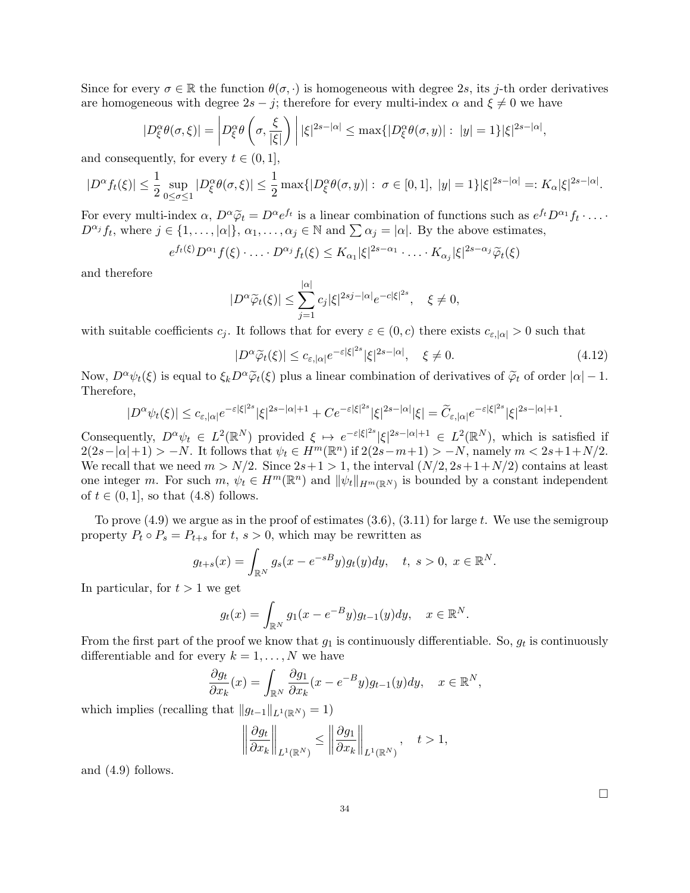Since for every  $\sigma \in \mathbb{R}$  the function  $\theta(\sigma, \cdot)$  is homogeneous with degree 2s, its j-th order derivatives are homogeneous with degree  $2s - j$ ; therefore for every multi-index  $\alpha$  and  $\xi \neq 0$  we have

$$
|D_{\xi}^{\alpha}\theta(\sigma,\xi)| = \left|D_{\xi}^{\alpha}\theta\left(\sigma,\frac{\xi}{|\xi|}\right)\right| |\xi|^{2s-|\alpha|} \leq \max\{|D_{\xi}^{\alpha}\theta(\sigma,y)|: |y|=1\} |\xi|^{2s-|\alpha|},
$$

and consequently, for every  $t \in (0, 1]$ ,

$$
|D^{\alpha} f_t(\xi)| \leq \frac{1}{2} \sup_{0 \leq \sigma \leq 1} |D^{\alpha}_{\xi} \theta(\sigma, \xi)| \leq \frac{1}{2} \max \{ |D^{\alpha}_{\xi} \theta(\sigma, y)| : \sigma \in [0, 1], \ |y| = 1 \} |\xi|^{2s - |\alpha|} =: K_{\alpha} |\xi|^{2s - |\alpha|}.
$$

For every multi-index  $\alpha$ ,  $D^{\alpha}\tilde{\varphi}_t = D^{\alpha}e^{ft}$  is a linear combination of functions such as  $e^{ft}D^{\alpha_1}f_t \cdots$ <br> $D^{\alpha_i}f_t$ , where  $i \in [1, \dots, \infty)$  and  $\sum_{\alpha_i} \alpha_i = |\alpha|$ . By the above estimates  $D^{\alpha_j} f_t$ , where  $j \in \{1, ..., |\alpha|\}$ ,  $\alpha_1, ..., \alpha_j \in \mathbb{N}$  and  $\sum \alpha_j = |\alpha|$ . By the above estimates,

$$
e^{f_t(\xi)}D^{\alpha_1}f(\xi)\cdot\ldots\cdot D^{\alpha_j}f_t(\xi)\leq K_{\alpha_1}|\xi|^{2s-\alpha_1}\cdot\ldots\cdot K_{\alpha_j}|\xi|^{2s-\alpha_j}\widetilde{\varphi}_t(\xi)
$$

and therefore

$$
|D^{\alpha}\widetilde{\varphi}_t(\xi)| \leq \sum_{j=1}^{|\alpha|} c_j |\xi|^{2sj-|\alpha|} e^{-c|\xi|^{2s}}, \quad \xi \neq 0,
$$

with suitable coefficients  $c_j$ . It follows that for every  $\varepsilon \in (0, c)$  there exists  $c_{\varepsilon, |\alpha|} > 0$  such that

$$
|D^{\alpha}\widetilde{\varphi}_t(\xi)| \leq c_{\varepsilon,|\alpha|}e^{-\varepsilon|\xi|^{2s}}|\xi|^{2s-|\alpha|}, \quad \xi \neq 0. \tag{4.12}
$$

Now,  $D^{\alpha}\psi_t(\xi)$  is equal to  $\xi_kD^{\alpha}\tilde{\varphi}_t(\xi)$  plus a linear combination of derivatives of  $\tilde{\varphi}_t$  of order  $|\alpha|-1$ . Therefore,

$$
|D^{\alpha}\psi_t(\xi)|\leq c_{\varepsilon,|\alpha|}e^{-\varepsilon|\xi|^{2s}}|\xi|^{2s-|\alpha|+1}+Ce^{-\varepsilon|\xi|^{2s}}|\xi|^{2s-|\alpha|}|\xi|=\widetilde{C}_{\varepsilon,|\alpha|}e^{-\varepsilon|\xi|^{2s}}|\xi|^{2s-|\alpha|+1}.
$$

Consequently,  $D^{\alpha}\psi_t \in L^2(\mathbb{R}^N)$  provided  $\xi \mapsto e^{-\varepsilon |\xi|^{2s}} |\xi|^{2s-|\alpha|+1} \in L^2(\mathbb{R}^N)$ , which is satisfied if  $2(2s-|\alpha|+1) > -N$ . It follows that  $\psi_t \in H^m(\mathbb{R}^n)$  if  $2(2s-m+1) > -N$ , namely  $m < 2s+1+N/2$ . We recall that we need  $m > N/2$ . Since  $2s+1 > 1$ , the interval  $(N/2, 2s+1+N/2)$  contains at least one integer m. For such  $m, \psi_t \in H^m(\mathbb{R}^n)$  and  $\|\psi_t\|_{H^m(\mathbb{R}^N)}$  is bounded by a constant independent of  $t \in (0,1]$ , so that  $(4.8)$  follows.

To prove  $(4.9)$  we argue as in the proof of estimates  $(3.6), (3.11)$  for large t. We use the semigroup property  $P_t \circ P_s = P_{t+s}$  for  $t, s > 0$ , which may be rewritten as

$$
g_{t+s}(x) = \int_{\mathbb{R}^N} g_s(x - e^{-sB}y)g_t(y)dy
$$
,  $t, s > 0, x \in \mathbb{R}^N$ .

In particular, for  $t > 1$  we get

$$
g_t(x) = \int_{\mathbb{R}^N} g_1(x - e^{-B}y)g_{t-1}(y)dy, \quad x \in \mathbb{R}^N.
$$

From the first part of the proof we know that  $g_1$  is continuously differentiable. So,  $g_t$  is continuously differentiable and for every  $k = 1, \ldots, N$  we have

$$
\frac{\partial g_t}{\partial x_k}(x) = \int_{\mathbb{R}^N} \frac{\partial g_1}{\partial x_k}(x - e^{-B}y) g_{t-1}(y) dy, \quad x \in \mathbb{R}^N,
$$

which implies (recalling that  $||g_{t-1}||_{L^1(\mathbb{R}^N)} = 1$ )

$$
\left\|\frac{\partial g_t}{\partial x_k}\right\|_{L^1(\mathbb{R}^N)} \le \left\|\frac{\partial g_1}{\partial x_k}\right\|_{L^1(\mathbb{R}^N)}, \quad t > 1,
$$

and (4.9) follows.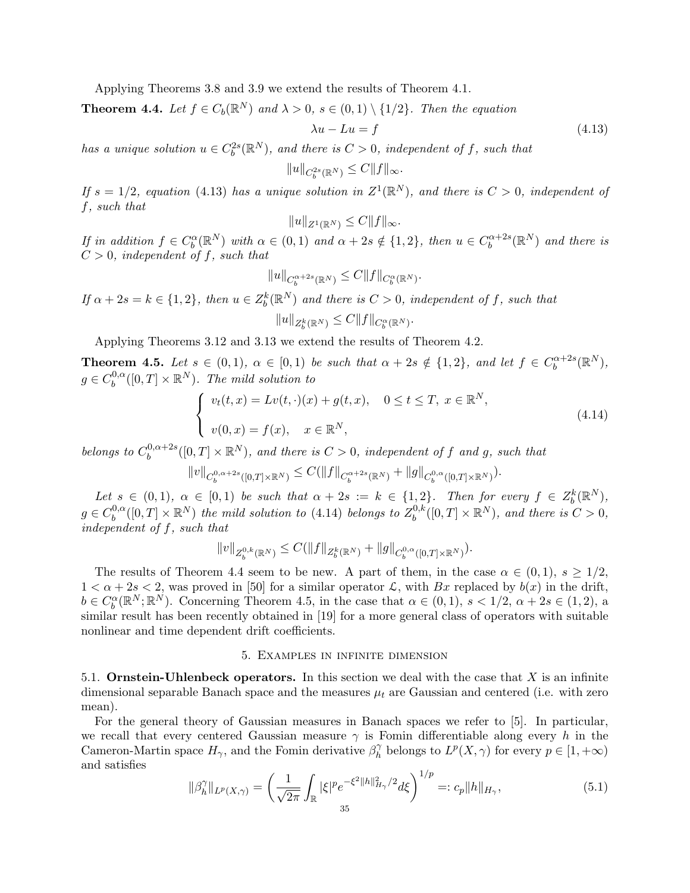Applying Theorems 3.8 and 3.9 we extend the results of Theorem 4.1.

**Theorem 4.4.** Let  $f \in C_b(\mathbb{R}^N)$  and  $\lambda > 0$ ,  $s \in (0,1) \setminus \{1/2\}$ . Then the equation

$$
\lambda u - Lu = f \tag{4.13}
$$

has a unique solution  $u \in C_b^{2s}(\mathbb{R}^N)$ , and there is  $C > 0$ , independent of f, such that

$$
||u||_{C_b^{2s}(\mathbb{R}^N)} \leq C||f||_{\infty}.
$$

If  $s = 1/2$ , equation (4.13) has a unique solution in  $Z^1(\mathbb{R}^N)$ , and there is  $C > 0$ , independent of f, such that

$$
||u||_{Z^1(\mathbb{R}^N)} \leq C||f||_{\infty}.
$$

If in addition  $f \in C_b^{\alpha}(\mathbb{R}^N)$  with  $\alpha \in (0,1)$  and  $\alpha + 2s \notin \{1,2\}$ , then  $u \in C_b^{\alpha+2s}$  $\mathbb{R}^{n+2s}(\mathbb{R}^N)$  and there is  $C > 0$ , independent of f, such that

$$
||u||_{C_b^{\alpha+2s}(\mathbb{R}^N)} \leq C||f||_{C_b^{\alpha}(\mathbb{R}^N)}.
$$

If  $\alpha + 2s = k \in \{1,2\}$ , then  $u \in Z_b^k(\mathbb{R}^N)$  and there is  $C > 0$ , independent of f, such that  $||u||_{Z_b^k(\mathbb{R}^N)} \leq C||f||_{C_b^{\alpha}(\mathbb{R}^N)}.$ 

Applying Theorems 3.12 and 3.13 we extend the results of Theorem 4.2.

**Theorem 4.5.** Let  $s \in (0,1)$ ,  $\alpha \in [0,1)$  be such that  $\alpha + 2s \notin \{1,2\}$ , and let  $f \in C_b^{\alpha+2s}$  $b^{(\alpha+2s}(\mathbb{R}^N),$  $g \in C_b^{0,\alpha}$  $b^{0,\alpha}_b([0,T]\times\mathbb{R}^N)$ . The mild solution to

$$
\begin{cases}\nv_t(t,x) = Lv(t,\cdot)(x) + g(t,x), & 0 \le t \le T, \ x \in \mathbb{R}^N, \\
v(0,x) = f(x), & x \in \mathbb{R}^N,\n\end{cases}
$$
\n(4.14)

belongs to  $C_b^{0,\alpha+2s}$  $\partial_b^{0,\alpha+2s}([0,T]\times\mathbb R^N)$ , and there is  $C>0$ , independent of f and g, such that

$$
||v||_{C^{0,\alpha+2s}_b([0,T]\times \mathbb R^N)} \leq C(||f||_{C^{ \alpha+2s}_b(\mathbb R^N)}+||g||_{C^{0,\alpha}_b([0,T]\times \mathbb R^N)}).
$$

Let  $s \in (0,1)$ ,  $\alpha \in [0,1)$  be such that  $\alpha + 2s := k \in \{1,2\}$ . Then for every  $f \in Z_b^k(\mathbb{R}^N)$ ,  $g \in C_b^{0,\alpha}$  $\mathcal{L}_b^{0,\alpha}([0,T]\times\mathbb{R}^N)$  the mild solution to (4.14) belongs to  $Z_b^{0,k}$  $b^{0,k}([0,T]\times\mathbb{R}^N)$ , and there is  $C>0$ , independent of f, such that

$$
||v||_{Z^{0,k}_b(\mathbb R^N)} \leq C(||f||_{Z^k_b(\mathbb R^N)} + ||g||_{C^{0,\alpha}_b([0,T]\times \mathbb R^N)}).
$$

The results of Theorem 4.4 seem to be new. A part of them, in the case  $\alpha \in (0,1), s \geq 1/2$ ,  $1 < \alpha + 2s < 2$ , was proved in [50] for a similar operator  $\mathcal{L}$ , with Bx replaced by  $b(x)$  in the drift,  $b \in C_b^{\alpha}(\mathbb{R}^N;\mathbb{R}^N)$ . Concerning Theorem 4.5, in the case that  $\alpha \in (0,1)$ ,  $s < 1/2$ ,  $\alpha + 2s \in (1,2)$ , a similar result has been recently obtained in [19] for a more general class of operators with suitable nonlinear and time dependent drift coefficients.

#### 5. Examples in infinite dimension

5.1. **Ornstein-Uhlenbeck operators.** In this section we deal with the case that  $X$  is an infinite dimensional separable Banach space and the measures  $\mu_t$  are Gaussian and centered (i.e. with zero mean).

For the general theory of Gaussian measures in Banach spaces we refer to [5]. In particular, we recall that every centered Gaussian measure  $\gamma$  is Fomin differentiable along every h in the Cameron-Martin space  $H_{\gamma}$ , and the Fomin derivative  $\beta_h^{\gamma}$  $h h$  belongs to  $L^p(X, \gamma)$  for every  $p \in [1, +\infty)$ and satisfies

$$
\|\beta_h^{\gamma}\|_{L^p(X,\gamma)} = \left(\frac{1}{\sqrt{2\pi}} \int_{\mathbb{R}} |\xi|^p e^{-\xi^2 \|h\|_{H_\gamma}^2/2} d\xi\right)^{1/p} =: c_p \|h\|_{H_\gamma},\tag{5.1}
$$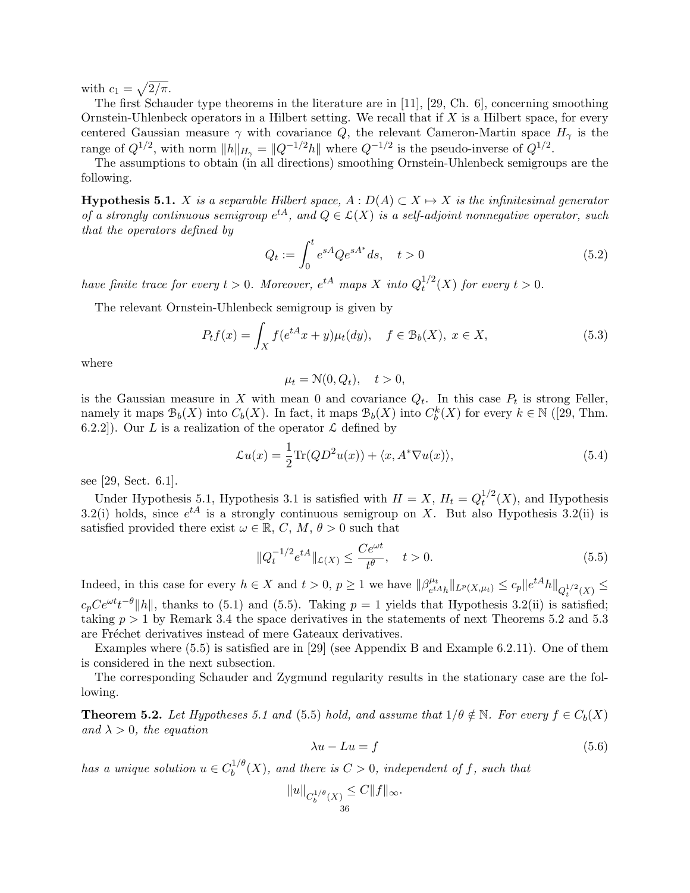with  $c_1 = \sqrt{2/\pi}$ .

The first Schauder type theorems in the literature are in [11], [29, Ch. 6], concerning smoothing Ornstein-Uhlenbeck operators in a Hilbert setting. We recall that if  $X$  is a Hilbert space, for every centered Gaussian measure  $\gamma$  with covariance Q, the relevant Cameron-Martin space  $H_{\gamma}$  is the range of  $Q^{1/2}$ , with norm  $||h||_{H_{\gamma}} = ||Q^{-1/2}h||$  where  $Q^{-1/2}$  is the pseudo-inverse of  $Q^{1/2}$ .

The assumptions to obtain (in all directions) smoothing Ornstein-Uhlenbeck semigroups are the following.

**Hypothesis 5.1.** X is a separable Hilbert space,  $A : D(A) \subset X \mapsto X$  is the infinitesimal generator of a strongly continuous semigroup  $e^{tA}$ , and  $Q \in \mathcal{L}(X)$  is a self-adjoint nonnegative operator, such that the operators defined by

$$
Q_t := \int_0^t e^{sA} Q e^{sA^*} ds, \quad t > 0
$$
\n(5.2)

have finite trace for every  $t > 0$ . Moreover,  $e^{tA}$  maps X into  $Q_t^{1/2}$  $t^{1/2}(X)$  for every  $t > 0$ .

The relevant Ornstein-Uhlenbeck semigroup is given by

$$
P_t f(x) = \int_X f(e^{tA} x + y) \mu_t(dy), \quad f \in \mathcal{B}_b(X), \ x \in X,
$$
\n
$$
(5.3)
$$

where

$$
\mu_t = \mathcal{N}(0, Q_t), \quad t > 0,
$$

is the Gaussian measure in X with mean 0 and covariance  $Q_t$ . In this case  $P_t$  is strong Feller, namely it maps  $\mathcal{B}_b(X)$  into  $C_b(X)$ . In fact, it maps  $\mathcal{B}_b(X)$  into  $C_b^k(X)$  for every  $k \in \mathbb{N}$  ([29, Thm. 6.2.2]). Our L is a realization of the operator  $\mathcal L$  defined by

$$
\mathcal{L}u(x) = \frac{1}{2}\text{Tr}(QD^2u(x)) + \langle x, A^*\nabla u(x) \rangle, \tag{5.4}
$$

see [29, Sect. 6.1].

Under Hypothesis 5.1, Hypothesis 3.1 is satisfied with  $H = X$ ,  $H_t = Q_t^{1/2}$  $t^{1/2}(X)$ , and Hypothesis 3.2(i) holds, since  $e^{tA}$  is a strongly continuous semigroup on X. But also Hypothesis 3.2(ii) is satisfied provided there exist  $\omega \in \mathbb{R}$ , C, M,  $\theta > 0$  such that

$$
||Q_t^{-1/2}e^{tA}||_{\mathcal{L}(X)} \le \frac{Ce^{\omega t}}{t^{\theta}}, \quad t > 0.
$$
\n
$$
(5.5)
$$

Indeed, in this case for every  $h \in X$  and  $t > 0$ ,  $p \ge 1$  we have  $\|\beta_{\text{at}}^{\mu_t}\|$  $\|e^{tA}h\|_{L^p(X,\mu_t)} \leq c_p \|e^{tA}h\|_{Q_t^{1/2}(X)} \leq$  $c_p C e^{\omega t} t^{-\theta} ||h||$ , thanks to (5.1) and (5.5). Taking  $p = 1$  yields that Hypothesis 3.2(ii) is satisfied; taking  $p > 1$  by Remark 3.4 the space derivatives in the statements of next Theorems 5.2 and 5.3 are Fréchet derivatives instead of mere Gateaux derivatives.

Examples where (5.5) is satisfied are in [29] (see Appendix B and Example 6.2.11). One of them is considered in the next subsection.

The corresponding Schauder and Zygmund regularity results in the stationary case are the following.

**Theorem 5.2.** Let Hypotheses 5.1 and (5.5) hold, and assume that  $1/\theta \notin \mathbb{N}$ . For every  $f \in C_b(X)$ and  $\lambda > 0$ , the equation

$$
\lambda u - Lu = f \tag{5.6}
$$

has a unique solution  $u \in C_h^{1/\theta}$  $b^{1/\sigma}(X)$ , and there is  $C > 0$ , independent of f, such that

$$
||u||_{C_b^{1/\theta}(X)} \leq C||f||_{\infty}.
$$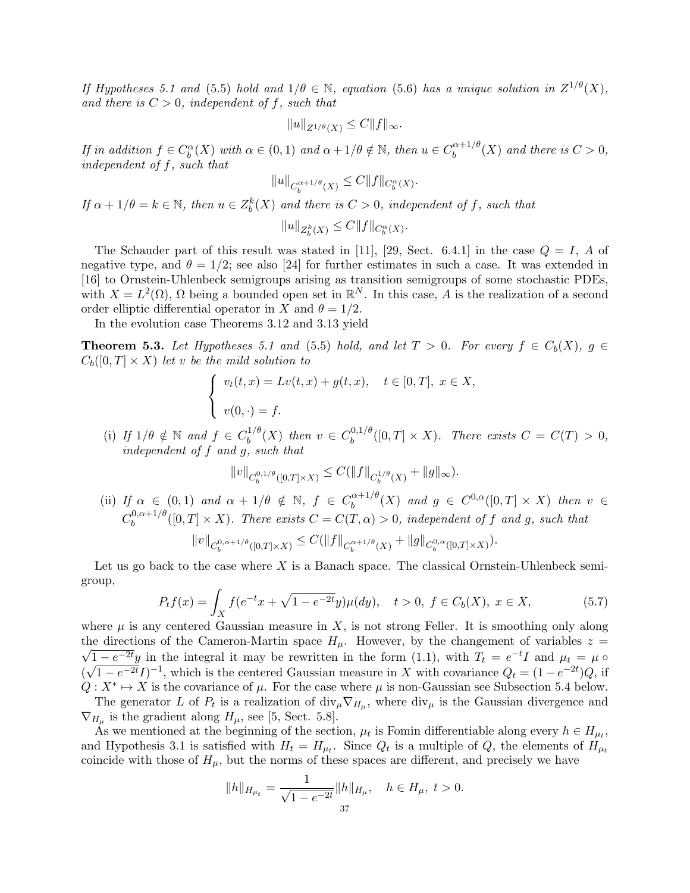If Hypotheses 5.1 and (5.5) hold and  $1/\theta \in \mathbb{N}$ , equation (5.6) has a unique solution in  $Z^{1/\theta}(X)$ , and there is  $C > 0$ , independent of f, such that

$$
||u||_{Z^{1/\theta}(X)} \leq C||f||_{\infty}.
$$

If in addition  $f \in C_b^{\alpha}(X)$  with  $\alpha \in (0,1)$  and  $\alpha + 1/\theta \notin \mathbb{N}$ , then  $u \in C_b^{\alpha+1/\theta}$  $b^{\alpha+1/\theta}(X)$  and there is  $C>0$ , independent of f, such that

$$
||u||_{C_b^{\alpha+1/\theta}(X)} \leq C||f||_{C_b^{\alpha}(X)}.
$$

If  $\alpha + 1/\theta = k \in \mathbb{N}$ , then  $u \in Z_b^k(X)$  and there is  $C > 0$ , independent of f, such that

 $||u||_{Z_b^k(X)} \leq C||f||_{C_b^{\alpha}(X)}.$ 

The Schauder part of this result was stated in [11], [29, Sect. 6.4.1] in the case  $Q = I$ , A of negative type, and  $\theta = 1/2$ ; see also [24] for further estimates in such a case. It was extended in [16] to Ornstein-Uhlenbeck semigroups arising as transition semigroups of some stochastic PDEs, with  $X = L^2(\Omega)$ ,  $\Omega$  being a bounded open set in  $\mathbb{R}^N$ . In this case, A is the realization of a second order elliptic differential operator in X and  $\theta = 1/2$ .

In the evolution case Theorems 3.12 and 3.13 yield

**Theorem 5.3.** Let Hypotheses 5.1 and (5.5) hold, and let  $T > 0$ . For every  $f \in C_b(X)$ ,  $g \in$  $C_b([0,T] \times X)$  let v be the mild solution to

$$
\begin{cases}\nv_t(t,x) = Lv(t,x) + g(t,x), & t \in [0,T], \ x \in X, \\
v(0,\cdot) = f.\n\end{cases}
$$

(i) If  $1/\theta \notin \mathbb{N}$  and  $f \in C_h^{1/\theta}$  $b^{1/\theta}(X)$  then  $v \in C_b^{0,1/\theta}$  $b_b^{0,1/\sigma}([0,T] \times X)$ . There exists  $C = C(T) > 0$ , independent of f and g, such that

$$
\|v\|_{C^{0,1/\theta}_b([0,T]\times X)}\leq C(\|f\|_{C^{1/\theta}_b(X)}+\|g\|_{\infty}).
$$

(ii) If  $\alpha \in (0,1)$  and  $\alpha + 1/\theta \notin \mathbb{N}$ ,  $f \in C_b^{\alpha+1/\theta}$  $b_0^{\alpha+1/\theta}(X)$  and  $g \in C^{0,\alpha}([0,T] \times X)$  then  $v \in$  $C_b^{0,\alpha+1/\theta}$  $b_b^{0,\alpha+1/\sigma}([0,T]\times X)$ . There exists  $C=C(T,\alpha)>0$ , independent of f and g, such that

$$
||v||_{C_b^{0,\alpha+1/\theta}([0,T]\times X)} \leq C(||f||_{C_b^{\alpha+1/\theta}(X)} + ||g||_{C_b^{0,\alpha}([0,T]\times X)}).
$$

Let us go back to the case where  $X$  is a Banach space. The classical Ornstein-Uhlenbeck semigroup,

$$
P_t f(x) = \int_X f(e^{-t}x + \sqrt{1 - e^{-2t}}y)\mu(dy), \quad t > 0, \ f \in C_b(X), \ x \in X,\tag{5.7}
$$

where  $\mu$  is any centered Gaussian measure in X, is not strong Feller. It is smoothing only along the directions of the Cameron-Martin space  $H_u$ . However, by the changement of variables  $z =$  $\overline{1-e^{-2t}}y$  in the integral it may be rewritten in the form (1.1), with  $T_t = e^{-t}I$  and  $\mu_t = \mu$ ( √  $\overline{1-e^{-2t}}I^{-1}$ , which is the centered Gaussian measure in X with covariance  $Q_t = (1-e^{-2t})Q$ , if  $Q: X^* \mapsto X$  is the covariance of  $\mu$ . For the case where  $\mu$  is non-Gaussian see Subsection 5.4 below.

The generator L of  $P_t$  is a realization of  $\text{div}_{\mu} \nabla_{H_{\mu}}$ , where  $\text{div}_{\mu}$  is the Gaussian divergence and  $\nabla_{H_{\mu}}$  is the gradient along  $H_{\mu}$ , see [5, Sect. 5.8].

As we mentioned at the beginning of the section,  $\mu_t$  is Fomin differentiable along every  $h \in H_{\mu_t}$ , and Hypothesis 3.1 is satisfied with  $H_t = H_{\mu_t}$ . Since  $Q_t$  is a multiple of  $Q$ , the elements of  $H_{\mu_t}$ coincide with those of  $H_{\mu}$ , but the norms of these spaces are different, and precisely we have

$$
||h||_{H_{\mu_t}} = \frac{1}{\sqrt{1 - e^{-2t}}} ||h||_{H_{\mu}}, \quad h \in H_{\mu}, \ t > 0.
$$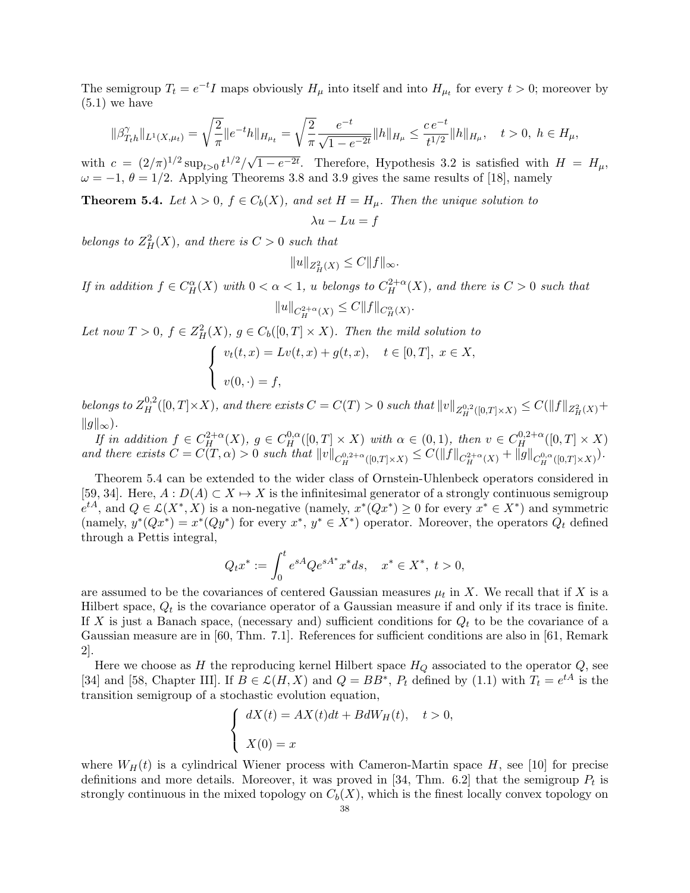The semigroup  $T_t = e^{-t}I$  maps obviously  $H_\mu$  into itself and into  $H_{\mu_t}$  for every  $t > 0$ ; moreover by  $(5.1)$  we have

$$
\|\beta_{T_th}^{\gamma}\|_{L^1(X,\mu_t)} = \sqrt{\frac{2}{\pi}} \|e^{-t}h\|_{H_{\mu_t}} = \sqrt{\frac{2}{\pi}} \frac{e^{-t}}{\sqrt{1 - e^{-2t}}} \|h\|_{H_{\mu}} \le \frac{ce^{-t}}{t^{1/2}} \|h\|_{H_{\mu}}, \quad t > 0, \ h \in H_{\mu},
$$

with  $c = (2/\pi)^{1/2} \sup_{t>0} t^{1/2}/\sqrt{2}$  $\overline{1-e^{-2t}}$ . Therefore, Hypothesis 3.2 is satisfied with  $H = H_{\mu}$ ,  $\omega = -1, \theta = 1/2$ . Applying Theorems 3.8 and 3.9 gives the same results of [18], namely

**Theorem 5.4.** Let  $\lambda > 0$ ,  $f \in C_b(X)$ , and set  $H = H_\mu$ . Then the unique solution to

$$
\lambda u - Lu = f
$$

belongs to  $Z_H^2(X)$ , and there is  $C > 0$  such that

$$
||u||_{Z^2_H(X)} \leq C||f||_{\infty}.
$$

If in addition  $f \in C^{\alpha}_H(X)$  with  $0 < \alpha < 1$ , u belongs to  $C^{2+\alpha}_H(X)$ , and there is  $C > 0$  such that  $||u||_{C_H^{2+\alpha}(X)} \leq C||f||_{C_H^{\alpha}(X)}.$ 

Let now  $T > 0$ ,  $f \in Z_H^2(X)$ ,  $g \in C_b([0, T] \times X)$ . Then the mild solution to

$$
\begin{cases}\nv_t(t,x) = Lv(t,x) + g(t,x), & t \in [0,T], \ x \in X, \\
v(0, \cdot) = f,\n\end{cases}
$$

belongs to  $Z_H^{0,2}([0,T]\times X)$ , and there exists  $C=C(T)>0$  such that  $||v||_{Z_H^{0,2}([0,T]\times X)}\leq C(||f||_{Z^2_H(X)}+1)$  $||g||_{\infty}$ ).

If in addition  $f \in C_H^{2+\alpha}(X)$ ,  $g \in C_H^{0,\alpha}([0,T] \times X)$  with  $\alpha \in (0,1)$ , then  $v \in C_H^{0,2+\alpha}([0,T] \times X)$ and there exists  $C = C(T, \alpha) > 0$  such that  $||v||_{C_H^{0,2+\alpha}([0,T] \times X)} \leq C(||f||_{C_H^{2+\alpha}(X)} + ||g||_{C_H^{0,\alpha}([0,T] \times X)})$ .

Theorem 5.4 can be extended to the wider class of Ornstein-Uhlenbeck operators considered in [59, 34]. Here,  $A: D(A) \subset X \mapsto X$  is the infinitesimal generator of a strongly continuous semigroup  $e^{tA}$ , and  $Q \in \mathcal{L}(X^*, X)$  is a non-negative (namely,  $x^*(Qx^*) \geq 0$  for every  $x^* \in X^*$ ) and symmetric (namely,  $y^*(Qx^*) = x^*(Qy^*)$  for every  $x^*, y^* \in X^*$ ) operator. Moreover, the operators  $Q_t$  defined through a Pettis integral,

$$
Q_t x^* := \int_0^t e^{sA} Q e^{sA^*} x^* ds, \quad x^* \in X^*, \ t > 0,
$$

are assumed to be the covariances of centered Gaussian measures  $\mu_t$  in X. We recall that if X is a Hilbert space,  $Q_t$  is the covariance operator of a Gaussian measure if and only if its trace is finite. If X is just a Banach space, (necessary and) sufficient conditions for  $Q_t$  to be the covariance of a Gaussian measure are in [60, Thm. 7.1]. References for sufficient conditions are also in [61, Remark 2].

Here we choose as H the reproducing kernel Hilbert space  $H_Q$  associated to the operator  $Q$ , see [34] and [58, Chapter III]. If  $B \in \mathcal{L}(H, X)$  and  $Q = BB^*$ ,  $P_t$  defined by (1.1) with  $T_t = e^{tA}$  is the transition semigroup of a stochastic evolution equation,

$$
\begin{cases} dX(t) = AX(t)dt + BdW_H(t), \quad t > 0, \\ X(0) = x \end{cases}
$$

where  $W_H(t)$  is a cylindrical Wiener process with Cameron-Martin space H, see [10] for precise definitions and more details. Moreover, it was proved in [34, Thm. 6.2] that the semigroup  $P_t$  is strongly continuous in the mixed topology on  $C_b(X)$ , which is the finest locally convex topology on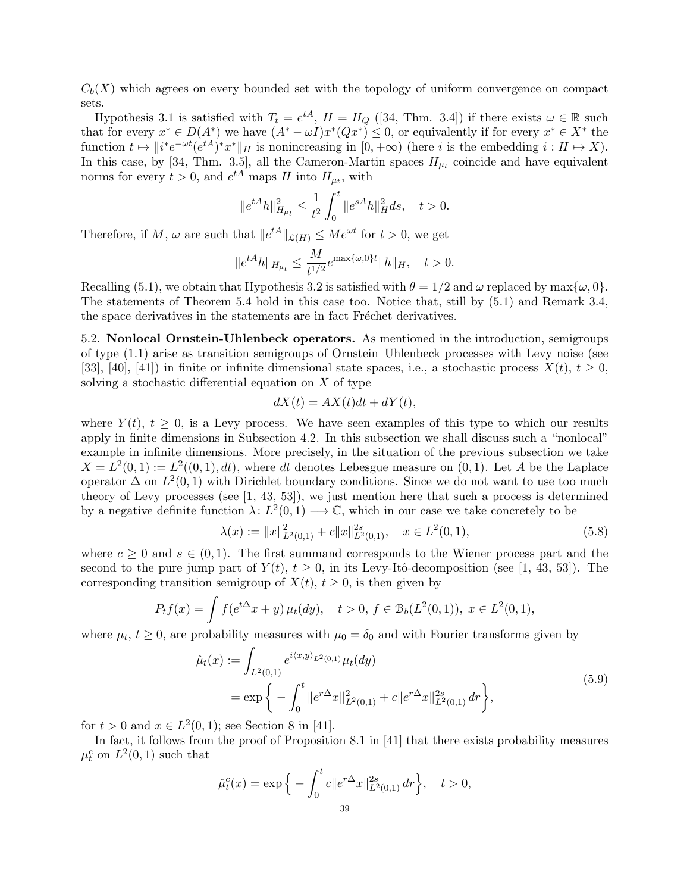$C_b(X)$  which agrees on every bounded set with the topology of uniform convergence on compact sets.

Hypothesis 3.1 is satisfied with  $T_t = e^{tA}$ ,  $H = H_Q$  ([34, Thm. 3.4]) if there exists  $\omega \in \mathbb{R}$  such that for every  $x^* \in D(A^*)$  we have  $(A^* - \omega I)x^*(Qx^*) \leq 0$ , or equivalently if for every  $x^* \in X^*$  the function  $t \mapsto ||i^*e^{-\omega t}(e^{tA})^*x^*||_H$  is nonincreasing in  $[0, +\infty)$  (here i is the embedding  $i : H \mapsto X$ ). In this case, by [34, Thm. 3.5], all the Cameron-Martin spaces  $H_{\mu_t}$  coincide and have equivalent norms for every  $t > 0$ , and  $e^{tA}$  maps H into  $H_{\mu_t}$ , with

$$
||e^{tA}h||_{H_{\mu_t}}^2 \le \frac{1}{t^2} \int_0^t ||e^{sA}h||_H^2 ds, \quad t > 0.
$$

Therefore, if M,  $\omega$  are such that  $||e^{tA}||_{\mathcal{L}(H)} \leq Me^{\omega t}$  for  $t > 0$ , we get

$$
||e^{tA}h||_{H_{\mu_t}} \le \frac{M}{t^{1/2}} e^{\max\{\omega,0\}t} ||h||_H, \quad t > 0.
$$

Recalling (5.1), we obtain that Hypothesis 3.2 is satisfied with  $\theta = 1/2$  and  $\omega$  replaced by max $\{\omega, 0\}$ . The statements of Theorem 5.4 hold in this case too. Notice that, still by (5.1) and Remark 3.4, the space derivatives in the statements are in fact Fréchet derivatives.

5.2. Nonlocal Ornstein-Uhlenbeck operators. As mentioned in the introduction, semigroups of type (1.1) arise as transition semigroups of Ornstein–Uhlenbeck processes with Levy noise (see [33], [40], [41]) in finite or infinite dimensional state spaces, i.e., a stochastic process  $X(t)$ ,  $t > 0$ , solving a stochastic differential equation on  $X$  of type

$$
dX(t) = AX(t)dt + dY(t),
$$

where  $Y(t)$ ,  $t \geq 0$ , is a Levy process. We have seen examples of this type to which our results apply in finite dimensions in Subsection 4.2. In this subsection we shall discuss such a "nonlocal" example in infinite dimensions. More precisely, in the situation of the previous subsection we take  $X = L<sup>2</sup>(0, 1) := L<sup>2</sup>((0, 1), dt)$ , where dt denotes Lebesgue measure on  $(0, 1)$ . Let A be the Laplace operator  $\Delta$  on  $L^2(0,1)$  with Dirichlet boundary conditions. Since we do not want to use too much theory of Levy processes (see [1, 43, 53]), we just mention here that such a process is determined by a negative definite function  $\lambda: L^2(0,1) \longrightarrow \mathbb{C}$ , which in our case we take concretely to be

$$
\lambda(x) := \|x\|_{L^2(0,1)}^2 + c \|x\|_{L^2(0,1)}^{2s}, \quad x \in L^2(0,1), \tag{5.8}
$$

where  $c \geq 0$  and  $s \in (0, 1)$ . The first summand corresponds to the Wiener process part and the second to the pure jump part of  $Y(t)$ ,  $t \geq 0$ , in its Levy-Itô-decomposition (see [1, 43, 53]). The corresponding transition semigroup of  $X(t)$ ,  $t \geq 0$ , is then given by

$$
P_t f(x) = \int f(e^{t\Delta} x + y) \mu_t(dy), \quad t > 0, f \in \mathcal{B}_b(L^2(0, 1)), \ x \in L^2(0, 1),
$$

where  $\mu_t$ ,  $t \geq 0$ , are probability measures with  $\mu_0 = \delta_0$  and with Fourier transforms given by

$$
\hat{\mu}_t(x) := \int_{L^2(0,1)} e^{i\langle x,y \rangle_{L^2(0,1)}} \mu_t(dy) \n= \exp \left\{ - \int_0^t \|e^{r\Delta}x\|_{L^2(0,1)}^2 + c \|e^{r\Delta}x\|_{L^2(0,1)}^{2s} dr \right\},
$$
\n(5.9)

 $0,$ 

for  $t > 0$  and  $x \in L^2(0, 1)$ ; see Section 8 in [41].

 $\hat{\mu}_t^c$ 

In fact, it follows from the proof of Proposition 8.1 in [41] that there exists probability measures  $\mu_t^c$  on  $L^2(0,1)$  such that

$$
(x) = \exp\Big\{-\int_0^t c \|e^{r\Delta}x\|_{L^2(0,1)}^{2s} dr\Big\}, \quad t >
$$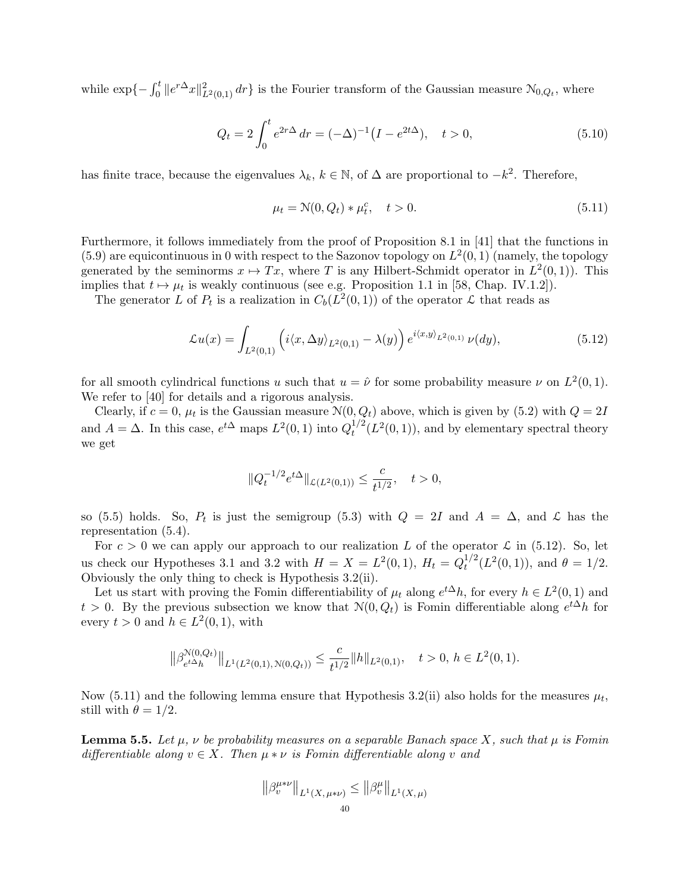while  $\exp\{-\int_0^t \|e^{r\Delta}x\|_{L^2(0,1)}^2 dr\}$  is the Fourier transform of the Gaussian measure  $\mathcal{N}_{0,Q_t}$ , where

$$
Q_t = 2 \int_0^t e^{2r\Delta} dr = (-\Delta)^{-1} (I - e^{2t\Delta}), \quad t > 0,
$$
\n(5.10)

has finite trace, because the eigenvalues  $\lambda_k, k \in \mathbb{N}$ , of  $\Delta$  are proportional to  $-k^2$ . Therefore,

$$
\mu_t = \mathcal{N}(0, Q_t) * \mu_t^c, \quad t > 0.
$$
\n(5.11)

Furthermore, it follows immediately from the proof of Proposition 8.1 in [41] that the functions in  $(5.9)$  are equicontinuous in 0 with respect to the Sazonov topology on  $L^2(0,1)$  (namely, the topology generated by the seminorms  $x \mapsto Tx$ , where T is any Hilbert-Schmidt operator in  $L^2(0,1)$ . This implies that  $t \mapsto \mu_t$  is weakly continuous (see e.g. Proposition 1.1 in [58, Chap. IV.1.2]).

The generator L of  $P_t$  is a realization in  $C_b(L^2(0,1))$  of the operator L that reads as

$$
\mathcal{L}u(x) = \int_{L^2(0,1)} \left( i \langle x, \Delta y \rangle_{L^2(0,1)} - \lambda(y) \right) e^{i \langle x, y \rangle_{L^2(0,1)}} \nu(dy), \tag{5.12}
$$

for all smooth cylindrical functions u such that  $u = \hat{\nu}$  for some probability measure  $\nu$  on  $L^2(0,1)$ . We refer to [40] for details and a rigorous analysis.

Clearly, if  $c = 0$ ,  $\mu_t$  is the Gaussian measure  $\mathcal{N}(0, Q_t)$  above, which is given by (5.2) with  $Q = 2I$ and  $A = \Delta$ . In this case,  $e^{t\Delta}$  maps  $L^2(0,1)$  into  $Q_t^{1/2}$  $t^{1/2}(L^2(0,1))$ , and by elementary spectral theory we get

$$
\|Q^{-1/2}_t e^{t\Delta}\|_{\mathcal{L}(L^2(0,1))}\leq \frac{c}{t^{1/2}},\quad t>0,
$$

so (5.5) holds. So,  $P_t$  is just the semigroup (5.3) with  $Q = 2I$  and  $A = \Delta$ , and  $\mathcal{L}$  has the representation (5.4).

For  $c > 0$  we can apply our approach to our realization L of the operator  $\mathcal L$  in (5.12). So, let us check our Hypotheses 3.1 and 3.2 with  $H = X = L^2(0, 1)$ ,  $H_t = Q_t^{1/2}$  $t^{1/2}(L^2(0,1)),$  and  $\theta = 1/2$ . Obviously the only thing to check is Hypothesis 3.2(ii).

Let us start with proving the Fomin differentiability of  $\mu_t$  along  $e^{t\Delta}h$ , for every  $h \in L^2(0,1)$  and  $t > 0$ . By the previous subsection we know that  $\mathcal{N}(0, Q_t)$  is Fomin differentiable along  $e^{t\Delta}h$  for every  $t > 0$  and  $h \in L^2(0,1)$ , with

$$
\left\|\beta_{e^{t\Delta}h}^{\mathcal{N}(0,Q_t)}\right\|_{L^1(L^2(0,1),\mathcal{N}(0,Q_t))} \leq \frac{c}{t^{1/2}} \|h\|_{L^2(0,1)}, \quad t > 0, \ h \in L^2(0,1).
$$

Now (5.11) and the following lemma ensure that Hypothesis 3.2(ii) also holds for the measures  $\mu_t$ , still with  $\theta = 1/2$ .

**Lemma 5.5.** Let  $\mu$ ,  $\nu$  be probability measures on a separable Banach space X, such that  $\mu$  is Fomin differentiable along  $v \in X$ . Then  $\mu * \nu$  is Fomin differentiable along v and

$$
\left\|\beta_v^{\mu*\nu}\right\|_{L^1(X,\,\mu*\nu)} \le \left\|\beta_v^\mu\right\|_{L^1(X,\,\mu)}
$$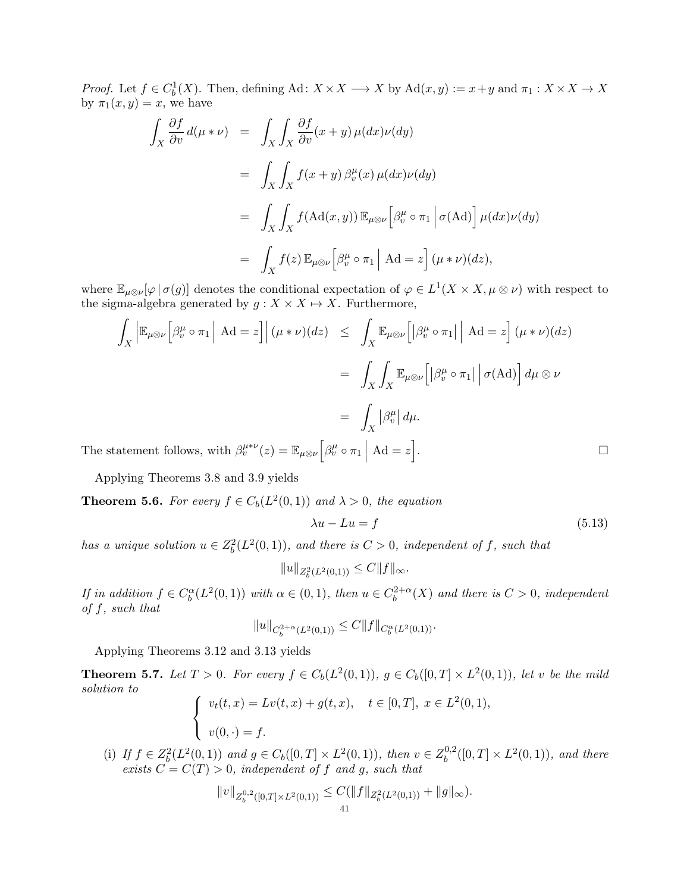*Proof.* Let  $f \in C_b^1(X)$ . Then, defining Ad:  $X \times X \longrightarrow X$  by Ad $(x, y) := x + y$  and  $\pi_1 : X \times X \longrightarrow X$ by  $\pi_1(x, y) = x$ , we have

$$
\int_{X} \frac{\partial f}{\partial v} d(\mu * \nu) = \int_{X} \int_{X} \frac{\partial f}{\partial v} (x + y) \mu(dx) \nu(dy)
$$
\n
$$
= \int_{X} \int_{X} f(x + y) \beta_{v}^{\mu}(x) \mu(dx) \nu(dy)
$$
\n
$$
= \int_{X} \int_{X} f(\text{Ad}(x, y)) \mathbb{E}_{\mu \otimes \nu} [\beta_{v}^{\mu} \circ \pi_{1} | \sigma(\text{Ad})] \mu(dx) \nu(dy)
$$
\n
$$
= \int_{X} f(z) \mathbb{E}_{\mu \otimes \nu} [\beta_{v}^{\mu} \circ \pi_{1} | \text{Ad} = z] (\mu * \nu)(dz),
$$

where  $\mathbb{E}_{\mu\otimes\nu}[\varphi|\sigma(g)]$  denotes the conditional expectation of  $\varphi\in L^1(X\times X, \mu\otimes\nu)$  with respect to the sigma-algebra generated by  $g: X \times X \mapsto X$ . Furthermore,

$$
\int_X \left| \mathbb{E}_{\mu \otimes \nu} \left[ \beta_v^{\mu} \circ \pi_1 \right] \right| A d = z \right] (\mu * \nu)(dz) \leq \int_X \mathbb{E}_{\mu \otimes \nu} \left[ \left| \beta_v^{\mu} \circ \pi_1 \right| \right] A d = z \right] (\mu * \nu)(dz)
$$

$$
= \int_X \int_X \mathbb{E}_{\mu \otimes \nu} \left[ \left| \beta_v^{\mu} \circ \pi_1 \right| \right] \sigma(Ad) d\mu \otimes \nu
$$

$$
= \int_X \left| \beta_v^{\mu} \right| d\mu.
$$

The statement follows, with  $\beta_v^{\mu*\nu}(z) = \mathbb{E}_{\mu\otimes\nu} \Big[ \beta_v^{\mu} \circ \pi_1 \Big]$ 

Applying Theorems 3.8 and 3.9 yields

**Theorem 5.6.** For every  $f \in C_b(L^2(0,1))$  and  $\lambda > 0$ , the equation

$$
\lambda u - Lu = f \tag{5.13}
$$

has a unique solution  $u \in Z_b^2(L^2(0,1))$ , and there is  $C > 0$ , independent of f, such that

$$
||u||_{Z_b^2(L^2(0,1))} \leq C||f||_{\infty}.
$$

If in addition  $f \in C_b^{\alpha}(L^2(0, 1))$  with  $\alpha \in (0, 1)$ , then  $u \in C_b^{2+\alpha}$  $b^{2+\alpha}(X)$  and there is  $C>0$ , independent of f, such that

$$
||u||_{C_b^{2+\alpha}(L^2(0,1))} \leq C||f||_{C_b^{\alpha}(L^2(0,1))}.
$$

Applying Theorems 3.12 and 3.13 yields

**Theorem 5.7.** Let  $T > 0$ . For every  $f \in C_b(L^2(0,1))$ ,  $g \in C_b([0,T] \times L^2(0,1))$ , let v be the mild solution to

$$
\begin{cases}\nv_t(t,x) = Lv(t,x) + g(t,x), \quad t \in [0,T], \ x \in L^2(0,1), \\
v(0,\cdot) = f.\n\end{cases}
$$

(i) If  $f \in Z_b^2(L^2(0,1))$  and  $g \in C_b([0,T] \times L^2(0,1))$ , then  $v \in Z_b^{0,2}$  $b^{0,2}([0,T] \times L^2(0,1)),$  and there exists  $C = C(T) > 0$ , independent of f and g, such that

$$
||v||_{Z_b^{0,2}([0,T]\times L^2(0,1))} \leq C(||f||_{Z_b^2(L^2(0,1))} + ||g||_{\infty}).
$$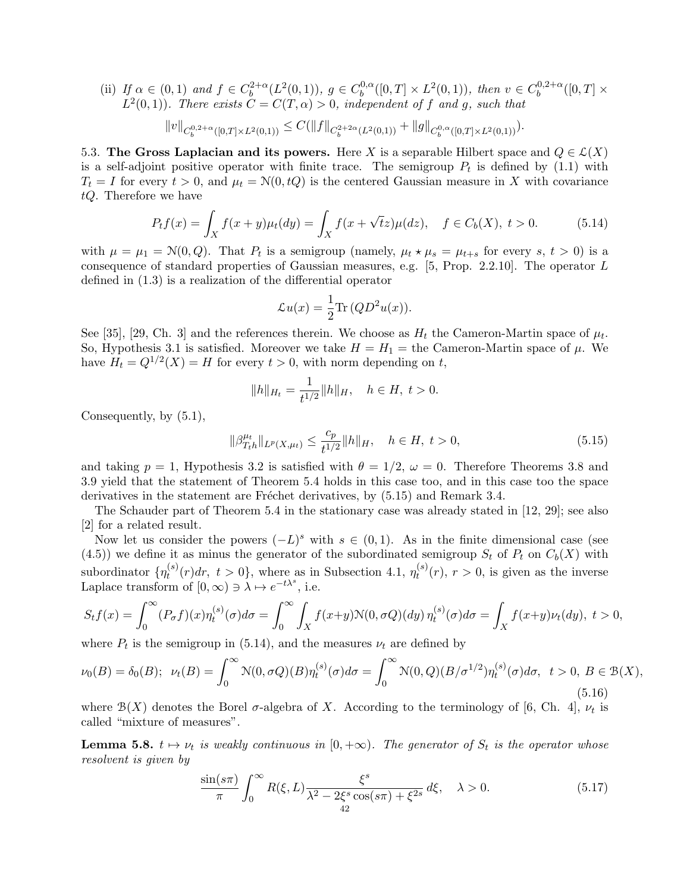(ii) If  $\alpha \in (0,1)$  and  $f \in C_b^{2+\alpha}$  $b^{2+\alpha}(L^2(0,1)), g \in C_b^{0,\alpha}$  $b^{0,\alpha}([0,T] \times L^2(0,1)), \text{ then } v \in C_b^{0,2+\alpha}$  $b^{0,2+\alpha}([0,T]\times$  $L^2(0,1)$ ). There exists  $C = C(T, \alpha) > 0$ , independent of f and g, such that

$$
||v||_{C_b^{0,2+\alpha}([0,T]\times L^2(0,1))} \leq C(||f||_{C_b^{2+2\alpha}(L^2(0,1))} + ||g||_{C_b^{0,\alpha}([0,T]\times L^2(0,1))}).
$$

5.3. The Gross Laplacian and its powers. Here X is a separable Hilbert space and  $Q \in \mathcal{L}(X)$ is a self-adjoint positive operator with finite trace. The semigroup  $P_t$  is defined by (1.1) with  $T_t = I$  for every  $t > 0$ , and  $\mu_t = \mathcal{N}(0, tQ)$  is the centered Gaussian measure in X with covariance tQ. Therefore we have

$$
P_t f(x) = \int_X f(x+y)\mu_t(dy) = \int_X f(x+\sqrt{t}z)\mu(dz), \quad f \in C_b(X), \ t > 0.
$$
 (5.14)

with  $\mu = \mu_1 = \mathcal{N}(0, Q)$ . That  $P_t$  is a semigroup (namely,  $\mu_t \star \mu_s = \mu_{t+s}$  for every  $s, t > 0$ ) is a consequence of standard properties of Gaussian measures, e.g. [5, Prop. 2.2.10]. The operator L defined in (1.3) is a realization of the differential operator

$$
\mathcal{L}u(x) = \frac{1}{2} \text{Tr} (QD^2 u(x)).
$$

See [35], [29, Ch. 3] and the references therein. We choose as  $H_t$  the Cameron-Martin space of  $\mu_t$ . So, Hypothesis 3.1 is satisfied. Moreover we take  $H = H_1 =$  the Cameron-Martin space of  $\mu$ . We have  $H_t = Q^{1/2}(X) = H$  for every  $t > 0$ , with norm depending on t,

$$
||h||_{H_t} = \frac{1}{t^{1/2}} ||h||_H, \quad h \in H, \ t > 0.
$$

Consequently, by (5.1),

$$
\|\beta_{T_th}^{\mu_t}\|_{L^p(X,\mu_t)} \le \frac{c_p}{t^{1/2}} \|h\|_H, \quad h \in H, \ t > 0,
$$
\n(5.15)

and taking  $p = 1$ , Hypothesis 3.2 is satisfied with  $\theta = 1/2$ ,  $\omega = 0$ . Therefore Theorems 3.8 and 3.9 yield that the statement of Theorem 5.4 holds in this case too, and in this case too the space derivatives in the statement are Fréchet derivatives, by  $(5.15)$  and Remark 3.4.

The Schauder part of Theorem 5.4 in the stationary case was already stated in [12, 29]; see also [2] for a related result.

Now let us consider the powers  $(-L)^s$  with  $s \in (0,1)$ . As in the finite dimensional case (see  $(4.5)$ ) we define it as minus the generator of the subordinated semigroup  $S_t$  of  $P_t$  on  $C_b(X)$  with subordinator  $\{\eta_t^{(s)}\}$  $t^{(s)}(r)dr, t > 0$ , where as in Subsection 4.1,  $\eta_t^{(s)}$  $t^{(s)}(r)$ ,  $r > 0$ , is given as the inverse Laplace transform of  $[0, \infty) \ni \lambda \mapsto e^{-t\lambda^s}$ , i.e.

$$
S_t f(x) = \int_0^\infty (P_\sigma f)(x) \eta_t^{(s)}(\sigma) d\sigma = \int_0^\infty \int_X f(x+y) \mathcal{N}(0, \sigma Q)(dy) \eta_t^{(s)}(\sigma) d\sigma = \int_X f(x+y) \nu_t(dy), \ t > 0,
$$

where  $P_t$  is the semigroup in (5.14), and the measures  $\nu_t$  are defined by

$$
\nu_0(B) = \delta_0(B); \quad \nu_t(B) = \int_0^\infty \mathcal{N}(0, \sigma Q)(B) \eta_t^{(s)}(\sigma) d\sigma = \int_0^\infty \mathcal{N}(0, Q)(B/\sigma^{1/2}) \eta_t^{(s)}(\sigma) d\sigma, \quad t > 0, \ B \in \mathcal{B}(X), \tag{5.16}
$$

where  $\mathcal{B}(X)$  denotes the Borel  $\sigma$ -algebra of X. According to the terminology of [6, Ch. 4],  $\nu_t$  is called "mixture of measures".

**Lemma 5.8.**  $t \mapsto \nu_t$  is weakly continuous in  $[0, +\infty)$ . The generator of  $S_t$  is the operator whose resolvent is given by

$$
\frac{\sin(s\pi)}{\pi} \int_0^\infty R(\xi, L) \frac{\xi^s}{\lambda^2 - 2\xi^s \cos(s\pi) + \xi^{2s}} d\xi, \quad \lambda > 0.
$$
 (5.17)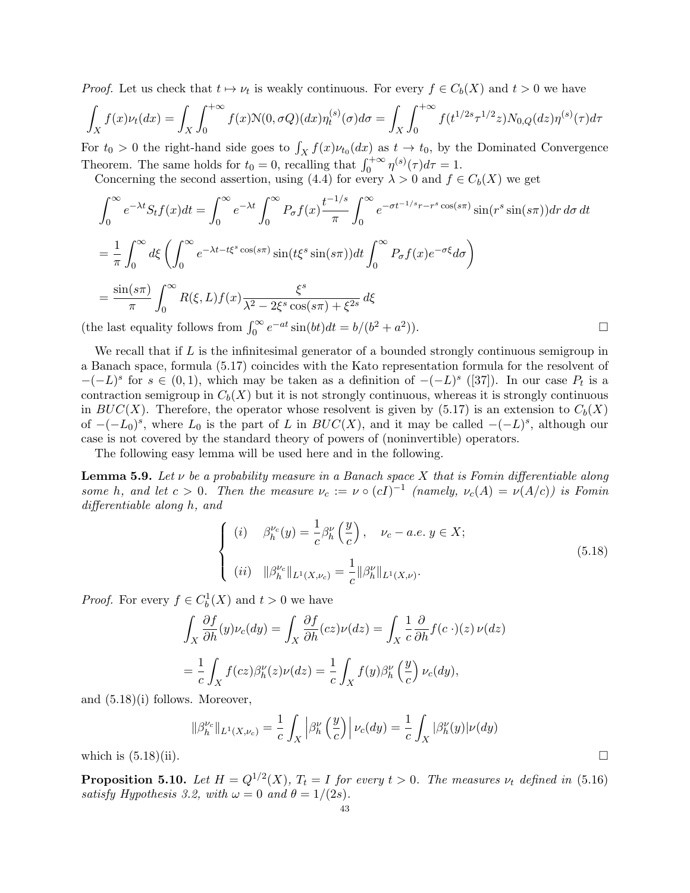*Proof.* Let us check that  $t \mapsto \nu_t$  is weakly continuous. For every  $f \in C_b(X)$  and  $t > 0$  we have

$$
\int_X f(x)\nu_t(dx) = \int_X \int_0^{+\infty} f(x) \mathcal{N}(0, \sigma Q)(dx) \eta_t^{(s)}(\sigma) d\sigma = \int_X \int_0^{+\infty} f(t^{1/2s} \tau^{1/2} z) N_{0,Q}(dz) \eta^{(s)}(\tau) d\tau
$$

For  $t_0 > 0$  the right-hand side goes to  $\int_X f(x) \nu_{t_0}(dx)$  as  $t \to t_0$ , by the Dominated Convergence Theorem. The same holds for  $t_0 = 0$ , recalling that  $\int_0^{+\infty} \eta^{(s)}(\tau) d\tau = 1$ .

Concerning the second assertion, using (4.4) for every  $\lambda > 0$  and  $f \in C_b(X)$  we get

$$
\int_0^\infty e^{-\lambda t} S_t f(x) dt = \int_0^\infty e^{-\lambda t} \int_0^\infty P_\sigma f(x) \frac{t^{-1/s}}{\pi} \int_0^\infty e^{-\sigma t^{-1/s} r - r^s \cos(s\pi)} \sin(r^s \sin(s\pi)) dr d\sigma dt
$$
  
\n
$$
= \frac{1}{\pi} \int_0^\infty d\xi \left( \int_0^\infty e^{-\lambda t - t\xi^s \cos(s\pi)} \sin(t\xi^s \sin(s\pi)) dt \int_0^\infty P_\sigma f(x) e^{-\sigma \xi} d\sigma \right)
$$
  
\n
$$
= \frac{\sin(s\pi)}{\pi} \int_0^\infty R(\xi, L) f(x) \frac{\xi^s}{\lambda^2 - 2\xi^s \cos(s\pi) + \xi^{2s}} d\xi
$$
  
\ne last equality follows from  $\int_0^\infty e^{-at} \sin(bt) dt = b/(b^2 + a^2)$ .

(the last equality follows from  $\int_0^\infty e^{-at} \sin(bt) dt = b/(b^2 + a^2)$ 

We recall that if  $L$  is the infinitesimal generator of a bounded strongly continuous semigroup in a Banach space, formula (5.17) coincides with the Kato representation formula for the resolvent of  $-(-L)^s$  for  $s \in (0,1)$ , which may be taken as a definition of  $-(-L)^s$  ([37]). In our case  $P_t$  is a contraction semigroup in  $C_b(X)$  but it is not strongly continuous, whereas it is strongly continuous in  $BUC(X)$ . Therefore, the operator whose resolvent is given by (5.17) is an extension to  $C_b(X)$ of  $-(-L_0)^s$ , where  $L_0$  is the part of L in  $BUC(X)$ , and it may be called  $-(-L)^s$ , although our case is not covered by the standard theory of powers of (noninvertible) operators.

The following easy lemma will be used here and in the following.

**Lemma 5.9.** Let  $\nu$  be a probability measure in a Banach space X that is Fomin differentiable along some h, and let  $c > 0$ . Then the measure  $\nu_c := \nu \circ (cI)^{-1}$  (namely,  $\nu_c(A) = \nu(A/c)$ ) is Fomin differentiable along h, and

$$
\begin{cases}\n(i) \quad \beta_h^{\nu_c}(y) = \frac{1}{c} \beta_h^{\nu} \left(\frac{y}{c}\right), \quad \nu_c - a.e. \ y \in X; \\
(ii) \quad \|\beta_h^{\nu_c}\|_{L^1(X, \nu_c)} = \frac{1}{c} \|\beta_h^{\nu}\|_{L^1(X, \nu)}.\n\end{cases}
$$
\n(5.18)

*Proof.* For every  $f \in C_b^1(X)$  and  $t > 0$  we have

$$
\int_X \frac{\partial f}{\partial h}(y)\nu_c(dy) = \int_X \frac{\partial f}{\partial h}(cz)\nu(dz) = \int_X \frac{1}{c} \frac{\partial}{\partial h}f(c\cdot)(z)\nu(dz)
$$

$$
= \frac{1}{c} \int_X f(cz)\beta_h^{\nu}(z)\nu(dz) = \frac{1}{c} \int_X f(y)\beta_h^{\nu}\left(\frac{y}{c}\right)\nu_c(dy),
$$

and (5.18)(i) follows. Moreover,

$$
\|\beta_h^{\nu_c}\|_{L^1(X,\nu_c)} = \frac{1}{c} \int_X \left| \beta_h^{\nu} \left( \frac{y}{c} \right) \right| \nu_c(dy) = \frac{1}{c} \int_X |\beta_h^{\nu}(y)| \nu(dy)
$$

which is  $(5.18)(ii)$ .

**Proposition 5.10.** Let  $H = Q^{1/2}(X)$ ,  $T_t = I$  for every  $t > 0$ . The measures  $\nu_t$  defined in (5.16) satisfy Hypothesis 3.2, with  $\omega = 0$  and  $\theta = 1/(2s)$ .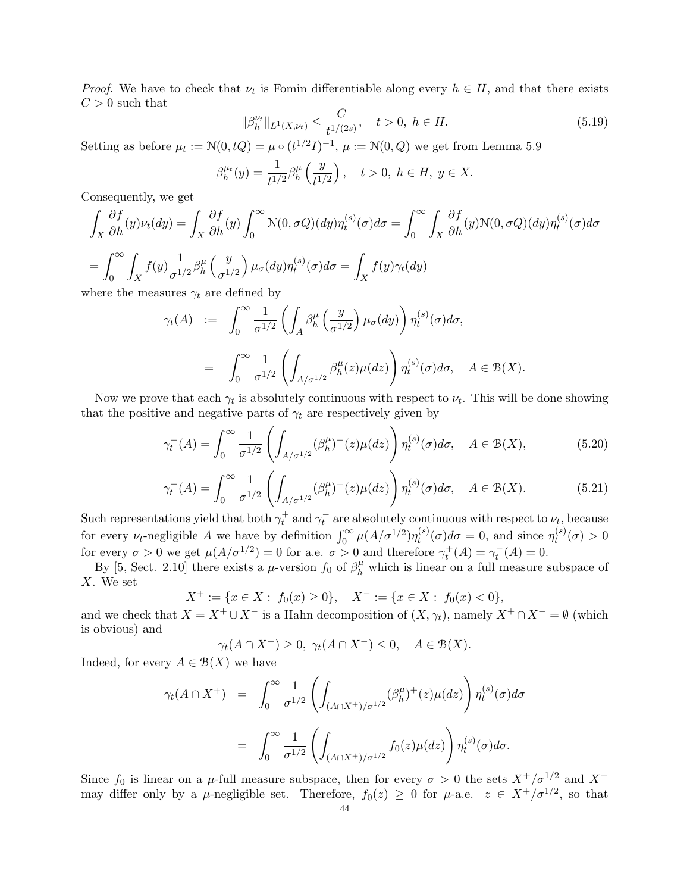*Proof.* We have to check that  $\nu_t$  is Fomin differentiable along every  $h \in H$ , and that there exists  $C > 0$  such that

$$
\|\beta_h^{\nu_t}\|_{L^1(X,\nu_t)} \le \frac{C}{t^{1/(2s)}}, \quad t > 0, \ h \in H. \tag{5.19}
$$

Setting as before  $\mu_t := \mathcal{N}(0, tQ) = \mu \circ (t^{1/2}I)^{-1}$ ,  $\mu := \mathcal{N}(0, Q)$  we get from Lemma 5.9

$$
\beta_h^{\mu t}(y) = \frac{1}{t^{1/2}} \beta_h^{\mu} \left( \frac{y}{t^{1/2}} \right), \quad t > 0, \ h \in H, \ y \in X.
$$

Consequently, we get

$$
\int_X \frac{\partial f}{\partial h}(y)\nu_t(dy) = \int_X \frac{\partial f}{\partial h}(y) \int_0^\infty \mathcal{N}(0,\sigma Q)(dy)\eta_t^{(s)}(\sigma)d\sigma = \int_0^\infty \int_X \frac{\partial f}{\partial h}(y)\mathcal{N}(0,\sigma Q)(dy)\eta_t^{(s)}(\sigma)d\sigma
$$
\n
$$
= \int_0^\infty \int_X f(y)\frac{1}{\sigma^{1/2}}\beta_h^\mu\left(\frac{y}{\sigma^{1/2}}\right)\mu_\sigma(dy)\eta_t^{(s)}(\sigma)d\sigma = \int_X f(y)\gamma_t(dy)
$$
\nwhere the measures  $\gamma_t$  are defined by

where the measures  $\gamma_t$  are defined by

$$
\gamma_t(A) := \int_0^\infty \frac{1}{\sigma^{1/2}} \left( \int_A \beta_h^\mu \left( \frac{y}{\sigma^{1/2}} \right) \mu_\sigma(dy) \right) \eta_t^{(s)}(\sigma) d\sigma,
$$
  

$$
= \int_0^\infty \frac{1}{\sigma^{1/2}} \left( \int_{A/\sigma^{1/2}} \beta_h^\mu(z) \mu(dz) \right) \eta_t^{(s)}(\sigma) d\sigma, \quad A \in \mathcal{B}(X).
$$

Now we prove that each  $\gamma_t$  is absolutely continuous with respect to  $\nu_t$ . This will be done showing that the positive and negative parts of  $\gamma_t$  are respectively given by

$$
\gamma_t^+(A) = \int_0^\infty \frac{1}{\sigma^{1/2}} \left( \int_{A/\sigma^{1/2}} (\beta_h^\mu)^+(z) \mu(dz) \right) \eta_t^{(s)}(\sigma) d\sigma, \quad A \in \mathcal{B}(X), \tag{5.20}
$$

$$
\gamma_t^-(A) = \int_0^\infty \frac{1}{\sigma^{1/2}} \left( \int_{A/\sigma^{1/2}} (\beta_h^\mu)^-(z) \mu(dz) \right) \eta_t^{(s)}(\sigma) d\sigma, \quad A \in \mathcal{B}(X). \tag{5.21}
$$

Such representations yield that both  $\gamma_t^+$  and  $\gamma_t^-$  are absolutely continuous with respect to  $\nu_t$ , because for every  $\nu_t$ -negligible A we have by definition  $\int_0^\infty \mu(A/\sigma^{1/2}) \eta_t^{(s)}$  $t_t^{(s)}(\sigma)d\sigma=0$ , and since  $\eta_t^{(s)}$  $t^{(s)}(\sigma) > 0$ for every  $\sigma > 0$  we get  $\mu(A/\sigma^{1/2}) = 0$  for a.e.  $\sigma > 0$  and therefore  $\gamma_t^+(A) = \gamma_t^-(A) = 0$ .

By [5, Sect. 2.10] there exists a  $\mu$ -version  $f_0$  of  $\beta_h^{\mu}$  which is linear on a full measure subspace of X. We set

$$
X^+:=\{x\in X:\; f_0(x)\geq 0\},\quad X^-:=\{x\in X:\; f_0(x)<0\},
$$

and we check that  $X = X^+ \cup X^-$  is a Hahn decomposition of  $(X, \gamma_t)$ , namely  $X^+ \cap X^- = \emptyset$  (which is obvious) and

$$
\gamma_t(A \cap X^+) \ge 0, \ \gamma_t(A \cap X^-) \le 0, \quad A \in \mathcal{B}(X).
$$

Indeed, for every  $A \in \mathcal{B}(X)$  we have

$$
\gamma_t(A \cap X^+) = \int_0^\infty \frac{1}{\sigma^{1/2}} \left( \int_{(A \cap X^+)/\sigma^{1/2}} (\beta_h^{\mu})^+(z) \mu(dz) \right) \eta_t^{(s)}(\sigma) d\sigma
$$

$$
= \int_0^\infty \frac{1}{\sigma^{1/2}} \left( \int_{(A \cap X^+)/\sigma^{1/2}} f_0(z) \mu(dz) \right) \eta_t^{(s)}(\sigma) d\sigma.
$$

Since  $f_0$  is linear on a  $\mu$ -full measure subspace, then for every  $\sigma > 0$  the sets  $X^+/\sigma^{1/2}$  and  $X^+$ may differ only by a  $\mu$ -negligible set. Therefore,  $f_0(z) \geq 0$  for  $\mu$ -a.e.  $z \in X^+/\sigma^{1/2}$ , so that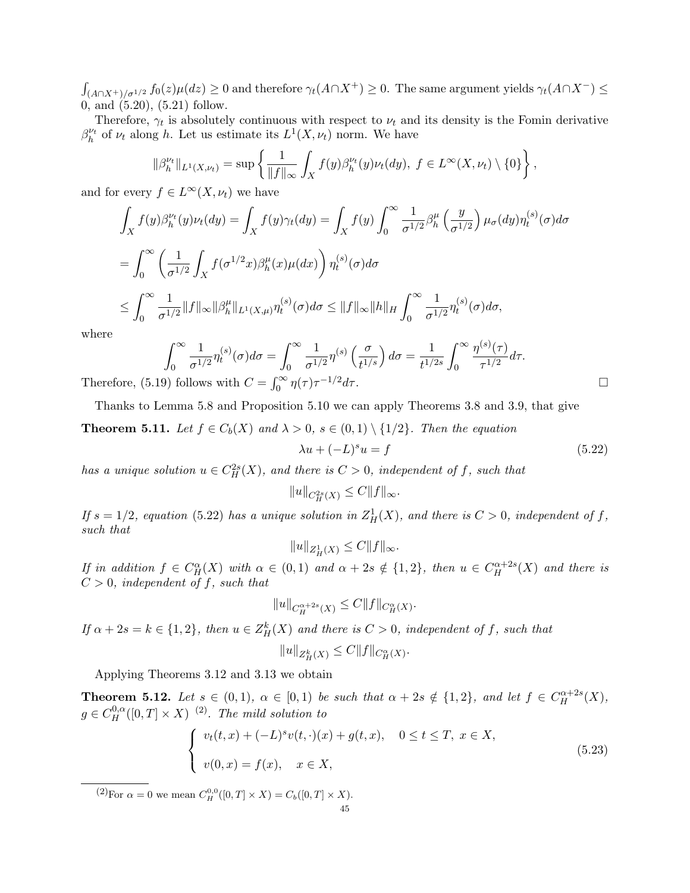$\int_{(A\cap X^+)/\sigma^{1/2}} f_0(z) \mu(dz) \geq 0$  and therefore  $\gamma_t(A\cap X^+) \geq 0$ . The same argument yields  $\gamma_t(A\cap X^-) \leq$ 0, and (5.20), (5.21) follow.

Therefore,  $\gamma_t$  is absolutely continuous with respect to  $\nu_t$  and its density is the Fomin derivative  $\beta_h^{\nu_t}$  of  $\nu_t$  along h. Let us estimate its  $L^1(X, \nu_t)$  norm. We have

$$
\|\beta^{\nu_t}_h\|_{L^1(X,\nu_t)} = \sup\left\{\frac{1}{\|f\|_{\infty}}\int_X f(y)\beta^{\nu_t}_h(y)\nu_t(dy),\ f\in L^{\infty}(X,\nu_t)\setminus\{0\}\right\},\
$$

and for every  $f \in L^{\infty}(X, \nu_t)$  we have

$$
\int_X f(y)\beta_h^{\nu_t}(y)\nu_t(dy) = \int_X f(y)\gamma_t(dy) = \int_X f(y)\int_0^\infty \frac{1}{\sigma^{1/2}}\beta_h^\mu\left(\frac{y}{\sigma^{1/2}}\right)\mu_\sigma(dy)\eta_t^{(s)}(\sigma)d\sigma
$$
\n
$$
= \int_0^\infty \left(\frac{1}{\sigma^{1/2}}\int_X f(\sigma^{1/2}x)\beta_h^\mu(x)\mu(dx)\right)\eta_t^{(s)}(\sigma)d\sigma
$$
\n
$$
\leq \int_0^\infty \frac{1}{\sigma^{1/2}}\|f\|_\infty\|\beta_h^\mu\|_{L^1(X,\mu)}\eta_t^{(s)}(\sigma)d\sigma \leq \|f\|_\infty\|h\|_H\int_0^\infty \frac{1}{\sigma^{1/2}}\eta_t^{(s)}(\sigma)d\sigma,
$$

where

$$
\int_0^\infty \frac{1}{\sigma^{1/2}} \eta_t^{(s)}(\sigma) d\sigma = \int_0^\infty \frac{1}{\sigma^{1/2}} \eta^{(s)}\left(\frac{\sigma}{t^{1/s}}\right) d\sigma = \frac{1}{t^{1/2s}} \int_0^\infty \frac{\eta^{(s)}(\tau)}{\tau^{1/2}} d\tau.
$$
\n9) follows with  $C = \int_0^\infty \eta(\tau) \tau^{-1/2} d\tau$ .

Therefore,  $(5.19)$  $\int_0^\infty \eta(\tau)\tau$ 

Thanks to Lemma 5.8 and Proposition 5.10 we can apply Theorems 3.8 and 3.9, that give **Theorem 5.11.** Let  $f \in C_b(X)$  and  $\lambda > 0$ ,  $s \in (0,1) \setminus \{1/2\}$ . Then the equation

$$
\lambda u + (-L)^s u = f \tag{5.22}
$$

has a unique solution  $u \in C_H^{2s}(X)$ , and there is  $C > 0$ , independent of f, such that

 $||u||_{C_H^{2s}(X)} \leq C||f||_{\infty}.$ 

If  $s = 1/2$ , equation (5.22) has a unique solution in  $Z_H^1(X)$ , and there is  $C > 0$ , independent of f, such that

$$
||u||_{Z^1_H(X)} \leq C||f||_{\infty}.
$$

If in addition  $f \in C_H^{\alpha}(X)$  with  $\alpha \in (0,1)$  and  $\alpha + 2s \notin \{1,2\}$ , then  $u \in C_H^{\alpha+2s}(X)$  and there is  $C > 0$ , independent of f, such that

$$
||u||_{C^{\alpha+2s}_H(X)} \leq C||f||_{C^{\alpha}_H(X)}.
$$

If  $\alpha + 2s = k \in \{1,2\}$ , then  $u \in Z_H^k(X)$  and there is  $C > 0$ , independent of f, such that

$$
||u||_{Z_H^k(X)} \leq C||f||_{C_H^{\alpha}(X)}
$$

Applying Theorems 3.12 and 3.13 we obtain

**Theorem 5.12.** Let  $s \in (0,1)$ ,  $\alpha \in [0,1)$  be such that  $\alpha + 2s \notin \{1,2\}$ , and let  $f \in C_H^{\alpha+2s}(X)$ ,  $g \in C_H^{0,\alpha}([0,T] \times X)$  <sup>(2)</sup>. The mild solution to

$$
\begin{cases}\nv_t(t,x) + (-L)^s v(t,\cdot)(x) + g(t,x), & 0 \le t \le T, \ x \in X, \\
v(0,x) = f(x), & x \in X,\n\end{cases}
$$
\n(5.23)

.

 $(2)$ For  $\alpha = 0$  we mean  $C_H^{0,0}([0,T] \times X) = C_b([0,T] \times X)$ .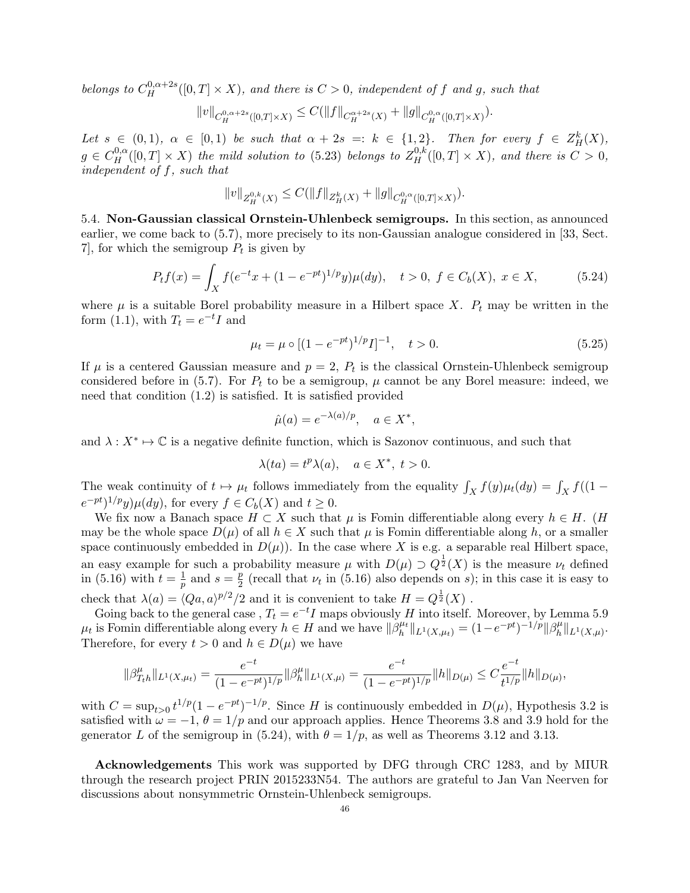belongs to  $C_H^{0,\alpha+2s}([0,T]\times X)$ , and there is  $C>0$ , independent of f and g, such that

$$
||v||_{C_H^{0,\alpha+2s}([0,T]\times X)} \leq C(||f||_{C_H^{\alpha+2s}(X)} + ||g||_{C_H^{0,\alpha}([0,T]\times X)}).
$$

Let  $s \in (0,1)$ ,  $\alpha \in [0,1)$  be such that  $\alpha + 2s =: k \in \{1,2\}$ . Then for every  $f \in Z_H^k(X)$ ,  $g \in C_H^{0,\alpha}([0,T] \times X)$  the mild solution to (5.23) belongs to  $Z_H^{0,k}([0,T] \times X)$ , and there is  $C > 0$ , independent of f, such that

$$
||v||_{Z_{H}^{0,k}(X)} \leq C(||f||_{Z_{H}^{k}(X)} + ||g||_{C_{H}^{0,\alpha}([0,T]\times X)}).
$$

5.4. Non-Gaussian classical Ornstein-Uhlenbeck semigroups. In this section, as announced earlier, we come back to (5.7), more precisely to its non-Gaussian analogue considered in [33, Sect. 7, for which the semigroup  $P_t$  is given by

$$
P_t f(x) = \int_X f(e^{-t}x + (1 - e^{-pt})^{1/p}y)\mu(dy), \quad t > 0, \ f \in C_b(X), \ x \in X,
$$
 (5.24)

where  $\mu$  is a suitable Borel probability measure in a Hilbert space X.  $P_t$  may be written in the form (1.1), with  $T_t = e^{-t}I$  and

$$
\mu_t = \mu \circ [(1 - e^{-pt})^{1/p} I]^{-1}, \quad t > 0.
$$
\n(5.25)

If  $\mu$  is a centered Gaussian measure and  $p=2$ ,  $P_t$  is the classical Ornstein-Uhlenbeck semigroup considered before in (5.7). For  $P_t$  to be a semigroup,  $\mu$  cannot be any Borel measure: indeed, we need that condition (1.2) is satisfied. It is satisfied provided

$$
\hat{\mu}(a) = e^{-\lambda(a)/p}, \quad a \in X^*,
$$

and  $\lambda: X^* \mapsto \mathbb{C}$  is a negative definite function, which is Sazonov continuous, and such that

$$
\lambda(ta) = t^p \lambda(a), \quad a \in X^*, \ t > 0.
$$

The weak continuity of  $t \mapsto \mu_t$  follows immediately from the equality  $\int_X f(y) \mu_t(dy) = \int_X f((1$  $e^{-pt}$ <sup>1/p</sup>y) $\mu(dy)$ , for every  $f \in C_b(X)$  and  $t \geq 0$ .

We fix now a Banach space  $H \subset X$  such that  $\mu$  is Fomin differentiable along every  $h \in H$ . (H may be the whole space  $D(\mu)$  of all  $h \in X$  such that  $\mu$  is Fomin differentiable along h, or a smaller space continuously embedded in  $D(\mu)$ ). In the case where X is e.g. a separable real Hilbert space, an easy example for such a probability measure  $\mu$  with  $D(\mu) \supset Q^{\frac{1}{2}}(X)$  is the measure  $\nu_t$  defined in (5.16) with  $t=\frac{1}{n}$  $rac{1}{p}$  and  $s = \frac{p}{2}$  $\frac{p}{2}$  (recall that  $\nu_t$  in (5.16) also depends on *s*); in this case it is easy to check that  $\lambda(a) = \langle Qa, a \rangle^{p/2}/2$  and it is convenient to take  $H = Q^{\frac{1}{2}}(X)$ .

Going back to the general case,  $T_t = e^{-t}I$  maps obviously H into itself. Moreover, by Lemma 5.9  $\mu_t$  is Fomin differentiable along every  $h \in H$  and we have  $\|\beta_h^{\mu_t}\|$  $\|h^{\mu_t}\|_{L^1(X,\mu_t)} = (1 - e^{-pt})^{-1/p} \|\beta^\mu_h\|$  $_{h}^{\mu}$ || $_{L^{1}(X,\mu)}$ . Therefore, for every  $t > 0$  and  $h \in D(\mu)$  we have

$$
\|\beta_{T_th}^{\mu}\|_{L^1(X,\mu_t)} = \frac{e^{-t}}{(1 - e^{-pt})^{1/p}} \|\beta_h^{\mu}\|_{L^1(X,\mu)} = \frac{e^{-t}}{(1 - e^{-pt})^{1/p}} \|h\|_{D(\mu)} \leq C \frac{e^{-t}}{t^{1/p}} \|h\|_{D(\mu)},
$$

with  $C = \sup_{t>0} t^{1/p} (1 - e^{-pt})^{-1/p}$ . Since H is continuously embedded in  $D(\mu)$ , Hypothesis 3.2 is satisfied with  $\omega = -1$ ,  $\theta = 1/p$  and our approach applies. Hence Theorems 3.8 and 3.9 hold for the generator L of the semigroup in (5.24), with  $\theta = 1/p$ , as well as Theorems 3.12 and 3.13.

Acknowledgements This work was supported by DFG through CRC 1283, and by MIUR through the research project PRIN 2015233N54. The authors are grateful to Jan Van Neerven for discussions about nonsymmetric Ornstein-Uhlenbeck semigroups.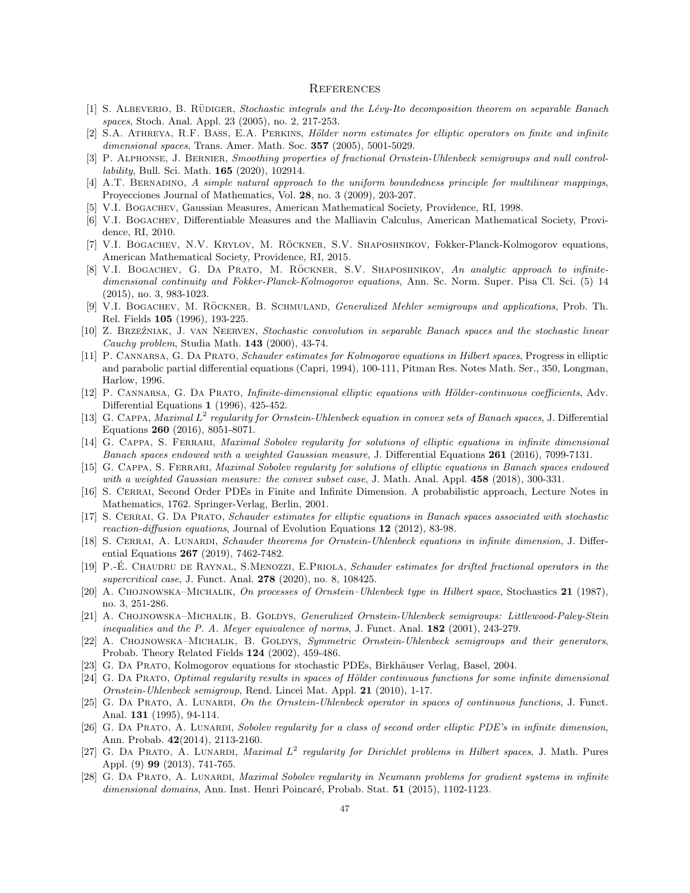#### **REFERENCES**

- [1] S. ALBEVERIO, B. RÜDIGER, Stochastic integrals and the Lévy-Ito decomposition theorem on separable Banach spaces, Stoch. Anal. Appl. 23 (2005), no. 2, 217-253.
- [2] S.A. ATHREYA, R.F. BASS, E.A. PERKINS, Hölder norm estimates for elliptic operators on finite and infinite dimensional spaces, Trans. Amer. Math. Soc. **357** (2005), 5001-5029.
- [3] P. Alphonse, J. Bernier, Smoothing properties of fractional Ornstein-Uhlenbeck semigroups and null controllability, Bull. Sci. Math. 165 (2020), 102914.
- [4] A.T. Bernadino, A simple natural approach to the uniform boundedness principle for multilinear mappings, Proyecciones Journal of Mathematics, Vol. 28, no. 3 (2009), 203-207.
- [5] V.I. Bogachev, Gaussian Measures, American Mathematical Society, Providence, RI, 1998.
- [6] V.I. BOGACHEV, Differentiable Measures and the Malliavin Calculus, American Mathematical Society, Providence, RI, 2010.
- [7] V.I. BOGACHEV, N.V. KRYLOV, M. RÖCKNER, S.V. SHAPOSHNIKOV, Fokker-Planck-Kolmogorov equations, American Mathematical Society, Providence, RI, 2015.
- [8] V.I. BOGACHEV, G. DA PRATO, M. RÖCKNER, S.V. SHAPOSHNIKOV, An analytic approach to infinitedimensional continuity and Fokker-Planck-Kolmogorov equations, Ann. Sc. Norm. Super. Pisa Cl. Sci. (5) 14 (2015), no. 3, 983-1023.
- [9] V.I. BOGACHEV, M. RÖCKNER, B. SCHMULAND, *Generalized Mehler semigroups and applications*, Prob. Th. Rel. Fields 105 (1996), 193-225.
- [10] Z. Brze´zniak, J. van Neerven, Stochastic convolution in separable Banach spaces and the stochastic linear Cauchy problem, Studia Math.  $143$  (2000), 43-74.
- [11] P. Cannarsa, G. Da Prato, Schauder estimates for Kolmogorov equations in Hilbert spaces, Progress in elliptic and parabolic partial differential equations (Capri, 1994), 100-111, Pitman Res. Notes Math. Ser., 350, Longman, Harlow, 1996.
- [12] P. CANNARSA, G. DA PRATO, Infinite-dimensional elliptic equations with Hölder-continuous coefficients, Adv. Differential Equations 1 (1996), 425-452.
- [13] G. CAPPA, Maximal  $L^2$  regularity for Ornstein-Uhlenbeck equation in convex sets of Banach spaces, J. Differential Equations 260 (2016), 8051-8071.
- [14] G. Cappa, S. Ferrari, Maximal Sobolev regularity for solutions of elliptic equations in infinite dimensional Banach spaces endowed with a weighted Gaussian measure, J. Differential Equations 261 (2016), 7099-7131.
- [15] G. Cappa, S. Ferrari, Maximal Sobolev regularity for solutions of elliptic equations in Banach spaces endowed with a weighted Gaussian measure: the convex subset case, J. Math. Anal. Appl. 458 (2018), 300-331.
- [16] S. Cerrai, Second Order PDEs in Finite and Infinite Dimension. A probabilistic approach, Lecture Notes in Mathematics, 1762. Springer-Verlag, Berlin, 2001.
- [17] S. Cerrai, G. Da Prato, Schauder estimates for elliptic equations in Banach spaces associated with stochastic reaction-diffusion equations, Journal of Evolution Equations  $12$  (2012), 83-98.
- [18] S. CERRAI, A. LUNARDI, Schauder theorems for Ornstein-Uhlenbeck equations in infinite dimension, J. Differential Equations 267 (2019), 7462-7482.
- [19] P.-E. CHAUDRU DE RAYNAL, S.MENOZZI, E.PRIOLA, Schauder estimates for drifted fractional operators in the supercritical case, J. Funct. Anal. 278 (2020), no. 8, 108425.
- [20] A. Chojnowska–Michalik, On processes of Ornstein–Uhlenbeck type in Hilbert space, Stochastics 21 (1987), no. 3, 251-286.
- [21] A. CHOJNOWSKA–MICHALIK, B. GOLDYS, *Generalized Ornstein-Uhlenbeck semigroups: Littlewood-Paley-Stein* inequalities and the P. A. Meyer equivalence of norms, J. Funct. Anal. 182 (2001), 243-279.
- [22] A. CHOJNOWSKA–MICHALIK, B. GOLDYS, Symmetric Ornstein-Uhlenbeck semigroups and their generators, Probab. Theory Related Fields 124 (2002), 459-486.
- [23] G. DA PRATO, Kolmogorov equations for stochastic PDEs, Birkhäuser Verlag, Basel, 2004.
- [24] G. DA PRATO, Optimal regularity results in spaces of Hölder continuous functions for some infinite dimensional Ornstein-Uhlenbeck semigroup, Rend. Lincei Mat. Appl. 21 (2010), 1-17.
- [25] G. DA PRATO, A. LUNARDI, On the Ornstein-Uhlenbeck operator in spaces of continuous functions, J. Funct. Anal. 131 (1995), 94-114.
- [26] G. DA PRATO, A. LUNARDI, Sobolev regularity for a class of second order elliptic PDE's in infinite dimension, Ann. Probab. 42(2014), 2113-2160.
- [27] G. DA PRATO, A. LUNARDI, Maximal  $L^2$  regularity for Dirichlet problems in Hilbert spaces, J. Math. Pures Appl. (9) 99 (2013), 741-765.
- [28] G. DA PRATO, A. LUNARDI, Maximal Sobolev regularity in Neumann problems for gradient systems in infinite dimensional domains, Ann. Inst. Henri Poincaré, Probab. Stat. 51 (2015), 1102-1123.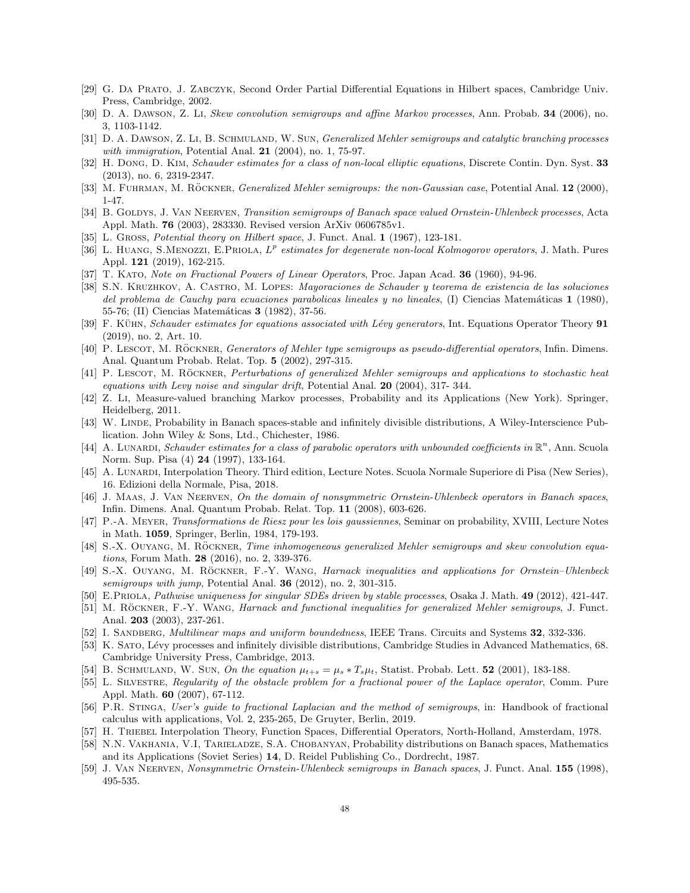- [29] G. Da Prato, J. Zabczyk, Second Order Partial Differential Equations in Hilbert spaces, Cambridge Univ. Press, Cambridge, 2002.
- [30] D. A. Dawson, Z. Li, Skew convolution semigroups and affine Markov processes, Ann. Probab. 34 (2006), no. 3, 1103-1142.
- [31] D. A. DAWSON, Z. LI, B. SCHMULAND, W. SUN, *Generalized Mehler semigroups and catalytic branching processes* with immigration, Potential Anal.  $21$  (2004), no. 1, 75-97.
- [32] H. Dong, D. Kim, Schauder estimates for a class of non-local elliptic equations, Discrete Contin. Dyn. Syst. 33 (2013), no. 6, 2319-2347.
- [33] M. FUHRMAN, M. RÖCKNER, *Generalized Mehler semigroups: the non-Gaussian case*, Potential Anal. 12 (2000), 1-47.
- [34] B. GOLDYS, J. VAN NEERVEN, Transition semigroups of Banach space valued Ornstein-Uhlenbeck processes, Acta Appl. Math. 76 (2003), 283330. Revised version ArXiv 0606785v1.
- L. Gross, Potential theory on Hilbert space, J. Funct. Anal. 1 (1967), 123-181.
- [36] L. HUANG, S.MENOZZI, E.PRIOLA,  $L^p$  estimates for degenerate non-local Kolmogorov operators, J. Math. Pures Appl. 121 (2019), 162-215.
- [37] T. KATO, Note on Fractional Powers of Linear Operators, Proc. Japan Acad. 36 (1960), 94-96.
- [38] S.N. Kruzhkov, A. Castro, M. Lopes: Mayoraciones de Schauder y teorema de existencia de las soluciones del problema de Cauchy para ecuaciones parabolicas lineales y no lineales, (I) Ciencias Matemáticas 1 (1980), 55-76; (II) Ciencias Matemáticas **3** (1982), 37-56.
- [39] F. Kühn, Schauder estimates for equations associated with Lévy generators, Int. Equations Operator Theory 91 (2019), no. 2, Art. 10.
- [40] P. LESCOT, M. RÖCKNER, Generators of Mehler type semigroups as pseudo-differential operators, Infin. Dimens. Anal. Quantum Probab. Relat. Top. 5 (2002), 297-315.
- [41] P. LESCOT, M. RÖCKNER, Perturbations of generalized Mehler semigroups and applications to stochastic heat equations with Levy noise and singular drift, Potential Anal.  $20$  (2004), 317-344.
- [42] Z. Li, Measure-valued branching Markov processes, Probability and its Applications (New York). Springer, Heidelberg, 2011.
- [43] W. Linde, Probability in Banach spaces-stable and infinitely divisible distributions, A Wiley-Interscience Publication. John Wiley & Sons, Ltd., Chichester, 1986.
- [44] A. LUNARDI, Schauder estimates for a class of parabolic operators with unbounded coefficients in  $\mathbb{R}^n$ , Ann. Scuola Norm. Sup. Pisa (4) 24 (1997), 133-164.
- [45] A. LUNARDI, Interpolation Theory. Third edition, Lecture Notes. Scuola Normale Superiore di Pisa (New Series). 16. Edizioni della Normale, Pisa, 2018.
- [46] J. MAAS, J. VAN NEERVEN, On the domain of nonsymmetric Ornstein-Uhlenbeck operators in Banach spaces. Infin. Dimens. Anal. Quantum Probab. Relat. Top. 11 (2008), 603-626.
- [47] P.-A. Meyer, Transformations de Riesz pour les lois gaussiennes, Seminar on probability, XVIII, Lecture Notes in Math. 1059, Springer, Berlin, 1984, 179-193.
- [48] S.-X. OUYANG, M. RÖCKNER, Time inhomogeneous generalized Mehler semigroups and skew convolution equations, Forum Math. 28 (2016), no. 2, 339-376.
- [49] S.-X. OUYANG, M. RÖCKNER, F.-Y. WANG, Harnack inequalities and applications for Ornstein–Uhlenbeck semigroups with jump, Potential Anal.  $36$  (2012), no. 2, 301-315.
- [50] E.PRIOLA, Pathwise uniqueness for singular SDEs driven by stable processes, Osaka J. Math. 49 (2012), 421-447.
- [51] M. RÖCKNER, F.-Y. WANG, Harnack and functional inequalities for generalized Mehler semigroups, J. Funct. Anal. 203 (2003), 237-261.
- [52] I. SANDBERG, *Multilinear maps and uniform boundedness*, IEEE Trans. Circuits and Systems 32, 332-336.
- [53] K. SATO, Lévy processes and infinitely divisible distributions, Cambridge Studies in Advanced Mathematics, 68. Cambridge University Press, Cambridge, 2013.
- [54] B. SCHMULAND, W. SUN, On the equation  $\mu_{t+s} = \mu_s * T_s \mu_t$ , Statist. Probab. Lett. 52 (2001), 183-188.
- [55] L. SILVESTRE, Regularity of the obstacle problem for a fractional power of the Laplace operator, Comm. Pure Appl. Math. 60 (2007), 67-112.
- [56] P.R. Stinga, User's guide to fractional Laplacian and the method of semigroups, in: Handbook of fractional calculus with applications, Vol. 2, 235-265, De Gruyter, Berlin, 2019.
- [57] H. Triebel Interpolation Theory, Function Spaces, Differential Operators, North-Holland, Amsterdam, 1978.
- [58] N.N. Vakhania, V.I, Tarieladze, S.A. Chobanyan, Probability distributions on Banach spaces, Mathematics and its Applications (Soviet Series) 14, D. Reidel Publishing Co., Dordrecht, 1987.
- [59] J. Van Neerven, Nonsymmetric Ornstein-Uhlenbeck semigroups in Banach spaces, J. Funct. Anal. 155 (1998), 495-535.